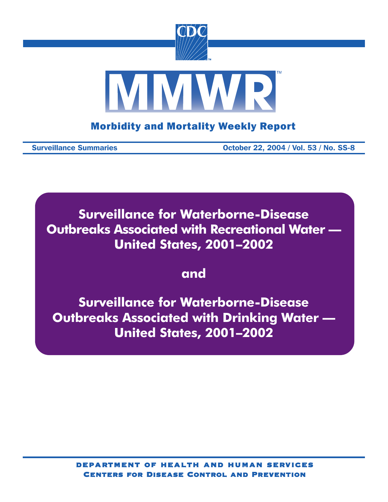

**Surveillance Summaries Contract Contract Contract Contract Contract Contract Contract Contract Contract Contract Contract Contract Contract Contract Contract Contract Contract Contract Contract Contract Contract Contract** 

**Surveillance for Waterborne-Disease Outbreaks Associated with Recreational Water — United States, 2001–2002**

**and**

**Surveillance for Waterborne-Disease Outbreaks Associated with Drinking Water — United States, 2001–2002**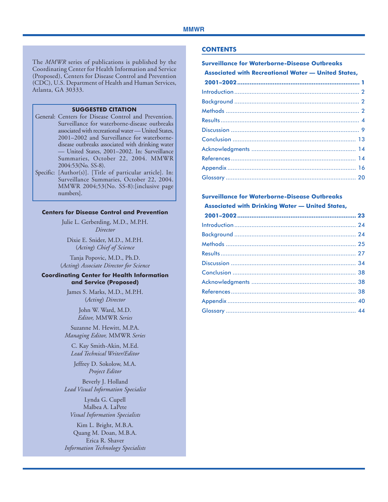The *MMWR* series of publications is published by the Coordinating Center for Health Information and Service (Proposed), Centers for Disease Control and Prevention (CDC), U.S. Department of Health and Human Services, Atlanta, GA 30333.

#### **SUGGESTED CITATION**

- General: Centers for Disease Control and Prevention. Surveillance for waterborne-disease outbreaks associated with recreational water — United States, 2001–2002 and Surveillance for waterbornedisease outbreaks associated with drinking water United States, 2001-2002. In: Surveillance Summaries, October 22, 2004. MMWR 2004:53(No. SS-8).
- Specific: [Author(s)]. [Title of particular article]. In: Surveillance Summaries, October 22, 2004. MMWR 2004;53(No. SS-8):[inclusive page numbers].

#### **Centers for Disease Control and Prevention**

Julie L. Gerberding, M.D., M.P.H. *Director*

Dixie E. Snider, M.D., M.P.H. (*Acting*) *Chief of Science*

Tanja Popovic, M.D., Ph.D. (*Acting*) *Associate Director for Science*

#### **Coordinating Center for Health Information and Service (Proposed)**

James S. Marks, M.D., M.P.H. (*Acting*) *Director*

> John W. Ward, M.D. *Editor,* MMWR *Series*

Suzanne M. Hewitt, M.P.A. *Managing Editor,* MMWR *Series*

C. Kay Smith-Akin, M.Ed. *Lead Technical Writer/Editor*

Jeffrey D. Sokolow, M.A. *Project Editor*

Beverly J. Holland *Lead Visual Information Specialist*

Lynda G. Cupell Malbea A. LaPete *Visual Information Specialists*

Kim L. Bright, M.B.A. Quang M. Doan, M.B.A. Erica R. Shaver *Information Technology Specialists*

#### **CONTENTS**

| <b>Surveillance for Waterborne-Disease Outbreaks</b>       |  |
|------------------------------------------------------------|--|
| <b>Associated with Recreational Water - United States,</b> |  |
|                                                            |  |
|                                                            |  |
|                                                            |  |
|                                                            |  |
|                                                            |  |
|                                                            |  |
|                                                            |  |
|                                                            |  |
|                                                            |  |
|                                                            |  |
|                                                            |  |

## **Surveillance for Waterborne-Disease Outbreaks**

**Associated with Drinking Water — United States,**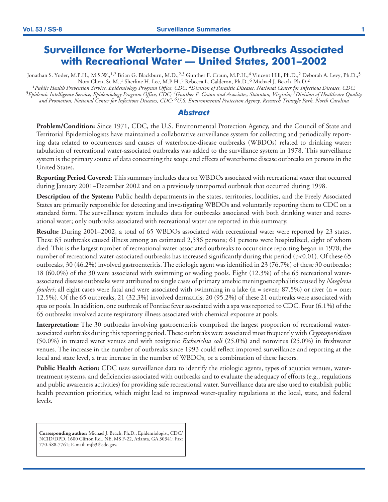# <span id="page-2-0"></span>**Surveillance for Waterborne-Disease Outbreaks Associated with Recreational Water — United States, 2001–2002**

Jonathan S. Yoder, M.P.H., M.S.W.,<sup>1,2</sup> Brian G. Blackburn, M.D.,<sup>2,3</sup> Gunther F. Craun, M.P.H.,<sup>4</sup> Vincent Hill, Ph.D.,<sup>2</sup> Deborah A. Levy, Ph.D.,<sup>5</sup> Nora Chen, Sc.M.,<sup>1</sup> Sherline H. Lee, M.P.H.,<sup>5</sup> Rebecca L. Calderon, Ph.D.,<sup>6</sup> Michael J. Beach, Ph.D.<sup>2</sup>

*1Public Health Prevention Service, Epidemiology Program Office, CDC; 2Division of Parasitic Diseases, National Center for Infectious Diseases, CDC; 3Epidemic Intelligence Service, Epidemiology Program Office, CDC; 4Gunther F. Craun and Associates, Staunton, Virginia; 5Division of Healthcare Quality and Promotion, National Center for Infectious Diseases, CDC; 6U.S. Environmental Protection Agency, Research Triangle Park, North Carolina*

#### *Abstract*

**Problem/Condition:** Since 1971, CDC, the U.S. Environmental Protection Agency, and the Council of State and Territorial Epidemiologists have maintained a collaborative surveillance system for collecting and periodically reporting data related to occurrences and causes of waterborne-disease outbreaks (WBDOs) related to drinking water; tabulation of recreational water-associated outbreaks was added to the survillance system in 1978. This surveillance system is the primary source of data concerning the scope and effects of waterborne disease outbreaks on persons in the United States**.**

**Reporting Period Covered:** This summary includes data on WBDOs associated with recreational water that occurred during January 2001–December 2002 and on a previously unreported outbreak that occurred during 1998.

**Description of the System:** Public health departments in the states, territories, localities, and the Freely Associated States are primarily responsible for detecting and investigating WBDOs and voluntarily reporting them to CDC on a standard form. The surveillance system includes data for outbreaks associated with both drinking water and recreational water; only outbreaks associated with recreational water are reported in this summary.

**Results:** During 2001–2002, a total of 65 WBDOs associated with recreational water were reported by 23 states. These 65 outbreaks caused illness among an estimated 2,536 persons; 61 persons were hospitalized, eight of whom died. This is the largest number of recreational water-associated outbreaks to occur since reporting began in 1978; the number of recreational water-associated outbreaks has increased significantly during this period (p<0.01). Of these 65 outbreaks, 30 (46.2%) involved gastroenteritis. The etiologic agent was identified in 23 (76.7%) of these 30 outbreaks; 18 (60.0%) of the 30 were associated with swimming or wading pools. Eight (12.3%) of the 65 recreational waterassociated disease outbreaks were attributed to single cases of primary amebic meningoencephalitis caused by *Naegleria fowleri*; all eight cases were fatal and were associated with swimming in a lake (n = seven; 87.5%) or river (n = one; 12.5%). Of the 65 outbreaks, 21 (32.3%) involved dermatitis; 20 (95.2%) of these 21 outbreaks were associated with spas or pools. In addition, one outbreak of Pontiac fever associated with a spa was reported to CDC. Four (6.1%) of the 65 outbreaks involved acute respiratory illness associated with chemical exposure at pools.

**Interpretation:** The 30 outbreaks involving gastroenteritis comprised the largest proportion of recreational waterassociated outbreaks during this reporting period. These outbreaks were associated most frequently with *Cryptosporidium* (50.0%) in treated water venues and with toxigenic *Escherichia coli* (25.0%) and norovirus (25.0%) in freshwater venues. The increase in the number of outbreaks since 1993 could reflect improved surveillance and reporting at the local and state level, a true increase in the number of WBDOs, or a combination of these factors.

**Public Health Action:** CDC uses surveillance data to identify the etiologic agents, types of aquatics venues, watertreatment systems, and deficiencies associated with outbreaks and to evaluate the adequacy of efforts (e.g., regulations and public awareness activities) for providing safe recreational water. Surveillance data are also used to establish public health prevention priorities, which might lead to improved water-quality regulations at the local, state, and federal levels.

**Corresponding author:** Michael J. Beach, Ph.D., Epidemiologist, CDC/ NCID/DPD, 1600 Clifton Rd., NE, MS F-22, Atlanta, GA 30341; Fax: 770-488-7761; E-mail: mjb3@cdc.gov.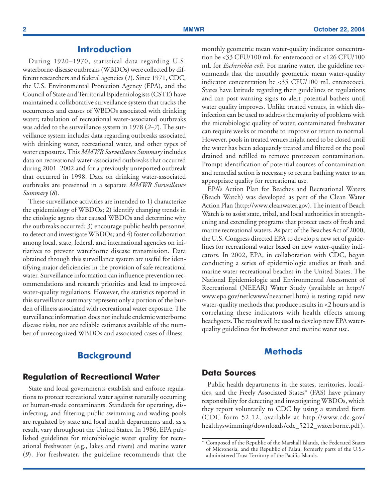# **Introduction**

<span id="page-3-0"></span>During 1920–1970, statistical data regarding U.S. waterborne-disease outbreaks (WBDOs) were collected by different researchers and federal agencies (*1*). Since 1971, CDC, the U.S. Environmental Protection Agency (EPA), and the Council of State and Territorial Epidemiologists (CSTE) have maintained a collaborative surveillance system that tracks the occurrences and causes of WBDOs associated with drinking water; tabulation of recreational water-associated outbreaks was added to the surveillance system in 1978 (*2–7*). The surveillance system includes data regarding outbreaks associated with drinking water, recreational water, and other types of water exposures. This *MMWR Surveillance Summary* includes data on recreational water-associated outbreaks that occurred during 2001–2002 and for a previously unreported outbreak that occurred in 1998. Data on drinking water-associated outbreaks are presented in a separate *MMWR Surveillance Summary* (*8*).

These surveillance activities are intended to 1) characterize the epidemiology of WBDOs; 2) identify changing trends in the etiologic agents that caused WBDOs and determine why the outbreaks occurred; 3) encourage public health personnel to detect and investigate WBDOs; and 4) foster collaboration among local, state, federal, and international agencies on initiatives to prevent waterborne disease transmission. Data obtained through this surveillance system are useful for identifying major deficiencies in the provision of safe recreational water. Surveillance information can influence prevention recommendations and research priorities and lead to improved water-quality regulations. However, the statistics reported in this surveillance summary represent only a portion of the burden of illness associated with recreational water exposure. The surveillance information does not include endemic waterborne disease risks, nor are reliable estimates available of the number of unrecognized WBDOs and associated cases of illness.

# **Background**

## **Regulation of Recreational Water**

State and local governments establish and enforce regulations to protect recreational water against naturally occurring or human-made contaminants. Standards for operating, disinfecting, and filtering public swimming and wading pools are regulated by state and local health departments and, as a result, vary throughout the United States. In 1986, EPA published guidelines for microbiologic water quality for recreational freshwater (e.g., lakes and rivers) and marine water (*9*). For freshwater, the guideline recommends that the monthly geometric mean water-quality indicator concentration be <33 CFU/100 mL for enterococci or <126 CFU/100 mL for *Escherichia coli*. For marine water, the guideline recommends that the monthly geometric mean water-quality indicator concentration be  $\leq$ 35 CFU/100 mL enterococci. States have latitude regarding their guidelines or regulations and can post warning signs to alert potential bathers until water quality improves. Unlike treated venues, in which disinfection can be used to address the majority of problems with the microbiologic quality of water, contaminated freshwater can require weeks or months to improve or return to normal. However, pools in treated venues might need to be closed until the water has been adequately treated and filtered or the pool drained and refilled to remove protozoan contamination. Prompt identification of potential sources of contamination and remedial action is necessary to return bathing water to an appropriate quality for recreational use.

EPA's Action Plan for Beaches and Recreational Waters (Beach Watch) was developed as part of the Clean Water Action Plan [\(http://www.cleanwater.gov\)](http://www.cleanwater.gov). The intent of Beach Watch is to assist state, tribal, and local authorities in strengthening and extending programs that protect users of fresh and marine recreational waters. As part of the Beaches Act of 2000, the U.S. Congress directed EPA to develop a new set of guidelines for recreational water based on new water-quality indicators. In 2002, EPA, in collaboration with CDC, began conducting a series of epidemiologic studies at fresh and marine water recreational beaches in the United States. The National Epidemiologic and Environmental Assessment of Recreational (NEEAR) Water Study (available at [http://](http://www.epa.gov/nerlcwww/neearnerl.htm) [www.epa.gov/nerlcwww/neearnerl.htm\)](http://www.epa.gov/nerlcwww/neearnerl.htm) is testing rapid new water-quality methods that produce results in <2 hours and is correlating these indicators with health effects among beachgoers. The results will be used to develop new EPA waterquality guidelines for freshwater and marine water use.

# **Methods**

## **Data Sources**

Public health departments in the states, territories, localities, and the Freely Associated States\* (FAS) have primary responsibility for detecting and investigating WBDOs, which they report voluntarily to CDC by using a standard form (CDC form 52.12, available at [http://www.cdc.gov/](http://www.cdc.gov/healthyswimming/downloads/cdc_5212_waterborne.pdf) [healthyswimming/downloads/cdc\\_5212\\_waterborne.pdf \)](http://www.cdc.gov/healthyswimming/downloads/cdc_5212_waterborne.pdf).

<sup>\*</sup> Composed of the Republic of the Marshall Islands, the Federated States of Micronesia, and the Republic of Palau; formerly parts of the U.S. administered Trust Territory of the Pacific Islands.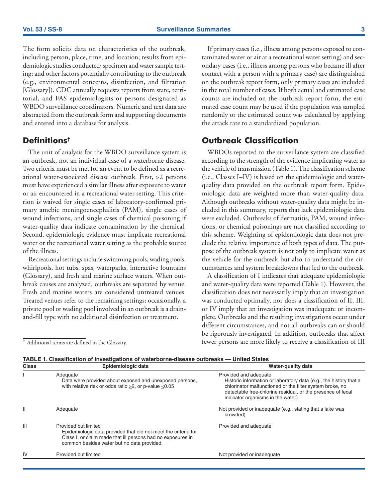The form solicits data on characteristics of the outbreak, including person, place, time, and location; results from epidemiologic studies conducted; specimen and water sample testing; and other factors potentially contributing to the outbreak (e.g., environmental concerns, disinfection, and filtration [Glossary]). CDC annually requests reports from state, territorial, and FAS epidemiologists or persons designated as WBDO surveillance coordinators. Numeric and text data are abstracted from the outbreak form and supporting documents and entered into a database for analysis.

## **Definitions†**

The unit of analysis for the WBDO surveillance system is an outbreak, not an individual case of a waterborne disease. Two criteria must be met for an event to be defined as a recreational water-associated disease outbreak. First,  $\geq 2$  persons must have experienced a similar illness after exposure to water or air encountered in a recreational water setting. This criterion is waived for single cases of laboratory-confirmed primary amebic meningoencephalitis (PAM), single cases of wound infections, and single cases of chemical poisoning if water-quality data indicate contamination by the chemical. Second, epidemiologic evidence must implicate recreational water or the recreational water setting as the probable source of the illness.

Recreational settings include swimming pools, wading pools, whirlpools, hot tubs, spas, waterparks, interactive fountains (Glossary), and fresh and marine surface waters. When outbreak causes are analyzed, outbreaks are separated by venue. Fresh and marine waters are considered untreated venues. Treated venues refer to the remaining settings; occasionally, a private pool or wading pool involved in an outbreak is a drainand-fill type with no additional disinfection or treatment.

If primary cases (i.e., illness among persons exposed to contaminated water or air at a recreational water setting) and secondary cases (i.e., illness among persons who became ill after contact with a person with a primary case) are distinguished on the outbreak report form, only primary cases are included in the total number of cases. If both actual and estimated case counts are included on the outbreak report form, the estimated case count may be used if the population was sampled randomly or the estimated count was calculated by applying the attack rate to a standardized population.

# **Outbreak Classification**

WBDOs reported to the surveillance system are classified according to the strength of the evidence implicating water as the vehicle of transmission (Table 1). The classification scheme (i.e., Classes I–IV) is based on the epidemiologic and waterquality data provided on the outbreak report form. Epidemiologic data are weighted more than water-quality data. Although outbreaks without water-quality data might be included in this summary, reports that lack epidemiologic data were excluded. Outbreaks of dermatitis, PAM, wound infections, or chemical poisonings are not classified according to this scheme. Weighting of epidemiologic data does not preclude the relative importance of both types of data. The purpose of the outbreak system is not only to implicate water as the vehicle for the outbreak but also to understand the circumstances and system breakdowns that led to the outbreak.

A classification of I indicates that adequate epidemiologic and water-quality data were reported (Table 1). However, the classification does not necessarily imply that an investigation was conducted optimally, nor does a classification of II, III, or IV imply that an investigation was inadequate or incomplete. Outbreaks and the resulting investigations occur under different circumstances, and not all outbreaks can or should be rigorously investigated. In addition, outbreaks that affect fewer persons are more likely to receive a classification of III

† Additional terms are defined in the Glossary.

| TABLE 1. Classification of investigations of waterborne-disease outbreaks — United States |  |
|-------------------------------------------------------------------------------------------|--|

| <b>Class</b> | Epidemiologic data                                                                                                                                                                                  | Water-quality data                                                                                                                                                                                                                                         |
|--------------|-----------------------------------------------------------------------------------------------------------------------------------------------------------------------------------------------------|------------------------------------------------------------------------------------------------------------------------------------------------------------------------------------------------------------------------------------------------------------|
|              | Adequate<br>Data were provided about exposed and unexposed persons,<br>with relative risk or odds ratio $\geq$ 2, or p-value $\leq$ 0.05                                                            | Provided and adequate<br>Historic information or laboratory data (e.g., the history that a<br>chlorinator malfunctioned or the filter system broke, no<br>detectable free-chlorine residual, or the presence of fecal<br>indicator organisms in the water) |
| Ш            | Adequate                                                                                                                                                                                            | Not provided or inadequate (e.g., stating that a lake was<br>crowded)                                                                                                                                                                                      |
| Ш            | Provided but limited<br>Epidemiologic data provided that did not meet the criteria for<br>Class I, or claim made that ill persons had no exposures in<br>common besides water but no data provided. | Provided and adequate                                                                                                                                                                                                                                      |
| IV           | Provided but limited                                                                                                                                                                                | Not provided or inadequate                                                                                                                                                                                                                                 |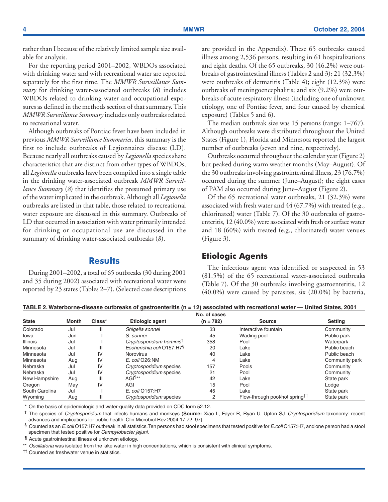<span id="page-5-0"></span>rather than I because of the relatively limited sample size available for analysis.

For the reporting period 2001–2002, WBDOs associated with drinking water and with recreational water are reported separately for the first time. The *MMWR Surveillance Summary* for drinking water-associated outbreaks (*8*) includes WBDOs related to drinking water and occupational exposures as defined in the methods section of that summary. This *MMWR Surveillance Summary* includes only outbreaks related to recreational water.

Although outbreaks of Pontiac fever have been included in previous *MMWR Surveillance Summaries*, this summary is the first to include outbreaks of Legionnaires disease (LD). Because nearly all outbreaks caused by *Legionella* species share characteristics that are distinct from other types of WBDOs, all *Legionella* outbreaks have been compiled into a single table in the drinking water-associated outbreak *MMWR Surveillance Summary* (*8*) that identifies the presumed primary use of the water implicated in the outbreak. Although all *Legionella* outbreaks are listed in that table, those related to recreational water exposure are discussed in this summary. Outbreaks of LD that occurred in association with water primarily intended for drinking or occupational use are discussed in the summary of drinking water-associated outbreaks (*8*).

## **Results**

During 2001–2002, a total of 65 outbreaks (30 during 2001 and 35 during 2002) associated with recreational water were reported by 23 states (Tables 2–7). (Selected case descriptions are provided in the Appendix). These 65 outbreaks caused illness among 2,536 persons, resulting in 61 hospitalizations and eight deaths. Of the 65 outbreaks, 30 (46.2%) were outbreaks of gastrointestinal illness (Tables 2 and 3); 21 (32.3%) were outbreaks of dermatitis (Table 4); eight (12.3%) were outbreaks of meningoencephalitis; and six (9.2%) were outbreaks of acute respiratory illness (including one of unknown etiology, one of Pontiac fever, and four caused by chemical exposure) (Tables 5 and 6).

The median outbreak size was 15 persons (range: 1–767). Although outbreaks were distributed throughout the United States (Figure 1), Florida and Minnesota reported the largest number of outbreaks (seven and nine, respectively).

Outbreaks occurred throughout the calendar year (Figure 2) but peaked during warm weather months (May–August). Of the 30 outbreaks involving gastrointestinal illness, 23 (76.7%) occurred during the summer (June–August); the eight cases of PAM also occurred during June–August (Figure 2).

Of the 65 recreational water outbreaks, 21 (32.3%) were associated with fresh water and 44 (67.7%) with treated (e.g., chlorinated) water (Table 7). Of the 30 outbreaks of gastroenteritis, 12 (40.0%) were associated with fresh or surface water and 18 (60%) with treated (e.g., chlorinated) water venues (Figure 3).

## **Etiologic Agents**

The infectious agent was identified or suspected in 53 (81.5%) of the 65 recreational water-associated outbreaks (Table 7). Of the 30 outbreaks involving gastroenteritis, 12 (40.0%) were caused by parasites, six (20.0%) by bacteria,

**TABLE 2. Waterborne-disease outbreaks of gastroenteritis (n = 12) associated with recreational water — United States, 2001**

|                 | No. of cases |        |                                      |             |                                            |                |  |  |
|-----------------|--------------|--------|--------------------------------------|-------------|--------------------------------------------|----------------|--|--|
| <b>State</b>    | <b>Month</b> | Class* | Etiologic agent                      | $(n = 782)$ | <b>Source</b>                              | <b>Setting</b> |  |  |
| Colorado        | Jul          | Ш      | Shigella sonnei                      | 33          | Interactive fountain                       | Community      |  |  |
| lowa            | Jun          |        | S. sonnei                            | 45          | Wading pool                                | Public park    |  |  |
| <b>Illinois</b> | Jul          |        | Cryptosporidium hominis <sup>t</sup> | 358         | Pool                                       | Waterpark      |  |  |
| Minnesota       | Jul          | Ш      | Escherichia coli O157:H7§            | 20          | Lake                                       | Public beach   |  |  |
| Minnesota       | Jul          | IV     | <b>Norovirus</b>                     | 40          | Lake                                       | Public beach   |  |  |
| Minnesota       | Aug          | IV     | E. coli Q26:NM                       | 4           | Lake                                       | Community park |  |  |
| Nebraska        | Jul          | IV     | Cryptosporidium species              | 157         | Pools                                      | Community      |  |  |
| Nebraska        | Jul          | IV     | Cryptosporidium species              | 21          | Pool                                       | Community      |  |  |
| New Hampshire   | Aug          | Ш      | AGI <sup>¶</sup> **                  | 42          | Lake                                       | State park     |  |  |
| Oregon          | Mav          | IV     | AGI                                  | 15          | Pool                                       | Lodge          |  |  |
| South Carolina  | Jul          |        | E. coli 0157:H7                      | 45          | Lake                                       | State park     |  |  |
| Wyoming         | Aug          | Ш      | Cryptosporidium species              | 2           | Flow-through pool/hot spring <sup>tt</sup> | State park     |  |  |

\* On the basis of epidemiologic and water-quality data provided on CDC form 52.12.

† The species of Cryptosporidium that infects humans and monkeys (**Source:** Xiao L, Fayer R, Ryan U, Upton SJ. Cryptosporidium taxonomy: recent advances and implications for public health. Clin Microbiol Rev 2004;17:72–97).

§ Counted as an E.coli O157:H7 outbreak in all statistics. Ten persons had stool specimens that tested positive for E.coli O157:H7, and one person had a stool specimen that tested positive for Campylobacter jejuni.

¶ Acute gastrointestinal illness of unknown etiology.

Oscillatoria was isolated from the lake water in high concentrations, which is consistent with clinical symptoms.

†† Counted as freshwater venue in statistics.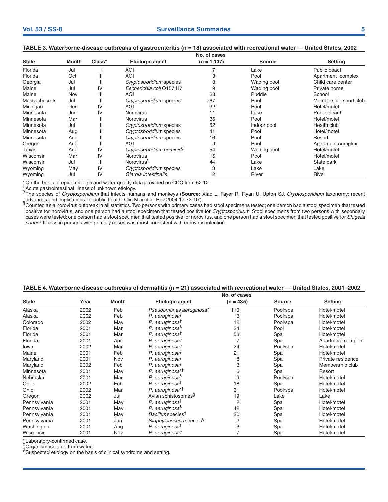| No. of cases         |              |        |                                      |                |               |                       |
|----------------------|--------------|--------|--------------------------------------|----------------|---------------|-----------------------|
| <b>State</b>         | <b>Month</b> | Class* | Etiologic agent                      | $(n = 1, 137)$ | <b>Source</b> | <b>Setting</b>        |
| Florida              | Jul          |        | AGI <sup>t</sup>                     |                | Lake          | Public beach          |
| Florida              | Oct          | Ш      | AGI                                  |                | Pool          | Apartment complex     |
| Georgia              | Jul          | Ш      | <i>Cryptosporidium</i> species       |                | Wading pool   | Child care center     |
| Maine                | Jul          | IV     | Escherichia coli O157:H7             | 9              | Wading pool   | Private home          |
| Maine                | Nov          | Ш      | AGI                                  | 33             | Puddle        | School                |
| <b>Massachusetts</b> | Jul          | Ш      | Cryptosporidium species              | 767            | Pool          | Membership sport club |
| Michigan             | Dec          | IV     | AGI                                  | 32             | Pool          | Hotel/motel           |
| Minnesota            | Jun          | IV     | <b>Norovirus</b>                     | 11             | Lake          | Public beach          |
| Minnesota            | Mar          | Ш      | Norovirus                            | 36             | Pool          | Hotel/motel           |
| Minnesota            | Jul          | Ш      | Cryptosporidium species              | 52             | Indoor pool   | Health club           |
| Minnesota            | Aug          | Ш      | Cryptosporidium species              | 41             | Pool          | Hotel/motel           |
| Minnesota            | Aug          | Ш      | Cryptosporidium species              | 16             | Pool          | Resort                |
| Oregon               | Aug          | Ш      | AGI                                  | 9              | Pool          | Apartment complex     |
| Texas                | Aug          | IV     | Cryptosporidium hominis <sup>§</sup> | 54             | Wading pool   | Hotel/motel           |
| Wisconsin            | Mar          | IV     | <b>Norovirus</b>                     | 15             | Pool          | Hotel/motel           |
| Wisconsin            | Jul          | Ш      | Norovirus <sup>1</sup>               | 44             | Lake          | State park            |
| Wyoming              | May          | IV     | Cryptosporidium species              | 3              | Lake          | Lake                  |
| Wyoming              | Jul          | IV     | Giardia intestinalis                 | 2              | River         | River                 |

#### **TABLE 3. Waterborne-disease outbreaks of gastroenteritis (n = 18) associated with recreational water — United States, 2002**

\* On the basis of epidemiologic and water-quality data provided on CDC form 52.12. †

Acute gastrointestinal illness of unknown etiology.

The species of Cryptosporidium that infects humans and monkeys (**Source:** Xiao L, Fayer R, Ryan U, Upton SJ. Cryptosporidium taxonomy: recent

<sub>n</sub> advances and implications for public health. Clin Microbiol Rev 2004;17:72–97).<br><sup>¶</sup>Counted as a norovirus outbreak in all statistics. Two persons with primary cases had stool specimens tested; one person had a stool sp positive for norovirus, and one person had a stool specimen that tested positive for Cryptosporidium. Stool specimens from two persons with secondary cases were tested; one person had a stool specimen that tested positive for norovirus, and one person had a stool specimen that tested positive for Shigella sonnei. Illness in persons with primary cases was most consistent with norovirus infection.

#### **TABLE 4. Waterborne-disease outbreaks of dermatitis (n = 21) associated with recreational water — United States, 2001–2002**

|              |      |       |                                      | No. of cases |               |                   |
|--------------|------|-------|--------------------------------------|--------------|---------------|-------------------|
| <b>State</b> | Year | Month | <b>Etiologic agent</b>               | $(n = 435)$  | <b>Source</b> | <b>Setting</b>    |
| Alaska       | 2002 | Feb   | Pseudomonas aeruginosa* <sup>†</sup> | 110          | Pool/spa      | Hotel/motel       |
| Alaska       | 2002 | Feb   | P. aeruginosa <sup>§</sup>           | 3            | Pool/spa      | Hotel/motel       |
| Colorado     | 2002 | May   | P. aeruginosa <sup>t</sup>           | 12           | Pool/spa      | Hotel/motel       |
| Florida      | 2001 | Mar   | P. aeruginosa <sup>§</sup>           | 34           | Pool          | Hotel/motel       |
| Florida      | 2001 | Mar   | P. aeruginosa <sup>t</sup>           | 53           | Spa           | Hotel/motel       |
| Florida      | 2001 | Apr   | P. aeruginosa <sup>§</sup>           |              | Spa           | Apartment complex |
| lowa         | 2002 | Mar   | P. aeruginosa <sup>§</sup>           | 24           | Pool/spa      | Hotel/motel       |
| Maine        | 2001 | Feb   | P. aeruginosa <sup>§</sup>           | 21           | Spa           | Hotel/motel       |
| Maryland     | 2001 | Nov   | P. aeruginosa <sup>§</sup>           | 8            | Spa           | Private residence |
| Maryland     | 2002 | Feb   | P. aeruginosa <sup>§</sup>           | 3            | Spa           | Membership club   |
| Minnesota    | 2001 | May   | P. aeruginosa* <sup>†</sup>          | 6            | Spa           | Resort            |
| Nebraska     | 2001 | Mar   | P. aeruginosa <sup>§</sup>           | 9            | Pool/spa      | Hotel/motel       |
| Ohio         | 2002 | Feb   | P. aeruginosa <sup>t</sup>           | 18           | Spa           | Hotel/motel       |
| Ohio         | 2002 | Mar   | P. aeruginosa* <sup>†</sup>          | 31           | Pool/spa      | Hotel/motel       |
| Oregon       | 2002 | Jul   | Avian schistosomes <sup>§</sup>      | 19           | Lake          | Lake              |
| Pennsylvania | 2001 | May   | P. aeruginosa <sup>T</sup>           | 2            | Spa           | Hotel/motel       |
| Pennsylvania | 2001 | May   | P. aeruginosa <sup>§</sup>           | 42           | Spa           | Hotel/motel       |
| Pennsylvania | 2001 | May   | Bacillus species <sup>†</sup>        | 20           | Spa           | Hotel/motel       |
| Pennsylvania | 2001 | Jun   | Staphylococcus species <sup>§</sup>  | 3            | Spa           | Hotel/motel       |
| Washington   | 2001 | Aug   | P. aeruginosa <sup>t</sup>           | 3            | Spa           | Hotel/motel       |
| Wisconsin    | 2001 | Nov   | P. aeruginosa <sup>§</sup>           |              | Spa           | Hotel/motel       |

\* Laboratory-confirmed case.

Organism isolated from water. §

<sup>§</sup> Suspected etiology on the basis of clinical syndrome and setting.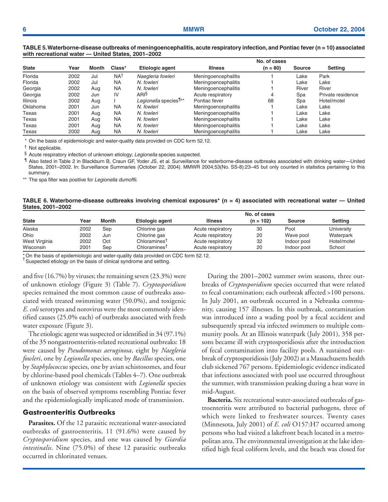|              |      |       |                 |                                    |                     | No. of cases |               |                   |
|--------------|------|-------|-----------------|------------------------------------|---------------------|--------------|---------------|-------------------|
| <b>State</b> | Year | Month | Class*          | <b>Etiologic agent</b>             | <b>Illness</b>      | $(n = 80)$   | <b>Source</b> | <b>Setting</b>    |
| Florida      | 2002 | Jul   | NA <sup>t</sup> | Naegleria fowleri                  | Meningoencephalitis |              | Lake          | Park              |
| Florida      | 2002 | Jul   | <b>NA</b>       | N. fowleri                         | Meningoencephalitis |              | Lake          | Lake              |
| Georgia      | 2002 | Aug   | <b>NA</b>       | N. fowleri                         | Meningoencephalitis |              | River         | River             |
| Georgia      | 2002 | Jun   | IV              | <b>ARIS</b>                        | Acute respiratory   | 4            | Spa           | Private residence |
| Illinois     | 2002 | Aug   |                 | Legionella species <sup>1</sup> ** | Pontiac fever       | 68           | Spa           | Hotel/motel       |
| Oklahoma     | 2001 | Jun   | <b>NA</b>       | N. fowleri                         | Meningoencephalitis |              | Lake          | Lake              |
| Texas        | 2001 | Aug   | <b>NA</b>       | N. fowleri                         | Meningoencephalitis |              | Lake          | Lake              |
| Texas        | 2001 | Aua   | <b>NA</b>       | N. fowleri                         | Meningoencephalitis |              | Lake          | Lake              |
| Texas        | 2001 | Aua   | <b>NA</b>       | N. fowleri                         | Meningoencephalitis |              | Lake          | Lake              |
| Texas        | 2002 | Aug   | <b>NA</b>       | N. fowleri                         | Meningoencephalitis |              | Lake          | Lake              |

#### **TABLE 5. Waterborne-disease outbreaks of meningoencephalitis, acute respiratory infection, and Pontiac fever (n = 10) associated with recreational water — United States, 2001–2002**

\* On the basis of epidemiologic and water-quality data provided on CDC form 52.12.

† Not applicable.

§ Acute respiratory infection of unknown etiology; Legionella species suspected.

¶ Also listed in Table 2 in Blackburn B, Craun GF, Yoder JS, et al. Surveillance for waterborne-disease outbreaks associated with drinking water—United States, 2001–2002. In: Surveillance Summaries (October 22, 2004). MMWR 2004;53(No. SS-8):23–45 but only counted in statistics pertaining to this summary.

\*\* The spa filter was positive for Legionella dumoffii.

**TABLE 6. Waterborne-disease outbreaks involving chemical exposures\* (n = 4) associated with recreational water — United States, 2001–2002**

|                  |      |       |                          |                   | No. of cases |               |                |
|------------------|------|-------|--------------------------|-------------------|--------------|---------------|----------------|
| <b>State</b>     | Year | Month | Etiologic agent          | <b>Illness</b>    | $(n = 102)$  | <b>Source</b> | <b>Setting</b> |
| Alaska           | 2002 | Sep   | Chlorine gas             | Acute respiratory | 30           | Pool          | University     |
| Ohio             | 2002 | Jun   | Chlorine gas             | Acute respiratory | 20           | Wave pool     | Waterpark      |
| West Virginia    | 2002 | Oct   | Chloramines <sup>1</sup> | Acute respiratory | 32           | Indoor pool   | Hotel/motel    |
| <b>Wisconsin</b> | 2001 | Sep   | Chloramines <sup>†</sup> | Acute respiratory | 20           | Indoor pool   | School         |

\* On the basis of epidemiologic and water-quality data provided on CDC form 52.12. †

<sup>T</sup> Suspected etiology on the basis of clinical syndrome and setting.

and five (16.7%) by viruses; the remaining seven (23.3%) were of unknown etiology (Figure 3) (Table 7). *Cryptosporidium* species remained the most common cause of outbreaks associated with treated swimming water (50.0%), and toxigenic *E. coli* serotypes and norovirus were the most commonly identified causes (25.0% each) of outbreaks associated with fresh water exposure (Figure 3).

The etiologic agent was suspected or identified in 34 (97.1%) of the 35 nongastroenteritis-related recreational outbreaks: 18 were caused by *Pseudomonas aeruginosa*, eight by *Naegleria fowleri*, one by *Legionella* species, one by *Bacillus* species, one by *Staphylococcus* species, one by avian schistosomes, and four by chlorine-based pool chemicals (Tables 4–7). One outbreak of unknown etiology was consistent with *Legionella* species on the basis of observed symptoms resembling Pontiac fever and the epidemiologically implicated mode of transmission.

#### **Gastroenteritis Outbreaks**

**Parasites.** Of the 12 parasitic recreational water-associated outbreaks of gastroenteritis, 11 (91.6%) were caused by *Cryptosporidium* species, and one was caused by *Giardia intestinalis*. Nine (75.0%) of these 12 parasitic outbreaks occurred in chlorinated venues.

During the 2001–2002 summer swim seasons, three outbreaks of *Cryptosporidium* species occurred that were related to fecal contamination; each outbreak affected >100 persons. In July 2001, an outbreak occurred in a Nebraska community, causing 157 illnesses. In this outbreak, contamination was introduced into a wading pool by a fecal accident and subsequently spread via infected swimmers to multiple community pools. At an Illinois waterpark (July 2001), 358 persons became ill with cryptosporidiosis after the introduction of fecal contamination into facility pools. A sustained outbreak of cryptosporidiosis (July 2002) at a Massachusetts health club sickened 767 persons. Epidemiologic evidence indicated that infections associated with pool use occurred throughout the summer, with transmission peaking during a heat wave in mid-August.

**Bacteria.** Six recreational water-associated outbreaks of gastroenteritis were attributed to bacterial pathogens, three of which were linked to freshwater sources. Twenty cases (Minnesota, July 2001) of *E. coli* O157:H7 occurred among persons who had visited a lakefront beach located in a metropolitan area. The environmental investigation at the lake identified high fecal coliform levels, and the beach was closed for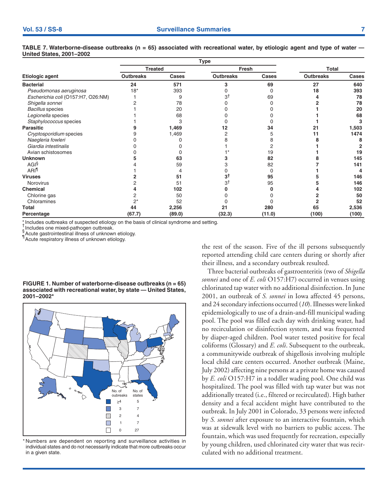|                                    | <b>Treated</b>   |              | Fresh            |              | <b>Total</b>     |              |
|------------------------------------|------------------|--------------|------------------|--------------|------------------|--------------|
| Etiologic agent                    | <b>Outbreaks</b> | <b>Cases</b> | <b>Outbreaks</b> | <b>Cases</b> | <b>Outbreaks</b> | <b>Cases</b> |
| <b>Bacterial</b>                   | 24               | 571          | 3                | 69           | 27               | 640          |
| Pseudomonas aeruginosa             | $18*$            | 393          |                  | 0            | 18               | 393          |
| Escherichia coli (O157:H7, O26:NM) |                  | 9            | 31               | 69           |                  | 78           |
| Shigella sonnei                    |                  | 78           |                  |              |                  | 78           |
| <b>Bacillus</b> species            |                  | 20           |                  |              |                  | 20           |
| Legionella species                 |                  | 68           |                  |              |                  | 68           |
| Staphylococcus species             |                  | 3            |                  |              |                  |              |
| <b>Parasitic</b>                   |                  | 1,469        | 12               | 34           | 21               | 1,503        |
| Cryptosporidium species            |                  | 1,469        |                  | 5            | 11               | 1474         |
| Naegleria fowleri                  |                  |              |                  |              |                  |              |
| Giardia intestinalis               |                  |              |                  |              |                  |              |
| Avian schistosomes                 |                  |              |                  | 19           |                  | 19           |
| <b>Unknown</b>                     |                  | 63           |                  | 82           |                  | 145          |
| AGIS                               |                  | 59           |                  | 82           |                  | 141          |
| ARI                                |                  |              |                  | 0            |                  |              |
| <b>Viruses</b>                     |                  | 51           | 31               | 95           |                  | 146          |
| <b>Norovirus</b>                   |                  | 51           | 31               | 95           |                  | 146          |
| <b>Chemical</b>                    |                  | 102          |                  |              |                  | 102          |
| Chlorine gas                       |                  | 50           |                  |              |                  | 50           |
| Chloramines                        | $2^*$            | 52           |                  |              |                  | 52           |
| <b>Total</b>                       | 44               | 2,256        | 21               | 280          | 65               | 2,536        |
| Percentage                         | (67.7)           | (89.0)       | (32.3)           | (11.0)       | (100)            | (100)        |

**TABLE 7. Waterborne-disease outbreaks (n = 65) associated with recreational water, by etiologic agent and type of water — United States, 2001–2002**

\* Includes outbreaks of suspected etiology on the basis of clinical syndrome and setting. †

the matrix one mixed-pathogen outbreak.

Acute gastrointestinal illness of unknown etiology. ¶

**Acute respiratory illness of unknown etiology.** 

**FIGURE 1. Number of waterborne-disease outbreaks (n = 65) associated with recreational water, by state — United States, 2001–2002\***



\* Numbers are dependent on reporting and surveillance activities in individual states and do not necessarily indicate that more outbreaks occur in a given state.

the rest of the season. Five of the ill persons subsequently reported attending child care centers during or shortly after their illness, and a secondary outbreak resulted.

Three bacterial outbreaks of gastroenteritis (two of *Shigella sonnei* and one of *E. coli* O157:H7) occurred in venues using chlorinated tap water with no additional disinfection. In June 2001, an outbreak of *S. sonnei* in Iowa affected 45 persons, and 24 secondary infections occurred (*10*). Illnesses were linked epidemiologically to use of a drain-and-fill municipal wading pool. The pool was filled each day with drinking water, had no recirculation or disinfection system, and was frequented by diaper-aged children. Pool water tested positive for fecal coliforms (Glossary) and *E. coli*. Subsequent to the outbreak, a communitywide outbreak of shigellosis involving multiple local child care centers occurred. Another outbreak (Maine, July 2002) affecting nine persons at a private home was caused by *E. coli* O157:H7 in a toddler wading pool. One child was hospitalized. The pool was filled with tap water but was not additionally treated (i.e., filtered or recirculated). High bather density and a fecal accident might have contributed to the outbreak. In July 2001 in Colorado, 33 persons were infected by *S. sonnei* after exposure to an interactive fountain, which was at sidewalk level with no barriers to public access. The fountain, which was used frequently for recreation, especially by young children, used chlorinated city water that was recirculated with no additional treatment.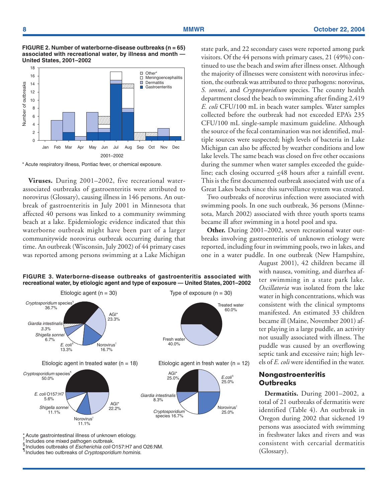





**Viruses.** During 2001–2002, five recreational waterassociated outbreaks of gastroenteritis were attributed to norovirus (Glossary), causing illness in 146 persons. An outbreak of gastroenteritis in July 2001 in Minnesota that affected 40 persons was linked to a community swimming beach at a lake. Epidemiologic evidence indicated that this waterborne outbreak might have been part of a larger communitywide norovirus outbreak occurring during that time. An outbreak (Wisconsin, July 2002) of 44 primary cases was reported among persons swimming at a Lake Michigan

**recreational water, by etiologic agent and type of exposure — United States, 2001–2002 Fresh wate** 40.0% Treated water 60.0% Cryptosporidium species 16.7%  $E$ .coli 25.0% AGI\* 25.0% **Norovirus** 25.0% Etiologic agent in fresh water  $(n = 12)$ Giardia intestinalis 8.3% Type of exposure  $(n = 30)$ Cryptosporidium species<sup>1</sup> 36.7% Shigella sonnei 6.7% E. coli 13.3% AGI\* 23.3% Norovirus† 16.7% Etiologic agent in treated water ( $n = 18$ ) Cryptosporidium species 50.0% Giardia intestinalis 3.3% AGI\* 22.2% **Norovirus** 11.1% Etiologic agent ( $n = 30$ ) Shigella sonnei 11.1% E. coli O157:H7 5.6%

**FIGURE 3. Waterborne-disease outbreaks of gastroenteritis associated with**

Acute gastrointestinal illness of unknown etiology.

smeasure on the part of Escherichia coli O157:H7 and O26:NM.

<sup>1</sup> Includes two outbreaks of Cryptosporidium hominis.

state park, and 22 secondary cases were reported among park visitors. Of the 44 persons with primary cases, 21 (49%) continued to use the beach and swim after illness onset. Although the majority of illnesses were consistent with norovirus infection, the outbreak was attributed to three pathogens: norovirus, *S. sonnei*, and *Cryptosporidium* species. The county health department closed the beach to swimming after finding 2,419 *E. coli* CFU/100 mL in beach water samples. Water samples collected before the outbreak had not exceeded EPA's 235 CFU/100 mL single-sample maximum guideline. Although the source of the fecal contamination was not identified, multiple sources were suspected; high levels of bacteria in Lake Michigan can also be affected by weather conditions and low lake levels. The same beach was closed on five other occasions during the summer when water samples exceeded the guideline; each closing occurred  $\leq 48$  hours after a rainfall event. This is the first documented outbreak associated with use of a Great Lakes beach since this surveillance system was created.

Two outbreaks of norovirus infection were associated with swimming pools. In one such outbreak, 36 persons (Minnesota, March 2002) associated with three youth sports teams became ill after swimming in a hotel pool and spa.

**Other.** During 2001–2002, seven recreational water outbreaks involving gastroenteritis of unknown etiology were reported, including four in swimming pools, two in lakes, and one in a water puddle. In one outbreak (New Hampshire,

> August 2001), 42 children became ill with nausea, vomiting, and diarrhea after swimming in a state park lake. *Oscillatoria* was isolated from the lake water in high concentrations, which was consistent with the clinical symptoms manifested. An estimated 33 children became ill (Maine, November 2001) after playing in a large puddle, an activity not usually associated with illness. The puddle was caused by an overflowing septic tank and excessive rain; high levels of *E. coli* were identified in the water.

### **Nongastroenteritis Outbreaks**

**Dermatitis.** During 2001–2002, a total of 21 outbreaks of dermatitis were identified (Table 4). An outbreak in Oregon during 2002 that sickened 19 persons was associated with swimming in freshwater lakes and rivers and was consistent with cercarial dermatitis (Glossary).

<sup>&</sup>lt;sup>1</sup> Includes one mixed pathogen outbreak.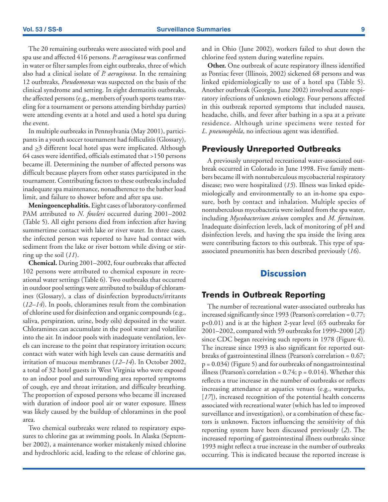<span id="page-10-0"></span>The 20 remaining outbreaks were associated with pool and spa use and affected 416 persons. *P. aeruginosa* was confirmed in water or filter samples from eight outbreaks, three of which also had a clinical isolate of *P. aeruginosa*. In the remaining 12 outbreaks, *Pseudomonas* was suspected on the basis of the clinical syndrome and setting. In eight dermatitis outbreaks, the affected persons (e.g., members of youth sports teams traveling for a tournament or persons attending birthday parties) were attending events at a hotel and used a hotel spa during the event.

In multiple outbreaks in Pennsylvania (May 2001), participants in a youth soccer tournament had folliculitis (Glossary), and  $\geq$ 3 different local hotel spas were implicated. Although 64 cases were identified, officials estimated that >150 persons became ill. Determining the number of affected persons was difficult because players from other states participated in the tournament. Contributing factors to these outbreaks included inadequate spa maintenance, nonadherence to the bather load limit, and failure to shower before and after spa use.

**Meningoencephalitis.** Eight cases of laboratory-confirmed PAM attributed to *N. fowleri* occurred during 2001–2002 (Table 5). All eight persons died from infection after having summertime contact with lake or river water. In three cases, the infected person was reported to have had contact with sediment from the lake or river bottom while diving or stirring up the soil (*11*).

**Chemical.** During 2001–2002, four outbreaks that affected 102 persons were attributed to chemical exposure in recreational water settings (Table 6). Two outbreaks that occurred in outdoor pool settings were attributed to buildup of chloramines (Glossary), a class of disinfection byproducts/irritants (*12–14*). In pools, chloramines result from the combination of chlorine used for disinfection and organic compounds (e.g., saliva, perspiration, urine, body oils) deposited in the water. Chloramines can accumulate in the pool water and volatilize into the air. In indoor pools with inadequate ventilation, levels can increase to the point that respiratory irritation occurs; contact with water with high levels can cause dermatitis and irritation of mucous membranes (*12–14*). In October 2002, a total of 32 hotel guests in West Virginia who were exposed to an indoor pool and surrounding area reported symptoms of cough, eye and throat irritation, and difficulty breathing. The proportion of exposed persons who became ill increased with duration of indoor pool air or water exposure. Illness was likely caused by the buildup of chloramines in the pool area.

Two chemical outbreaks were related to respiratory exposures to chlorine gas at swimming pools. In Alaska (September 2002), a maintenance worker mistakenly mixed chlorine and hydrochloric acid, leading to the release of chlorine gas, and in Ohio (June 2002), workers failed to shut down the chlorine feed system during waterline repairs.

**Other.** One outbreak of acute respiratory illness identified as Pontiac fever (Illinois, 2002) sickened 68 persons and was linked epidemiologically to use of a hotel spa (Table 5). Another outbreak (Georgia, June 2002) involved acute respiratory infections of unknown etiology. Four persons affected in this outbreak reported symptoms that included nausea, headache, chills, and fever after bathing in a spa at a private residence. Although urine specimens were tested for *L. pneumophila*, no infectious agent was identified.

## **Previously Unreported Outbreaks**

A previously unreported recreational water-associated outbreak occurred in Colorado in June 1998. Five family members became ill with nontuberculous mycobacterial respiratory disease; two were hospitalized (*15*). Illness was linked epidemiologically and environmentally to an in-home spa exposure, both by contact and inhalation. Multiple species of nontuberculous mycobacteria were isolated from the spa water, including *Mycobacterium avium* complex and *M. fortuitum*. Inadequate disinfection levels, lack of monitoring of pH and disinfection levels, and having the spa inside the living area were contributing factors to this outbreak. This type of spaassociated pneumonitis has been described previously (*16*).

## **Discussion**

### **Trends in Outbreak Reporting**

The number of recreational water-associated outbreaks has increased significantly since 1993 (Pearson's correlation = 0.77; p<0.01) and is at the highest 2-year level (65 outbreaks for 2001–2002, compared with 59 outbreaks for 1999–2000 [*2*]) since CDC began receiving such reports in 1978 (Figure 4). The increase since 1993 is also significant for reported outbreaks of gastrointestinal illness (Pearson's correlation = 0.67; p = 0.034) (Figure 5) and for outbreaks of nongastrointestinal illness (Pearson's correlation =  $0.74$ ; p =  $0.014$ ). Whether this reflects a true increase in the number of outbreaks or reflects increasing attendance at aquatics venues (e.g., waterparks, [17]), increased recognition of the potential health concerns associated with recreational water (which has led to improved surveillance and investigation), or a combination of these factors is unknown. Factors influencing the sensitivity of this reporting system have been discussed previously (*2*). The increased reporting of gastrointestinal illness outbreaks since 1993 might reflect a true increase in the number of outbreaks occurring. This is indicated because the reported increase is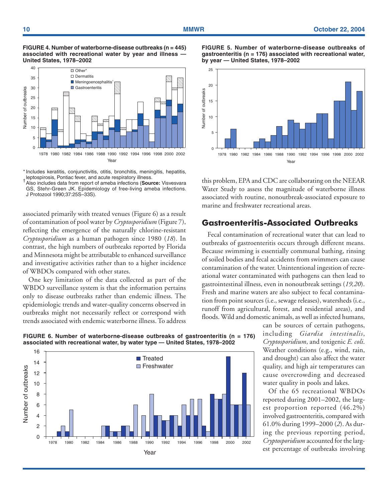

**FIGURE 4. Number of waterborne-disease outbreaks (n = 445) associated with recreational water by year and illness —**

\* Includes keratitis, conjunctivitis, otitis, bronchitis, meningitis, hepatitis, <sub>t</sub> leptospirosis, Pontiac fever, and acute respiratory illness.<br><sup>†</sup> Also includes data from report of ameba infections (**Source:** Visvesvara

GS, Stehr-Green JK. Epidemiology of free-living ameba infections. J Protozool 1990;37:25S–33S).

associated primarily with treated venues (Figure 6) as a result of contamination of pool water by *Cryptosporidium* (Figure 7), reflecting the emergence of the naturally chlorine-resistant *Cryptosporidium* as a human pathogen since 1980 (*18*). In contrast, the high numbers of outbreaks reported by Florida and Minnesota might be attributable to enhanced surveillance and investigative activities rather than to a higher incidence of WBDOs compared with other states.

One key limitation of the data collected as part of the WBDO surveillance system is that the information pertains only to disease outbreaks rather than endemic illness. The epidemiologic trends and water-quality concerns observed in outbreaks might not necessarily reflect or correspond with trends associated with endemic waterborne illness. To address

**FIGURE 6. Number of waterborne-disease outbreaks of gastroenteritis (n = 176) associated with recreational water, by water type — United States, 1978–2002**







this problem, EPA and CDC are collaborating on the NEEAR Water Study to assess the magnitude of waterborne illness associated with routine, nonoutbreak-associated exposure to marine and freshwater recreational areas.

## **Gastroenteritis-Associated Outbreaks**

Fecal contamination of recreational water that can lead to outbreaks of gastroenteritis occurs through different means. Because swimming is essentially communal bathing, rinsing of soiled bodies and fecal accidents from swimmers can cause contamination of the water. Unintentional ingestion of recreational water contaminated with pathogens can then lead to gastrointestinal illness, even in nonoutbreak settings (*19,20*). Fresh and marine waters are also subject to fecal contamination from point sources (i.e., sewage releases), watersheds (i.e., runoff from agricultural, forest, and residential areas), and floods. Wild and domestic animals, as well as infected humans,

> can be sources of certain pathogens, including *Giardia intestinalis*, *Cryptosporidium*, and toxigenic *E. coli*. Weather conditions (e.g., wind, rain, and drought) can also affect the water quality, and high air temperatures can cause overcrowding and decreased water quality in pools and lakes.

> Of the 65 recreational WBDOs reported during 2001–2002, the largest proportion reported (46.2%) involved gastroenteritis, compared with 61.0% during 1999–2000 (*2*). As during the previous reporting period, *Cryptosporidium* accounted for the largest percentage of outbreaks involving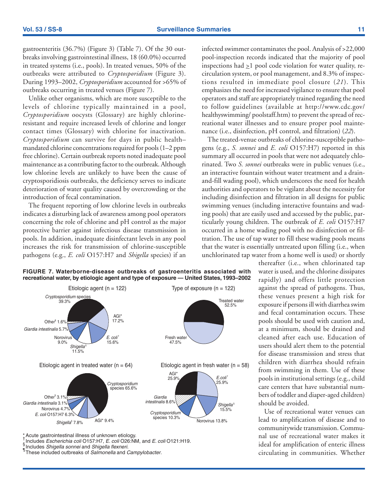gastroenteritis (36.7%) (Figure 3) (Table 7). Of the 30 outbreaks involving gastrointestinal illness, 18 (60.0%) occurred in treated systems (i.e., pools). In treated venues, 50% of the outbreaks were attributed to *Cryptosporidium* (Figure 3). During 1993–2002, *Cryptosporidium* accounted for >65% of outbreaks occurring in treated venues (Figure 7).

Unlike other organisms, which are more susceptible to the levels of chlorine typically maintained in a pool, *Cryptosporidium* oocysts (Glossary) are highly chlorineresistant and require increased levels of chlorine and longer contact times (Glossary) with chlorine for inactivation. *Cryptosporidium* can survive for days in public health– mandated chlorine concentrations required for pools (1–2 ppm free chlorine). Certain outbreak reports noted inadequate pool maintenance as a contributing factor to the outbreak. Although low chlorine levels are unlikely to have been the cause of cryptosporidiosis outbreaks, the deficiency serves to indicate deterioration of water quality caused by overcrowding or the introduction of fecal contamination.

The frequent reporting of low chlorine levels in outbreaks indicates a disturbing lack of awareness among pool operators concerning the role of chlorine and pH control as the major protective barrier against infectious disease transmission in pools. In addition, inadequate disinfectant levels in any pool increases the risk for transmission of chlorine-susceptible pathogens (e.g., *E. coli* O157:H7 and *Shigella* species) if an infected swimmer contaminates the pool. Analysis of >22,000 pool-inspection records indicated that the majority of pool inspections had  $\geq 1$  pool code violation for water quality, recirculation system, or pool management, and 8.3% of inspections resulted in immediate pool closure (*21*). This emphasizes the need for increased vigilance to ensure that pool operators and staff are appropriately trained regarding the need to follow guidelines (available at [http://www.cdc.gov/](http://www.cdc.gov/healthyswimming/ poolstaff.htm) [healthyswimming/ poolstaff.htm\)](http://www.cdc.gov/healthyswimming/ poolstaff.htm) to prevent the spread of recreational water illnesses and to ensure proper pool maintenance (i.e., disinfection, pH control, and filtration) (*22*).

The treated-venue outbreaks of chlorine-susceptible pathogens (e.g., *S. sonnei* and *E. coli* O157:H7) reported in this summary all occurred in pools that were not adequately chlorinated. Two *S. sonnei* outbreaks were in public venues (i.e., an interactive fountain without water treatment and a drainand-fill wading pool), which underscores the need for health authorities and operators to be vigilant about the necessity for including disinfection and filtration in all designs for public swimming venues (including interactive fountains and wading pools) that are easily used and accessed by the public, particularly young children. The outbreak of *E. coli* O157:H7 occurred in a home wading pool with no disinfection or filtration. The use of tap water to fill these wading pools means that the water is essentially untreated upon filling (i.e., when unchlorinated tap water from a home well is used) or shortly



\* Acute gastrointestinal illness of unknown etiology.

<sup>1</sup><br>Includes Escherichia coli O157:H7, E. coli O26:NM, and E. coli O121:H19.

**Includes Shigella sonnei and Shigella flexneri.** 

<sup>1</sup> These included outbreaks of Salmonella and Campylobacter.

thereafter (i.e., when chlorinated tap water is used, and the chlorine dissipates rapidly) and offers little protection against the spread of pathogens. Thus, these venues present a high risk for exposure if persons ill with diarrhea swim and fecal contamination occurs. These pools should be used with caution and, at a minimum, should be drained and cleaned after each use. Education of users should alert them to the potential for disease transmission and stress that children with diarrhea should refrain from swimming in them. Use of these pools in institutional settings (e.g., child care centers that have substantial numbers of toddler and diaper-aged children) should be avoided.

Use of recreational water venues can lead to amplification of disease and to communitywide transmission. Communal use of recreational water makes it ideal for amplification of enteric illness circulating in communities. Whether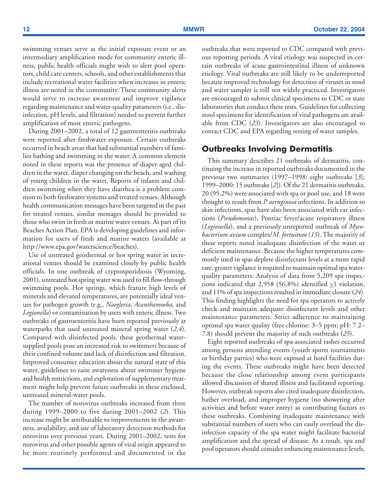swimming venues serve as the initial exposure event or an intermediary amplification mode for community enteric illness, public health officials might wish to alert pool operators, child care centers, schools, and other establishments that include recreational water facilities when increases in enteric illness are noted in the community. These community alerts would serve to increase awareness and improve vigilance regarding maintenance and water-quality parameters (i.e., disinfection, pH levels, and filtration) needed to prevent further amplification of most enteric pathogens.

During 2001–2002, a total of 12 gastroenteritis outbreaks were reported after freshwater exposure. Certain outbreaks occurred in beach areas that had substantial numbers of families bathing and swimming in the water. A common element noted in these reports was the presence of diaper-aged children in the water, diaper changing on the beach, and washing of young children in the water. Reports of infants and children swimming when they have diarrhea is a problem common to both freshwater systems and treated venues. Although health communication messages have been targeted in the past for treated venues, similar messages should be provided to those who swim in fresh or marine water venues. As part of its Beaches Action Plan, EPA is developing guidelines and information for users of fresh and marine waters (available at [http://www.epa.gov/waterscience/beaches\)](http://www.epa.gov/waterscience/beaches).

Use of untreated geothermal or hot spring water in recreational venues should be examined closely by public health officials. In one outbreak of cryptosporidiosis (Wyoming, 2001), untreated hot spring water was used to fill flow-through swimming pools. Hot springs, which feature high levels of minerals and elevated temperatures, are potentially ideal venues for pathogen growth (e.g., *Naegleria, Acanthamoeba,* and *Legionella*) or contamination by users with enteric illness. Two outbreaks of gastroenteritis have been reported previously at waterparks that used untreated mineral spring water (*2,4*). Compared with disinfected pools, these geothermal watersupplied pools pose an increased risk to swimmers because of their confined volume and lack of disinfection and filtration. Improved consumer education about the natural state of this water, guidelines to raise awareness about swimmer hygiene and health restrictions, and exploration of supplementary treatment might help prevent future outbreaks in these enclosed, untreated mineral-water pools.

The number of norovirus outbreaks increased from three during 1999–2000 to five during 2001–2002 (*2*). This increase might be attributable to improvements in the awareness, availability, and use of laboratory detection methods for norovirus over previous years. During 2001–2002, tests for norovirus and other possible agents of viral origin appeared to be more routinely performed and documented in the outbreaks that were reported to CDC compared with previous reporting periods. A viral etiology was suspected in certain outbreaks of acute gastrointestinal illness of unknown etiology. Viral outbreaks are still likely to be underreported because improved technology for detection of viruses in stool and water samples is still not widely practiced. Investigators are encouraged to submit clinical specimens to CDC or state laboratories that conduct these tests. Guidelines for collecting stool specimens for identification of viral pathogens are available from CDC (*23*). Investigators are also encouraged to contact CDC and EPA regarding testing of water samples.

## **Outbreaks Involving Dermatitis**

This summary describes 21 outbreaks of dermatitis, continuing the increase in reported outbreaks documented in the previous two summaries (1997–1998: eight outbreaks [*3*]; 1999–2000: 15 outbreaks [*2*]). Of the 21 dermatitis outbreaks, 20 (95.2%) were associated with spa or pool use, and 18 were thought to result from *P. aeruginosa* infections. In addition to skin infections, spas have also been associated with ear infections (*Pseudomonas*), Pontiac fever/acute respiratory illness (*Legionella*), and a previously unreported outbreak of *Mycobacterium avium* complex/*M. fortuitum* (*15*). The majority of these reports noted inadequate disinfection of the water or deficient maintenance. Because the higher temperatures commonly used in spas deplete disinfectant levels at a more rapid rate, greater vigilance is required to maintain optimal spa waterquality parameters. Analysis of data from 5,209 spa inspections indicated that 2,958 (56.8%) identified  $\geq$ 1 violation, and 11% of spa inspections resulted in immediate closure (*24*). This finding highlights the need for spa operators to actively check and maintain adequate disinfectant levels and other maintenance parameters. Strict adherence to maintaining optimal spa water quality (free chlorine: 3–5 ppm; pH: 7.2– 7.8) should prevent the majority of such outbreaks (*25*).

Eight reported outbreaks of spa-associated rashes occurred among persons attending events (youth sports tournaments or birthday parties) who were exposed at hotel facilities during the events. These outbreaks might have been detected because the close relationship among event participants allowed discussion of shared illness and facilitated reporting. However, outbreak reports also cited inadequate disinfection, bather overload, and improper hygiene (no showering after activities and before water entry) as contributing factors to these outbreaks. Combining inadequate maintenance with substantial numbers of users who can easily overload the disinfection capacity of the spa water might facilitate bacterial amplification and the spread of disease. As a result, spa and pool operators should consider enhancing maintenance levels,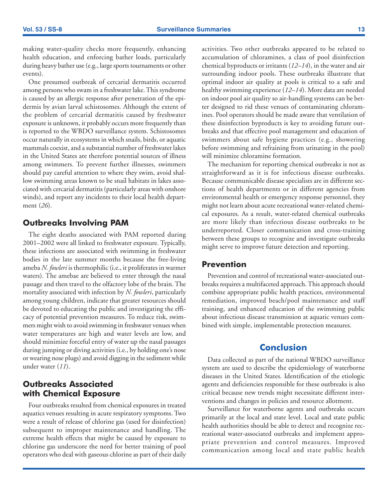<span id="page-14-0"></span>making water-quality checks more frequently, enhancing health education, and enforcing bather loads, particularly during heavy bather use (e.g., large sports tournaments or other events).

One presumed outbreak of cercarial dermatitis occurred among persons who swam in a freshwater lake. This syndrome is caused by an allergic response after penetration of the epidermis by avian larval schistosomes. Although the extent of the problem of cercarial dermatitis caused by freshwater exposure is unknown, it probably occurs more frequently than is reported to the WBDO surveillance system. Schistosomes occur naturally in ecosystems in which snails, birds, or aquatic mammals coexist, and a substantial number of freshwater lakes in the United States are therefore potential sources of illness among swimmers. To prevent further illnesses, swimmers should pay careful attention to where they swim, avoid shallow swimming areas known to be snail habitats in lakes associated with cercarial dermatitis (particularly areas with onshore winds), and report any incidents to their local health department (*26*).

## **Outbreaks Involving PAM**

The eight deaths associated with PAM reported during 2001–2002 were all linked to freshwater exposure. Typically, these infections are associated with swimming in freshwater bodies in the late summer months because the free-living ameba *N. fowleri* is thermophilic (i.e., it proliferates in warmer waters). The amebae are believed to enter through the nasal passage and then travel to the olfactory lobe of the brain. The mortality associated with infection by *N. fowleri*, particularly among young children, indicate that greater resources should be devoted to educating the public and investigating the efficacy of potential prevention measures. To reduce risk, swimmers might wish to avoid swimming in freshwater venues when water temperatures are high and water levels are low, and should minimize forceful entry of water up the nasal passages during jumping or diving activities (i.e., by holding one's nose or wearing nose plugs) and avoid digging in the sediment while under water (*11*).

# **Outbreaks Associated with Chemical Exposure**

Four outbreaks resulted from chemical exposures in treated aquatics venues resulting in acute respiratory symptoms. Two were a result of release of chlorine gas (used for disinfection) subsequent to improper maintenance and handling. The extreme health effects that might be caused by exposure to chlorine gas underscore the need for better training of pool operators who deal with gaseous chlorine as part of their daily activities. Two other outbreaks appeared to be related to accumulation of chloramines, a class of pool disinfection chemical byproducts or irritants (*12–14*), in the water and air surrounding indoor pools. These outbreaks illustrate that optimal indoor air quality at pools is critical to a safe and healthy swimming experience (*12–14*). More data are needed on indoor pool air quality so air-handling systems can be better designed to rid these venues of contaminating chloramines. Pool operators should be made aware that ventilation of these disinfection byproducts is key to avoiding future outbreaks and that effective pool management and education of swimmers about safe hygiene practices (e.g., showering before swimming and refraining from urinating in the pool) will minimize chloramine formation.

The mechanism for reporting chemical outbreaks is not as straightforward as it is for infectious disease outbreaks. Because communicable disease specialists are in different sections of health departments or in different agencies from environmental health or emergency response personnel, they might not learn about acute recreational water-related chemical exposures. As a result, water-related chemical outbreaks are more likely than infectious disease outbreaks to be underreported. Closer communication and cross-training between these groups to recognize and investigate outbreaks might serve to improve future detection and reporting.

## **Prevention**

Prevention and control of recreational water-associated outbreaks requires a multifaceted approach. This approach should combine appropriate public health practices, environmental remediation, improved beach/pool maintenance and staff training, and enhanced education of the swimming public about infectious disease transmission at aquatic venues combined with simple, implementable protection measures.

## **Conclusion**

Data collected as part of the national WBDO surveillance system are used to describe the epidemiology of waterborne diseases in the United States. Identification of the etiologic agents and deficiencies responsible for these outbreaks is also critical because new trends might necessitate different interventions and changes in policies and resource allotment.

Surveillance for waterborne agents and outbreaks occurs primarily at the local and state level. Local and state public health authorities should be able to detect and recognize recreational water-associated outbreaks and implement appropriate prevention and control measures. Improved communication among local and state public health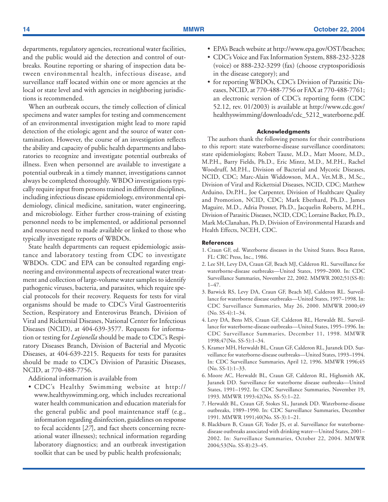<span id="page-15-0"></span>departments, regulatory agencies, recreational water facilities, and the public would aid the detection and control of outbreaks. Routine reporting or sharing of inspection data between environmental health, infectious disease, and surveillance staff located within one or more agencies at the local or state level and with agencies in neighboring jurisdictions is recommended.

When an outbreak occurs, the timely collection of clinical specimens and water samples for testing and commencement of an environmental investigation might lead to more rapid detection of the etiologic agent and the source of water contamination. However, the course of an investigation reflects the ability and capacity of public health departments and laboratories to recognize and investigate potential outbreaks of illness. Even when personnel are available to investigate a potential outbreak in a timely manner, investigations cannot always be completed thoroughly. WBDO investigations typically require input from persons trained in different disciplines, including infectious disease epidemiology, environmental epidemiology, clinical medicine, sanitation, water engineering, and microbiology. Either further cross-training of existing personnel needs to be implemented, or additional personnel and resources need to made available or linked to those who typically investigate reports of WBDOs.

State health departments can request epidemiologic assistance and laboratory testing from CDC to investigate WBDOs. CDC and EPA can be consulted regarding engineering and environmental aspects of recreational water treatment and collection of large-volume water samples to identify pathogenic viruses, bacteria, and parasites, which require special protocols for their recovery. Requests for tests for viral organisms should be made to CDC's Viral Gastroenteritis Section, Respiratory and Enterovirus Branch, Division of Viral and Rickettsial Diseases, National Center for Infectious Diseases (NCID), at 404-639-3577. Requests for information or testing for *Legionella* should be made to CDC's Respiratory Diseases Branch, Division of Bacterial and Mycotic Diseases, at 404-639-2215. Requests for tests for parasites should be made to CDC's Division of Parasitic Diseases, NCID, at 770-488-7756.

Additional information is available from

• CDC's Healthy Swimming website at [http://](http://www.healthyswimming.org) [www.healthyswimming.org,](http://www.healthyswimming.org) which includes recreational water health communication and education materials for the general public and pool maintenance staff (e.g., information regarding disinfection, guidelines on response to fecal accidents [*27*], and fact sheets concerning recreational water illnesses); technical information regarding laboratory diagnostics; and an outbreak investigation toolkit that can be used by public health professionals;

- EPA's Beach website at [http://www.epa.gov/OST/beaches;](http://www.epa.gov/OST/beaches)
- CDC's Voice and Fax Information System, 888-232-3228 (voice) or 888-232-3299 (fax) (choose cryptosporidiosis in the disease category); and
- for reporting WBDOs, CDC's Division of Parasitic Diseases, NCID, at 770-488-7756 or FAX at 770-488-7761; an electronic version of CDC's reporting form (CDC 52.12, rev. 01/2003) is available at http://www.cdc.gov/ [healthyswimming/downloads/cdc\\_5212\\_waterborne.pdf.](http://www.cdc.gov/healthyswimming/downloads/cdc_5212_waterborne.pdf)

#### **Acknowledgments**

The authors thank the following persons for their contributions to this report: state waterborne-disease surveillance coordinators; state epidemiologists; Robert Tauxe, M.D., Matt Moore, M.D., M.P.H., Barry Fields, Ph.D., Eric Mintz, M.D., M.P.H., Rachel Woodruff, M.P.H., Division of Bacterial and Mycotic Diseases, NCID, CDC; Marc-Alain Widdowson, M.A., Vet.M.B., M.Sc., Division of Viral and Rickettsial Diseases, NCID, CDC; Matthew Arduino, Dr.P.H., Joe Carpenter, Division of Healthcare Quality and Promotion, NCID, CDC; Mark Eberhard, Ph.D., James Maguire, M.D., Adria Prosser, Ph.D., Jacquelin Roberts, M.P.H., Division of Parasitic Diseases, NCID, CDC; Lorraine Backer, Ph.D., Mark McClanahan, Ph.D, Division of Environmental Hazards and Health Effects, NCEH, CDC.

#### **References**

- 1. Craun GF, ed. Waterborne diseases in the United States. Boca Raton, FL: CRC Press, Inc., 1986.
- 2. Lee SH, Levy DA, Craun GF, Beach MJ, Calderon RL. Surveillance for waterborne-disease outbreaks—United States, 1999–2000. In: CDC Surveillance Summaries, November 22, 2002. MMWR 2002;51(SS-8): 1–47.
- 3. Barwick RS, Levy DA, Craun GF, Beach MJ, Calderon RL. Surveillance for waterborne disease outbreaks—United States, 1997–1998. In: CDC Surveillance Summaries, May 26, 2000. MMWR 2000;49 (No. SS-4):1–34.
- 4. Levy DA, Bens MS, Craun GF, Calderon RL, Herwaldt BL. Surveillance for waterborne-disease outbreaks—United States, 1995–1996. In: CDC Surveillance Summaries, December 11, 1998. MMWR 1998;47(No. SS-5):1–34.
- 5. Kramer MH, Herwaldt BL, Craun GF, Calderon RL, Juranek DD. Surveillance for waterborne-disease outbreaks—United States, 1993–1994. In: CDC Surveillance Summaries, April 12, 1996. MMWR 1996;45 (No. SS-1):1–33.
- 6. Moore AC, Herwaldt BL, Craun GF, Calderon RL, Highsmith AK, Juranek DD. Surveillance for waterborne disease outbreaks—United States, 1991–1992. In: CDC Surveillance Summaries, November 19, 1993. MMWR 1993:42(No. SS-5):1–22.
- 7. Herwaldt BL, Craun GF, Stokes SL, Juranek DD. Waterborne-disease outbreaks, 1989–1990. In: CDC Surveillance Summaries, December 1991. MMWR 1991;40(No. SS-3):1–21.
- 8. Blackburn B, Craun GF, Yoder JS, et al. Surveillance for waterbornedisease outbreaks associated with drinking water—United States, 2001– 2002. In: *S*urveillance Summaries, October 22, 2004. MMWR 2004;53(No. SS-8):23–45.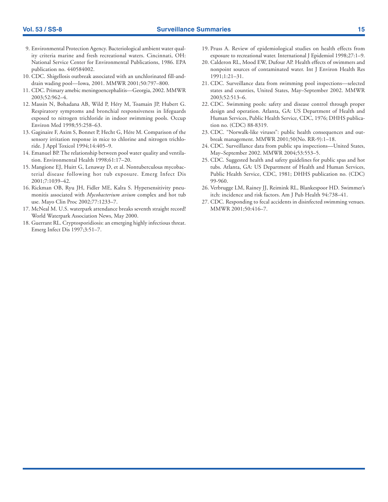- 9. Environmental Protection Agency. Bacteriological ambient water quality criteria marine and fresh recreational waters. Cincinnati, OH: National Service Center for Environmental Publications, 1986. EPA publication no. 440584002.
- 10. CDC. Shigellosis outbreak associated with an unchlorinated fill-anddrain wading pool—Iowa, 2001. MMWR 2001;50:797–800.
- 11. CDC. Primary amebic meningoencephalitis—Georgia, 2002. MMWR 2003;52:962–4.
- 12. Massin N, Bohadana AB, Wild P, Héry M, Toamain JP, Hubert G. Respiratory symptoms and bronchial responsiveness in lifeguards exposed to nitrogen trichloride in indoor swimming pools. Occup Environ Med 1998;55:258–63.
- 13. Gaginaire F, Axim S, Bonnet P, Hecht G, Hére M. Comparison of the sensory irritation response in mice to chlorine and nitrogen trichloride. J Appl Toxicol 1994;14:405–9.
- 14. Emanuel BP. The relationship between pool water quality and ventilation. Environmental Health 1998;61:17–20.
- 15. Mangione EJ, Huitt G, Lenaway D, et al. Nontuberculous mycobacterial disease following hot tub exposure. Emerg Infect Dis 2001;7:1039–42.
- 16. Rickman OB, Ryu JH, Fidler ME, Kalra S. Hypersensitivity pneumonitis associated with *Mycobacterium avium* complex and hot tub use. Mayo Clin Proc 2002;77:1233–7.
- 17. McNeal M. U.S. waterpark attendance breaks seventh straight record! World Waterpark Association News, May 2000.
- 18. Guerrant RL. Cryptosporidiosis: an emerging highly infectious threat. Emerg Infect Dis 1997;3:51–7.
- 19. Pruss A. Review of epidemiological studies on health effects from exposure to recreational water. International J Epidemiol 1998;27:1–9.
- 20. Calderon RL, Mood EW, Dufour AP. Health effects of swimmers and nonpoint sources of contaminated water. Int J Environ Health Res 1991;1:21–31.
- 21. CDC. Surveillance data from swimming pool inspections—selected states and counties, United States, May–September 2002. MMWR 2003;52:513–6.
- 22. CDC. Swimming pools: safety and disease control through proper design and operation. Atlanta, GA: US Department of Health and Human Services, Public Health Service, CDC, 1976; DHHS publication no. (CDC) 88-8319.
- 23. CDC. "Norwalk-like viruses": public health consequences and outbreak management. MMWR 2001;50(No. RR-9):1–18.
- 24. CDC. Surveillance data from public spa inspections—United States, May–September 2002. MMWR 2004;53:553–5.
- 25. CDC. Suggested health and safety guidelines for public spas and hot tubs. Atlanta, GA: US Department of Health and Human Services, Public Health Service, CDC, 1981; DHHS publication no. (CDC) 99-960.
- 26. Verbrugge LM, Rainey JJ, Reimink RL, Blankespoor HD. Swimmer's itch: incidence and risk factors. Am J Pub Health 94:738–41.
- 27. CDC. Responding to fecal accidents in disinfected swimming venues. MMWR 2001;50:416–7.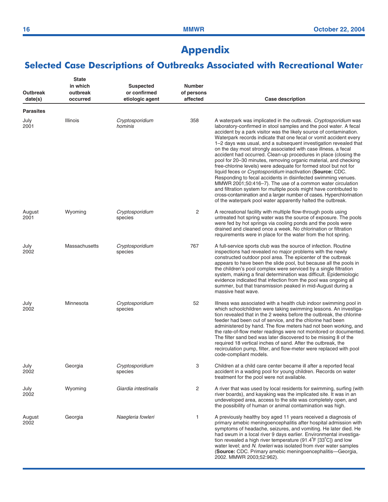# **Appendix**

# <span id="page-17-0"></span>**Selected Case Descriptions of Outbreaks Associated with Recreational Wate**r

| <b>Outbreak</b>  | <b>State</b><br>in which | <b>Suspected</b>                | <b>Number</b>          |                                                                                                                                                                                                                                                                                                                                                                                                                                                                                                                                                                                                                                                                                                                                                                                                                                                                                                                                                                                                                                                  |
|------------------|--------------------------|---------------------------------|------------------------|--------------------------------------------------------------------------------------------------------------------------------------------------------------------------------------------------------------------------------------------------------------------------------------------------------------------------------------------------------------------------------------------------------------------------------------------------------------------------------------------------------------------------------------------------------------------------------------------------------------------------------------------------------------------------------------------------------------------------------------------------------------------------------------------------------------------------------------------------------------------------------------------------------------------------------------------------------------------------------------------------------------------------------------------------|
| date(s)          | outbreak<br>occurred     | or confirmed<br>etiologic agent | of persons<br>affected | <b>Case description</b>                                                                                                                                                                                                                                                                                                                                                                                                                                                                                                                                                                                                                                                                                                                                                                                                                                                                                                                                                                                                                          |
| <b>Parasites</b> |                          |                                 |                        |                                                                                                                                                                                                                                                                                                                                                                                                                                                                                                                                                                                                                                                                                                                                                                                                                                                                                                                                                                                                                                                  |
| July<br>2001     | Illinois                 | Cryptosporidium<br>hominis      | 358                    | A waterpark was implicated in the outbreak. Cryptosporidium was<br>laboratory-confirmed in stool samples and the pool water. A fecal<br>accident by a park visitor was the likely source of contamination.<br>Waterpark records indicate that one fecal or vomit accident every<br>1-2 days was usual, and a subsequent investigation revealed that<br>on the day most strongly associated with case illness, a fecal<br>accident had occurred. Clean-up procedures in place (closing the<br>pool for 20-30 minutes, removing organic material, and checking<br>free-chlorine levels) were adequate for formed stool but not for<br>liquid feces or <i>Cryptosporidium</i> inactivation (Source: CDC.<br>Responding to fecal accidents in disinfected swimming venues.<br>MMWR 2001;50:416-7). The use of a common water circulation<br>and filtration system for multiple pools might have contributed to<br>cross-contamination and a larger number of cases. Hyperchlorination<br>of the waterpark pool water apparently halted the outbreak. |
| August<br>2001   | Wyoming                  | Cryptosporidium<br>species      | 2                      | A recreational facility with multiple flow-through pools using<br>untreated hot spring water was the source of exposure. The pools<br>were fed by hot springs via cooling ponds and the pools were<br>drained and cleaned once a week. No chlorination or filtration<br>requirements were in place for the water from the hot spring.                                                                                                                                                                                                                                                                                                                                                                                                                                                                                                                                                                                                                                                                                                            |
| July<br>2002     | Massachusetts            | Cryptosporidium<br>species      | 767                    | A full-service sports club was the source of infection. Routine<br>inspections had revealed no major problems with the newly<br>constructed outdoor pool area. The epicenter of the outbreak<br>appears to have been the slide pool, but because all the pools in<br>the children's pool complex were serviced by a single filtration<br>system, making a final determination was difficult. Epidemiologic<br>evidence indicated that infection from the pool was ongoing all<br>summer, but that transmission peaked in mid-August during a<br>massive heat wave.                                                                                                                                                                                                                                                                                                                                                                                                                                                                               |
| July<br>2002     | Minnesota                | Cryptosporidium<br>species      | 52                     | Illness was associated with a health club indoor swimming pool in<br>which schoolchildren were taking swimming lessons. An investiga-<br>tion revealed that in the 2 weeks before the outbreak, the chlorine<br>feeder had been out of service, and the chlorine had been<br>administered by hand. The flow meters had not been working, and<br>the rate-of-flow meter readings were not monitored or documented.<br>The filter sand bed was later discovered to be missing 8 of the<br>required 18 vertical inches of sand. After the outbreak, the<br>recirculation pump, filter, and flow-meter were replaced with pool<br>code-compliant models.                                                                                                                                                                                                                                                                                                                                                                                             |
| July<br>2002     | Georgia                  | Cryptosporidium<br>species      | 3                      | Children at a child care center became ill after a reported fecal<br>accident in a wading pool for young children. Records on water<br>treatment for the pool were not available.                                                                                                                                                                                                                                                                                                                                                                                                                                                                                                                                                                                                                                                                                                                                                                                                                                                                |
| July<br>2002     | Wyoming                  | Giardia intestinalis            | $\overline{c}$         | A river that was used by local residents for swimming, surfing (with<br>river boards), and kayaking was the implicated site. It was in an<br>undeveloped area, access to the site was completely open, and<br>the possibility of human or animal contamination was high.                                                                                                                                                                                                                                                                                                                                                                                                                                                                                                                                                                                                                                                                                                                                                                         |
| August<br>2002   | Georgia                  | Naegleria fowleri               | 1                      | A previously healthy boy aged 11 years received a diagnosis of<br>primary amebic meningoencephalitis after hospital admission with<br>symptoms of headache, seizures, and vomiting. He later died. He<br>had swum in a local river 9 days earlier. Environmental investiga-<br>tion revealed a high river temperature $(91.4^{\circ}$ F $[33^{\circ}$ C]) and low<br>water level; and N. fowleri was isolated from river water samples<br>(Source: CDC. Primary amebic meningoencephalitis-Georgia,<br>2002. MMWR 2003;52:962).                                                                                                                                                                                                                                                                                                                                                                                                                                                                                                                  |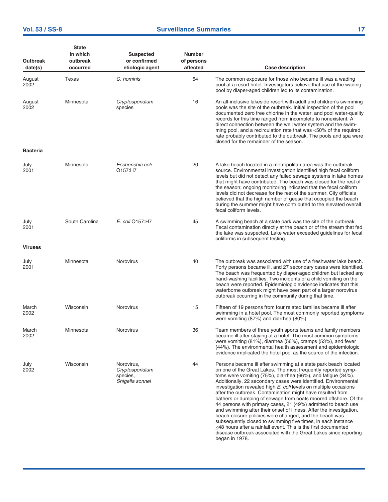| <b>Outbreak</b><br>date(s) | <b>State</b><br>in which<br>outbreak<br>occurred | <b>Suspected</b><br>or confirmed<br>etiologic agent          | <b>Number</b><br>of persons<br>affected | <b>Case description</b>                                                                                                                                                                                                                                                                                                                                                                                                                                                                                                                                                                                                                                                                                                                                                                                                                                                                                  |
|----------------------------|--------------------------------------------------|--------------------------------------------------------------|-----------------------------------------|----------------------------------------------------------------------------------------------------------------------------------------------------------------------------------------------------------------------------------------------------------------------------------------------------------------------------------------------------------------------------------------------------------------------------------------------------------------------------------------------------------------------------------------------------------------------------------------------------------------------------------------------------------------------------------------------------------------------------------------------------------------------------------------------------------------------------------------------------------------------------------------------------------|
| August<br>2002             | Texas                                            | C. hominis                                                   | 54                                      | The common exposure for those who became ill was a wading<br>pool at a resort hotel. Investigators believe that use of the wading<br>pool by diaper-aged children led to its contamination.                                                                                                                                                                                                                                                                                                                                                                                                                                                                                                                                                                                                                                                                                                              |
| August<br>2002             | Minnesota                                        | Cryptosporidium<br>species                                   | 16                                      | An all-inclusive lakeside resort with adult and children's swimming<br>pools was the site of the outbreak. Initial inspection of the pool<br>documented zero free chlorine in the water, and pool water-quality<br>records for this time ranged from incomplete to nonexistent. A<br>direct connection between the well water system and the swim-<br>ming pool, and a recirculation rate that was <50% of the required<br>rate probably contributed to the outbreak. The pools and spa were<br>closed for the remainder of the season.                                                                                                                                                                                                                                                                                                                                                                  |
| <b>Bacteria</b>            |                                                  |                                                              |                                         |                                                                                                                                                                                                                                                                                                                                                                                                                                                                                                                                                                                                                                                                                                                                                                                                                                                                                                          |
| July<br>2001               | Minnesota                                        | Escherichia coli<br>O157:H7                                  | 20                                      | A lake beach located in a metropolitan area was the outbreak<br>source. Environmental investigation identified high fecal coliform<br>levels but did not detect any failed sewage systems in lake homes<br>that might have contributed. The beach was closed for the rest of<br>the season; ongoing monitoring indicated that the fecal coliform<br>levels did not decrease for the rest of the summer. City officials<br>believed that the high number of geese that occupied the beach<br>during the summer might have contributed to the elevated overall<br>fecal coliform levels.                                                                                                                                                                                                                                                                                                                   |
| July<br>2001               | South Carolina                                   | E. coli 0157:H7                                              | 45                                      | A swimming beach at a state park was the site of the outbreak.<br>Fecal contamination directly at the beach or of the stream that fed<br>the lake was suspected. Lake water exceeded guidelines for fecal<br>coliforms in subsequent testing.                                                                                                                                                                                                                                                                                                                                                                                                                                                                                                                                                                                                                                                            |
| <b>Viruses</b>             |                                                  |                                                              |                                         |                                                                                                                                                                                                                                                                                                                                                                                                                                                                                                                                                                                                                                                                                                                                                                                                                                                                                                          |
| July<br>2001               | Minnesota                                        | <b>Norovirus</b>                                             | 40                                      | The outbreak was associated with use of a freshwater lake beach.<br>Forty persons became ill, and 27 secondary cases were identified.<br>The beach was frequented by diaper-aged children but lacked any<br>hand-washing facilities. Two incidents of a child vomiting on the<br>beach were reported. Epidemiologic evidence indicates that this<br>waterborne outbreak might have been part of a larger norovirus<br>outbreak occurring in the community during that time.                                                                                                                                                                                                                                                                                                                                                                                                                              |
| March<br>2002              | Wisconsin                                        | <b>Norovirus</b>                                             | 15                                      | Fifteen of 19 persons from four related families became ill after<br>swimming in a hotel pool. The most commonly reported symptoms<br>were vomiting (87%) and diarrhea (80%).                                                                                                                                                                                                                                                                                                                                                                                                                                                                                                                                                                                                                                                                                                                            |
| March<br>2002              | Minnesota                                        | Norovirus                                                    | 36                                      | Team members of three youth sports teams and family members<br>became ill after staying at a hotel. The most common symptoms<br>were vomiting (81%), diarrhea (56%), cramps (53%), and fever<br>(44%). The environmental health assessment and epidemiologic<br>evidence implicated the hotel pool as the source of the infection.                                                                                                                                                                                                                                                                                                                                                                                                                                                                                                                                                                       |
| July<br>2002               | Wisconsin                                        | Norovirus,<br>Cryptosporidium<br>species.<br>Shigella sonnei | 44                                      | Persons became ill after swimming at a state park beach located<br>on one of the Great Lakes. The most frequently reported symp-<br>toms were vomiting (75%), diarrhea (66%), and fatigue (34%).<br>Additionally, 22 secondary cases were identified. Environmental<br>investigation revealed high E. coli levels on multiple occasions<br>after the outbreak. Contamination might have resulted from<br>bathers or dumping of sewage from boats moored offshore. Of the<br>44 persons with primary cases, 21 (49%) admitted to beach use<br>and swimming after their onset of illness. After the investigation,<br>beach-closure policies were changed, and the beach was<br>subsequently closed to swimming five times, in each instance<br>$\leq$ 48 hours after a rainfall event. This is the first documented<br>disease outbreak associated with the Great Lakes since reporting<br>began in 1978. |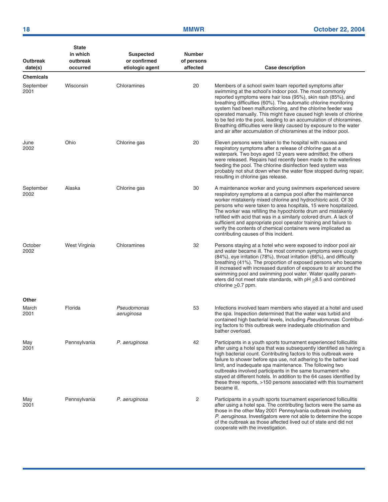| <b>Outbreak</b><br>date(s) | <b>State</b><br>in which<br>outbreak<br>occurred | <b>Suspected</b><br>or confirmed<br>etiologic agent | Number<br>of persons<br>affected | <b>Case description</b>                                                                                                                                                                                                                                                                                                                                                                                                                                                                                                                                                                               |
|----------------------------|--------------------------------------------------|-----------------------------------------------------|----------------------------------|-------------------------------------------------------------------------------------------------------------------------------------------------------------------------------------------------------------------------------------------------------------------------------------------------------------------------------------------------------------------------------------------------------------------------------------------------------------------------------------------------------------------------------------------------------------------------------------------------------|
| <b>Chemicals</b>           |                                                  |                                                     |                                  |                                                                                                                                                                                                                                                                                                                                                                                                                                                                                                                                                                                                       |
| September<br>2001          | Wisconsin                                        | Chloramines                                         | 20                               | Members of a school swim team reported symptoms after<br>swimming at the school's indoor pool. The most commonly<br>reported symptoms were hair loss (95%), skin rash (85%), and<br>breathing difficulties (60%). The automatic chlorine monitoring<br>system had been malfunctioning, and the chlorine feeder was<br>operated manually. This might have caused high levels of chlorine<br>to be fed into the pool, leading to an accumulation of chloramines.<br>Breathing difficulties were likely caused by exposure to the water<br>and air after accumulation of chloramines at the indoor pool. |
| June<br>2002               | Ohio                                             | Chlorine gas                                        | 20                               | Eleven persons were taken to the hospital with nausea and<br>respiratory symptoms after a release of chlorine gas at a<br>waterpark. Two boys aged 12 years were admitted; the others<br>were released. Repairs had recently been made to the waterlines<br>feeding the pool. The chlorine disinfection feed system was<br>probably not shut down when the water flow stopped during repair,<br>resulting in chlorine gas release.                                                                                                                                                                    |
| September<br>2002          | Alaska                                           | Chlorine gas                                        | 30                               | A maintenance worker and young swimmers experienced severe<br>respiratory symptoms at a campus pool after the maintenance<br>worker mistakenly mixed chlorine and hydrochloric acid. Of 30<br>persons who were taken to area hospitals, 15 were hospitalized.<br>The worker was refilling the hypochlorite drum and mistakenly<br>refilled with acid that was in a similarly colored drum. A lack of<br>sufficient and appropriate pool operator training and failure to<br>verify the contents of chemical containers were implicated as<br>contributing causes of this incident.                    |
| October<br>2002            | West Virginia                                    | Chloramines                                         | 32                               | Persons staying at a hotel who were exposed to indoor pool air<br>and water became ill. The most common symptoms were cough<br>(84%), eye irritation (78%), throat irritation (66%), and difficulty<br>breathing (41%). The proportion of exposed persons who became<br>ill increased with increased duration of exposure to air around the<br>swimming pool and swimming pool water. Water quality param-<br>eters did not meet state standards, with $pH \geq 8.5$ and combined<br>chlorine ≥0.7 ppm.                                                                                               |
| <b>Other</b>               |                                                  |                                                     |                                  |                                                                                                                                                                                                                                                                                                                                                                                                                                                                                                                                                                                                       |
| March<br>2001              | Florida                                          | Pseudomonas<br>aeruginosa                           | 53                               | Infections involved team members who stayed at a hotel and used<br>the spa. Inspection determined that the water was turbid and<br>contained high bacterial levels, including Pseudomonas. Contribut-<br>ing factors to this outbreak were inadequate chlorination and<br>bather overload.                                                                                                                                                                                                                                                                                                            |
| May<br>2001                | Pennsylvania                                     | P. aeruginosa                                       | 42                               | Participants in a youth sports tournament experienced folliculitis<br>after using a hotel spa that was subsequently identified as having a<br>high bacterial count. Contributing factors to this outbreak were<br>failure to shower before spa use, not adhering to the bather load<br>limit, and inadequate spa maintenance. The following two<br>outbreaks involved participants in the same tournament who<br>stayed at different hotels. In addition to the 64 cases identified by<br>these three reports, >150 persons associated with this tournament<br>became ill.                            |
| May<br>2001                | Pennsylvania                                     | P. aeruginosa                                       | 2                                | Participants in a youth sports tournament experienced folliculitis<br>after using a hotel spa. The contributing factors were the same as<br>those in the other May 2001 Pennsylvania outbreak involving<br>P. aeruginosa. Investigators were not able to determine the scope<br>of the outbreak as those affected lived out of state and did not<br>cooperate with the investigation.                                                                                                                                                                                                                 |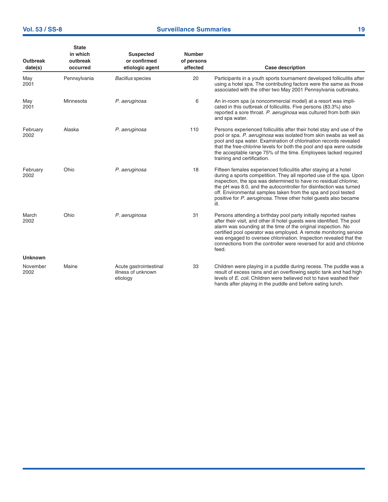| <b>Outbreak</b><br>date(s) | <b>State</b><br>in which<br>outbreak<br>occurred | <b>Suspected</b><br>or confirmed<br>etiologic agent      | <b>Number</b><br>of persons<br>affected | <b>Case description</b>                                                                                                                                                                                                                                                                                                                                                                                                                 |
|----------------------------|--------------------------------------------------|----------------------------------------------------------|-----------------------------------------|-----------------------------------------------------------------------------------------------------------------------------------------------------------------------------------------------------------------------------------------------------------------------------------------------------------------------------------------------------------------------------------------------------------------------------------------|
| May<br>2001                | Pennsylvania                                     | <b>Bacillus</b> species                                  | 20                                      | Participants in a youth sports tournament developed folliculitis after<br>using a hotel spa. The contributing factors were the same as those<br>associated with the other two May 2001 Pennsylvania outbreaks.                                                                                                                                                                                                                          |
| May<br>2001                | Minnesota                                        | P. aeruginosa                                            | 6                                       | An in-room spa (a noncommercial model) at a resort was impli-<br>cated in this outbreak of folliculitis. Five persons (83.3%) also<br>reported a sore throat. P. aeruginosa was cultured from both skin<br>and spa water.                                                                                                                                                                                                               |
| February<br>2002           | Alaska                                           | P. aeruginosa                                            | 110                                     | Persons experienced folliculitis after their hotel stay and use of the<br>pool or spa. P. aeruginosa was isolated from skin swabs as well as<br>pool and spa water. Examination of chlorination records revealed<br>that the free-chlorine levels for both the pool and spa were outside<br>the acceptable range 75% of the time. Employees lacked required<br>training and certification.                                              |
| February<br>2002           | Ohio                                             | P. aeruginosa                                            | 18                                      | Fifteen females experienced folliculitis after staying at a hotel<br>during a sports competition. They all reported use of the spa. Upon<br>inspection, the spa was determined to have no residual chlorine;<br>the pH was 8.0, and the autocontroller for disinfection was turned<br>off. Environmental samples taken from the spa and pool tested<br>positive for P. aeruginosa. Three other hotel guests also became<br>ill.         |
| March<br>2002              | Ohio                                             | P. aeruginosa                                            | 31                                      | Persons attending a birthday pool party initially reported rashes<br>after their visit, and other ill hotel guests were identified. The pool<br>alarm was sounding at the time of the original inspection. No<br>certified pool operator was employed. A remote monitoring service<br>was engaged to oversee chlorination. Inspection revealed that the<br>connections from the controller were reversed for acid and chlorine<br>feed. |
| <b>Unknown</b>             |                                                  |                                                          |                                         |                                                                                                                                                                                                                                                                                                                                                                                                                                         |
| November<br>2002           | Maine                                            | Acute gastrointestinal<br>illness of unknown<br>etiology | 33                                      | Children were playing in a puddle during recess. The puddle was a<br>result of excess rains and an overflowing septic tank and had high<br>levels of E, coli. Children were believed not to have washed their<br>hands after playing in the puddle and before eating lunch.                                                                                                                                                             |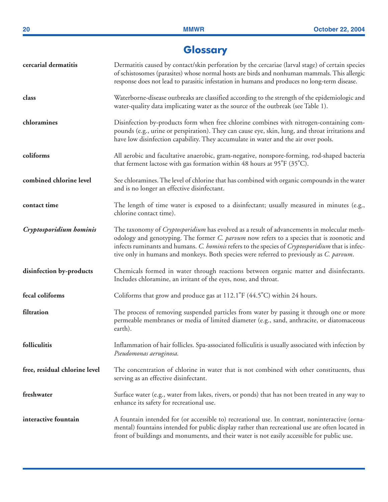# **Glossary**

<span id="page-21-0"></span>

| cercarial dermatitis          | Dermatitis caused by contact/skin perforation by the cercariae (larval stage) of certain species<br>of schistosomes (parasites) whose normal hosts are birds and nonhuman mammals. This allergic<br>response does not lead to parasitic infestation in humans and produces no long-term disease.                                                                                       |
|-------------------------------|----------------------------------------------------------------------------------------------------------------------------------------------------------------------------------------------------------------------------------------------------------------------------------------------------------------------------------------------------------------------------------------|
| class                         | Waterborne-disease outbreaks are classified according to the strength of the epidemiologic and<br>water-quality data implicating water as the source of the outbreak (see Table 1).                                                                                                                                                                                                    |
| chloramines                   | Disinfection by-products form when free chlorine combines with nitrogen-containing com-<br>pounds (e.g., urine or perspiration). They can cause eye, skin, lung, and throat irritations and<br>have low disinfection capability. They accumulate in water and the air over pools.                                                                                                      |
| coliforms                     | All aerobic and facultative anaerobic, gram-negative, nonspore-forming, rod-shaped bacteria<br>that ferment lactose with gas formation within 48 hours at $95^{\circ}F(35^{\circ}C)$ .                                                                                                                                                                                                 |
| combined chlorine level       | See chloramines. The level of chlorine that has combined with organic compounds in the water<br>and is no longer an effective disinfectant.                                                                                                                                                                                                                                            |
| contact time                  | The length of time water is exposed to a disinfectant; usually measured in minutes (e.g.,<br>chlorine contact time).                                                                                                                                                                                                                                                                   |
| Cryptosporidium hominis       | The taxonomy of Cryptosporidium has evolved as a result of advancements in molecular meth-<br>odology and genotyping. The former C. parvum now refers to a species that is zoonotic and<br>infects ruminants and humans. C. hominis refers to the species of Cryptosporidium that is infec-<br>tive only in humans and monkeys. Both species were referred to previously as C. parvum. |
| disinfection by-products      | Chemicals formed in water through reactions between organic matter and disinfectants.<br>Includes chloramine, an irritant of the eyes, nose, and throat.                                                                                                                                                                                                                               |
| fecal coliforms               | Coliforms that grow and produce gas at 112.1°F (44.5°C) within 24 hours.                                                                                                                                                                                                                                                                                                               |
| filtration                    | The process of removing suspended particles from water by passing it through one or more<br>permeable membranes or media of limited diameter (e.g., sand, anthracite, or diatomaceous<br>earth).                                                                                                                                                                                       |
| folliculitis                  | Inflammation of hair follicles. Spa-associated folliculitis is usually associated with infection by<br>Pseudomonas aeruginosa.                                                                                                                                                                                                                                                         |
| free, residual chlorine level | The concentration of chlorine in water that is not combined with other constituents, thus<br>serving as an effective disinfectant.                                                                                                                                                                                                                                                     |
| freshwater                    | Surface water (e.g., water from lakes, rivers, or ponds) that has not been treated in any way to<br>enhance its safety for recreational use.                                                                                                                                                                                                                                           |
| interactive fountain          | A fountain intended for (or accessible to) recreational use. In contrast, noninteractive (orna-<br>mental) fountains intended for public display rather than recreational use are often located in<br>front of buildings and monuments, and their water is not easily accessible for public use.                                                                                       |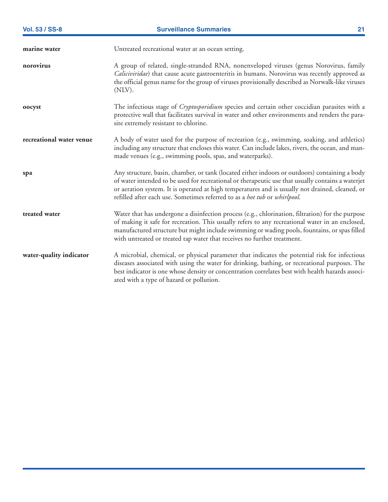| <b>Vol. 53 / SS-8</b>    | <b>Surveillance Summaries</b>                                                                                                                                                                                                                                                                                                                                                      | 21 |
|--------------------------|------------------------------------------------------------------------------------------------------------------------------------------------------------------------------------------------------------------------------------------------------------------------------------------------------------------------------------------------------------------------------------|----|
| marine water             | Untreated recreational water at an ocean setting.                                                                                                                                                                                                                                                                                                                                  |    |
| norovirus                | A group of related, single-stranded RNA, nonenveloped viruses (genus Norovirus, family<br>Caliciviridae) that cause acute gastroenteritis in humans. Norovirus was recently approved as<br>the official genus name for the group of viruses provisionally described as Norwalk-like viruses<br>(NLV).                                                                              |    |
| oocyst                   | The infectious stage of <i>Cryptosporidium</i> species and certain other coccidian parasites with a<br>protective wall that facilitates survival in water and other environments and renders the para-<br>site extremely resistant to chlorine.                                                                                                                                    |    |
| recreational water venue | A body of water used for the purpose of recreation (e.g., swimming, soaking, and athletics)<br>including any structure that encloses this water. Can include lakes, rivers, the ocean, and man-<br>made venues (e.g., swimming pools, spas, and waterparks).                                                                                                                       |    |
| spa                      | Any structure, basin, chamber, or tank (located either indoors or outdoors) containing a body<br>of water intended to be used for recreational or therapeutic use that usually contains a waterjet<br>or aeration system. It is operated at high temperatures and is usually not drained, cleaned, or<br>refilled after each use. Sometimes referred to as a hot tub or whirlpool. |    |
| treated water            | Water that has undergone a disinfection process (e.g., chlorination, filtration) for the purpose<br>of making it safe for recreation. This usually refers to any recreational water in an enclosed,<br>manufactured structure but might include swimming or wading pools, fountains, or spas filled<br>with untreated or treated tap water that receives no further treatment.     |    |
| water-quality indicator  | A microbial, chemical, or physical parameter that indicates the potential risk for infectious<br>diseases associated with using the water for drinking, bathing, or recreational purposes. The<br>best indicator is one whose density or concentration correlates best with health hazards associ-<br>ated with a type of hazard or pollution.                                     |    |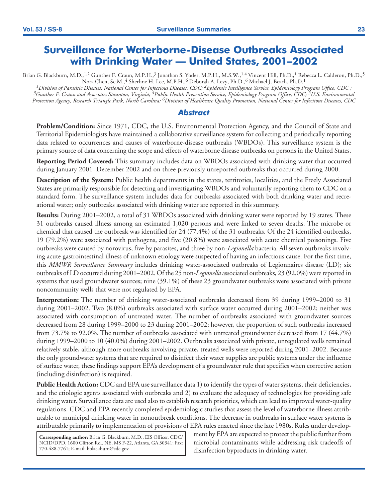# <span id="page-24-0"></span>**Surveillance for Waterborne-Disease Outbreaks Associated with Drinking Water — United States, 2001–2002**

Brian G. Blackburn, M.D.,<sup>1,2</sup> Gunther F. Craun, M.P.H.,<sup>3</sup> Jonathan S. Yoder, M.P.H., M.S.W.,<sup>1,4</sup> Vincent Hill, Ph.D.,<sup>1</sup> Rebecca L. Calderon, Ph.D.,<sup>5</sup> Nora Chen, Sc.M.,<sup>4</sup> Sherline H. Lee, M.P.H.,<sup>6</sup> Deborah A. Levy, Ph.D.,<sup>6</sup> Michael J. Beach, Ph.D.<sup>1</sup>

*1Division of Parasitic Diseases, National Center for Infectious Diseases, CDC; 2Epidemic Intelligence Service, Epidemiology Program Office, CDC ; 3Gunther F. Craun and Associates Staunton, Virginia; 4Public Health Prevention Service, Epidemiology Program Office, CDC; 5U.S. Environmental Protection Agency, Research Triangle Park, North Carolina; 6Division of Healthcare Quality Promotion, National Center for Infectious Diseases, CDC*

#### *Abstract*

**Problem/Condition:** Since 1971, CDC, the U.S. Environmental Protection Agency, and the Council of State and Territorial Epidemiologists have maintained a collaborative surveillance system for collecting and periodically reporting data related to occurrences and causes of waterborne-disease outbreaks (WBDOs). This surveillance system is the primary source of data concerning the scope and effects of waterborne disease outbreaks on persons in the United States.

**Reporting Period Covered:** This summary includes data on WBDOs associated with drinking water that occurred during January 2001–December 2002 and on three previously unreported outbreaks that occurred during 2000.

**Description of the System:** Public health departments in the states, territories, localities, and the Freely Associated States are primarily responsible for detecting and investigating WBDOs and voluntarily reporting them to CDC on a standard form. The surveillance system includes data for outbreaks associated with both drinking water and recreational water; only outbreaks associated with drinking water are reported in this summary.

**Results:** During 2001–2002, a total of 31 WBDOs associated with drinking water were reported by 19 states. These 31 outbreaks caused illness among an estimated 1,020 persons and were linked to seven deaths. The microbe or chemical that caused the outbreak was identified for 24 (77.4%) of the 31 outbreaks. Of the 24 identified outbreaks, 19 (79.2%) were associated with pathogens, and five (20.8%) were associated with acute chemical poisonings. Five outbreaks were caused by norovirus, five by parasites, and three by non-*Legionella* bacteria. All seven outbreaks involving acute gastrointestinal illness of unknown etiology were suspected of having an infectious cause. For the first time, this *MMWR Surveillance Summary* includes drinking water-associated outbreaks of Legionnaires disease (LD); six outbreaks of LD occurred during 2001–2002. Of the 25 non-*Legionella* associated outbreaks, 23 (92.0%) were reported in systems that used groundwater sources; nine (39.1%) of these 23 groundwater outbreaks were associated with private noncommunity wells that were not regulated by EPA.

**Interpretation:** The number of drinking water-associated outbreaks decreased from 39 during 1999–2000 to 31 during 2001–2002. Two (8.0%) outbreaks associated with surface water occurred during 2001–2002; neither was associated with consumption of untreated water. The number of outbreaks associated with groundwater sources decreased from 28 during 1999–2000 to 23 during 2001–2002; however, the proportion of such outbreaks increased from 73.7% to 92.0%. The number of outbreaks associated with untreated groundwater decreased from 17 (44.7%) during 1999–2000 to 10 (40.0%) during 2001–2002. Outbreaks associated with private, unregulated wells remained relatively stable, although more outbreaks involving private, treated wells were reported during 2001–2002. Because the only groundwater systems that are required to disinfect their water supplies are public systems under the influence of surface water, these findings support EPA's development of a groundwater rule that specifies when corrective action (including disinfection) is required.

**Public Health Action:** CDC and EPA use surveillance data 1) to identify the types of water systems, their deficiencies, and the etiologic agents associated with outbreaks and 2) to evaluate the adequacy of technologies for providing safe drinking water. Surveillance data are used also to establish research priorities, which can lead to improved water-quality regulations. CDC and EPA recently completed epidemiologic studies that assess the level of waterborne illness attributable to municipal drinking water in nonoutbreak conditions. The decrease in outbreaks in surface water systems is attributable primarily to implementation of provisions of EPA rules enacted since the late 1980s. Rules under develop-

**Corresponding author:** Brian G. Blackburn, M.D., EIS Officer, CDC/ NCID/DPD, 1600 Clifton Rd., NE, MS F-22, Atlanta, GA 30341; Fax: 770-488-7761; E-mail: bblackburn@cdc.gov.

ment by EPA are expected to protect the public further from microbial contaminants while addressing risk tradeoffs of disinfection byproducts in drinking water.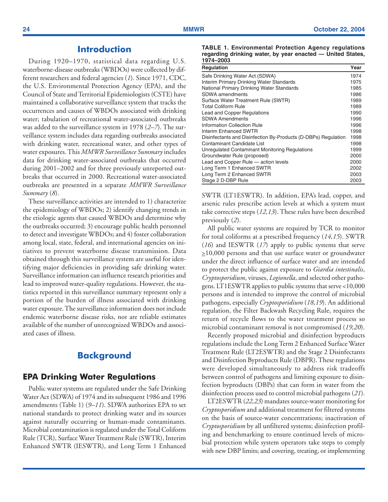## **Introduction**

<span id="page-25-0"></span>During 1920–1970, statistical data regarding U.S. waterborne-disease outbreaks (WBDOs) were collected by different researchers and federal agencies (*1*). Since 1971, CDC, the U.S. Environmental Protection Agency (EPA), and the Council of State and Territorial Epidemiologists (CSTE) have maintained a collaborative surveillance system that tracks the occurrences and causes of WBDOs associated with drinking water; tabulation of recreational water-associated outbreaks was added to the surveillance system in 1978 (*2–7*). The surveillance system includes data regarding outbreaks associated with drinking water, recreational water, and other types of water exposures. This *MMWR Surveillance Summary* includes data for drinking water-associated outbreaks that occurred during 2001–2002 and for three previously unreported outbreaks that occurred in 2000. Recreational water-associated outbreaks are presented in a separate *MMWR Surveillance Summary* (*8*).

These surveillance activities are intended to 1) characterize the epidemiology of WBDOs; 2) identify changing trends in the etiologic agents that caused WBDOs and determine why the outbreaks occurred; 3) encourage public health personnel to detect and investigate WBDOs; and 4) foster collaboration among local, state, federal, and international agencies on initiatives to prevent waterborne disease transmission. Data obtained through this surveillance system are useful for identifying major deficiencies in providing safe drinking water. Surveillance information can influence research priorities and lead to improved water-quality regulations. However, the statistics reported in this surveillance summary represent only a portion of the burden of illness associated with drinking water exposure. The surveillance information does not include endemic waterborne disease risks, nor are reliable estimates available of the number of unrecognized WBDOs and associated cases of illness.

## **Background**

### **EPA Drinking Water Regulations**

Public water systems are regulated under the Safe Drinking Water Act (SDWA) of 1974 and its subsequent 1986 and 1996 amendments (Table 1) (*9–11*). SDWA authorizes EPA to set national standards to protect drinking water and its sources against naturally occurring or human-made contaminants. Microbial contamination is regulated under the Total Coliform Rule (TCR), Surface Water Treatment Rule (SWTR), Interim Enhanced SWTR (IESWTR), and Long Term 1 Enhanced

| <b>TABLE 1. Environmental Protection Agency regulations</b> |  |
|-------------------------------------------------------------|--|
| regarding drinking water, by year enacted - United States,  |  |
| 1974-2003                                                   |  |

| Regulation                                                     | Year |
|----------------------------------------------------------------|------|
| Safe Drinking Water Act (SDWA)                                 | 1974 |
| Interim Primary Drinking Water Standards                       | 1975 |
| National Primary Drinking Water Standards                      | 1985 |
| SDWA amendments                                                | 1986 |
| Surface Water Treatment Rule (SWTR)                            | 1989 |
| <b>Total Coliform Rule</b>                                     | 1989 |
| <b>Lead and Copper Regulations</b>                             | 1990 |
| <b>SDWA Amendments</b>                                         | 1996 |
| Information Collection Rule                                    | 1996 |
| Interim Enhanced SWTR                                          | 1998 |
| Disinfectants and Disinfection By-Products (D-DBPs) Regulation | 1998 |
| Contaminant Candidate List                                     | 1998 |
| Unregulated Contaminant Monitoring Regulations                 | 1999 |
| Groundwater Rule (proposed)                                    | 2000 |
| Lead and Copper Rule - action levels                           | 2000 |
| Long Term 1 Enhanced SWTR                                      | 2002 |
| Long Term 2 Enhanced SWTR                                      | 2003 |
| Stage 2 D-DBP Rule                                             | 2003 |

SWTR (LT1ESWTR). In addition, EPA's lead, copper, and arsenic rules prescribe action levels at which a system must take corrective steps (*12,13*). These rules have been described previously (*2*).

All public water systems are required by TCR to monitor for total coliforms at a prescribed frequency (*14,15*). SWTR (*16*) and IESWTR (*17*) apply to public systems that serve  $\geq$ 10,000 persons and that use surface water or groundwater under the direct influence of surface water and are intended to protect the public against exposure to *Giardia intestinalis*, *Cryptosporidium*, viruses, *Legionella*, and selected other pathogens. LT1ESWTR applies to public systems that serve <10,000 persons and is intended to improve the control of microbial pathogens, especially *Cryptosporidium* (*18,19*). An additional regulation, the Filter Backwash Recycling Rule, requires the return of recycle flows to the water treatment process so microbial contaminant removal is not compromised (*19,20*).

Recently proposed microbial and disinfection byproducts regulations include the Long Term 2 Enhanced Surface Water Treatment Rule (LT2ESWTR) and the Stage 2 Disinfectants and Disinfection Byproducts Rule (DBPR). These regulations were developed simultaneously to address risk tradeoffs between control of pathogens and limiting exposure to disinfection byproducts (DBPs) that can form in water from the disinfection process used to control microbial pathogens (*21*).

LT2ESWTR (*22,23*) mandates source-water monitoring for *Cryptosporidium* and additional treatment for filtered systems on the basis of source-water concentrations; inactivation of *Cryptosporidium* by all unfiltered systems; disinfection profiling and benchmarking to ensure continued levels of microbial protection while system operators take steps to comply with new DBP limits; and covering, treating, or implementing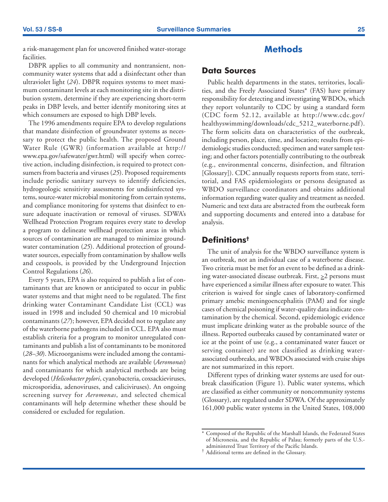<span id="page-26-0"></span>a risk-management plan for uncovered finished water-storage facilities.

# **Methods**

DBPR applies to all community and nontransient, noncommunity water systems that add a disinfectant other than ultraviolet light (*24*). DBPR requires systems to meet maximum contaminant levels at each monitoring site in the distribution system, determine if they are experiencing short-term peaks in DBP levels, and better identify monitoring sites at which consumers are exposed to high DBP levels.

The 1996 amendments require EPA to develop regulations that mandate disinfection of groundwater systems as necessary to protect the public health. The proposed Ground Water Rule (GWR) (information available at [http://](http://www.epa.gov/safewater/gwr.html) [www.epa.gov/safewater/gwr.html\)](http://www.epa.gov/safewater/gwr.html) will specify when corrective action, including disinfection, is required to protect consumers from bacteria and viruses (*25*). Proposed requirements include periodic sanitary surveys to identify deficiencies, hydrogeologic sensitivity assessments for undisinfected systems, source-water microbial monitoring from certain systems, and compliance monitoring for systems that disinfect to ensure adequate inactivation or removal of viruses. SDWA's Wellhead Protection Program requires every state to develop a program to delineate wellhead protection areas in which sources of contamination are managed to minimize groundwater contamination (*25*). Additional protection of groundwater sources, especially from contamination by shallow wells and cesspools, is provided by the Underground Injection Control Regulations (*26*).

Every 5 years, EPA is also required to publish a list of contaminants that are known or anticipated to occur in public water systems and that might need to be regulated. The first drinking water Contaminant Candidate List (CCL) was issued in 1998 and included 50 chemical and 10 microbial contaminants (*27*); however, EPA decided not to regulate any of the waterborne pathogens included in CCL. EPA also must establish criteria for a program to monitor unregulated contaminants and publish a list of contaminants to be monitored (*28–30*). Microorganisms were included among the contaminants for which analytical methods are available (*Aeromonas*) and contaminants for which analytical methods are being developed (*Helicobacter pylori*, cyanobacteria, coxsackieviruses, microsporidia, adenoviruses, and caliciviruses). An ongoing screening survey for *Aeromonas*, and selected chemical contaminants will help determine whether these should be considered or excluded for regulation.

## **Data Sources**

Public health departments in the states, territories, localities, and the Freely Associated States\* (FAS) have primary responsibility for detecting and investigating WBDOs, which they report voluntarily to CDC by using a standard form (CDC form 52.12, available at [http://www.cdc.gov/](http://www.cdc.gov/healthyswimming/downloads/cdc_5212_waterborne.pdf) [healthyswimming/downloads/cdc\\_5212\\_waterborne.pdf\).](http://www.cdc.gov/healthyswimming/downloads/cdc_5212_waterborne.pdf) The form solicits data on characteristics of the outbreak, including person, place, time, and location; results from epidemiologic studies conducted; specimen and water sample testing; and other factors potentially contributing to the outbreak (e.g., environmental concerns, disinfection, and filtration [Glossary]). CDC annually requests reports from state, territorial, and FAS epidemiologists or persons designated as WBDO surveillance coordinators and obtains additional information regarding water quality and treatment as needed. Numeric and text data are abstracted from the outbreak form and supporting documents and entered into a database for analysis.

## **Definitions†**

The unit of analysis for the WBDO surveillance system is an outbreak, not an individual case of a waterborne disease. Two criteria must be met for an event to be defined as a drinking water-associated disease outbreak. First,  $\geq 2$  persons must have experienced a similar illness after exposure to water. This criterion is waived for single cases of laboratory-confirmed primary amebic meningoencephalitis (PAM) and for single cases of chemical poisoning if water-quality data indicate contamination by the chemical. Second, epidemiologic evidence must implicate drinking water as the probable source of the illness. Reported outbreaks caused by contaminated water or ice at the point of use (e.g., a contaminated water faucet or serving container) are not classified as drinking waterassociated outbreaks, and WBDOs associated with cruise ships are not summarized in this report.

Different types of drinking water systems are used for outbreak classification (Figure 1). Public water systems, which are classified as either community or noncommunity systems (Glossary), are regulated under SDWA. Of the approximately 161,000 public water systems in the United States, 108,000

<sup>\*</sup> Composed of the Republic of the Marshall Islands, the Federated States of Micronesia, and the Republic of Palau; formerly parts of the U.S. administered Trust Territory of the Pacific Islands.

<sup>†</sup> Additional terms are defined in the Glossary.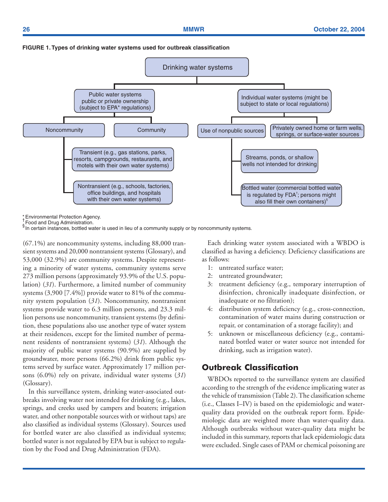



 $*$  Environmental Protection Agency.

 $\frac{1}{6}$  Food and Drug Administration.

<sup>9</sup> In certain instances, bottled water is used in lieu of a community supply or by noncommunity systems.

(67.1%) are noncommunity systems, including 88,000 transient systems and 20,000 nontransient systems (Glossary), and 53,000 (32.9%) are community systems. Despite representing a minority of water systems, community systems serve 273 million persons (approximately 93.9% of the U.S. population) (*31*). Furthermore, a limited number of community systems (3,900 [7.4%]) provide water to 81% of the community system population (*31*). Noncommunity, nontransient systems provide water to 6.3 million persons, and 23.3 million persons use noncommunity, transient systems (by definition, these populations also use another type of water system at their residences, except for the limited number of permanent residents of nontransient systems) (*31*). Although the majority of public water systems (90.9%) are supplied by groundwater, more persons (66.2%) drink from public systems served by surface water. Approximately 17 million persons (6.0%) rely on private, individual water systems (*31*) (Glossary).

In this surveillance system, drinking water-associated outbreaks involving water not intended for drinking (e.g., lakes, springs, and creeks used by campers and boaters; irrigation water, and other nonpotable sources with or without taps) are also classified as individual systems (Glossary). Sources used for bottled water are also classified as individual systems; bottled water is not regulated by EPA but is subject to regulation by the Food and Drug Administration (FDA).

Each drinking water system associated with a WBDO is classified as having a deficiency. Deficiency classifications are as follows:

- 1: untreated surface water;
- 2: untreated groundwater;
- treatment deficiency (e.g., temporary interruption of disinfection, chronically inadequate disinfection, or inadequate or no filtration);
- 4: distribution system deficiency (e.g., cross-connection, contamination of water mains during construction or repair, or contamination of a storage facility); and
- 5: unknown or miscellaneous deficiency (e.g., contaminated bottled water or water source not intended for drinking, such as irrigation water).

## **Outbreak Classification**

WBDOs reported to the surveillance system are classified according to the strength of the evidence implicating water as the vehicle of transmission (Table 2). The classification scheme (i.e., Classes I–IV) is based on the epidemiologic and waterquality data provided on the outbreak report form. Epidemiologic data are weighted more than water-quality data. Although outbreaks without water-quality data might be included in this summary, reports that lack epidemiologic data were excluded. Single cases of PAM or chemical poisoning are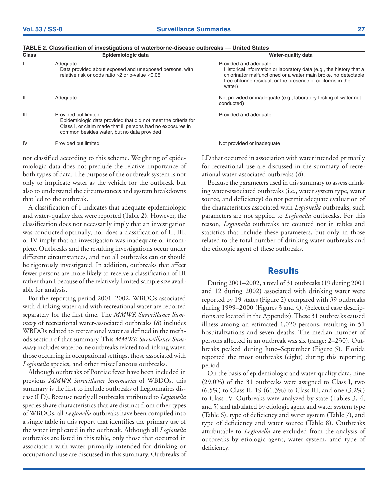| <b>Class</b>   | Epidemiologic data                                                                                                                                                                                  | Water-quality data                                                                                                                                                                                                                      |
|----------------|-----------------------------------------------------------------------------------------------------------------------------------------------------------------------------------------------------|-----------------------------------------------------------------------------------------------------------------------------------------------------------------------------------------------------------------------------------------|
|                | Adequate<br>Data provided about exposed and unexposed persons, with<br>relative risk or odds ratio > 2 or p-value < 0.05                                                                            | Provided and adequate<br>Historical information or laboratory data (e.g., the history that a<br>chlorinator malfunctioned or a water main broke, no detectable<br>free-chlorine residual, or the presence of coliforms in the<br>water) |
| Ш              | Adequate                                                                                                                                                                                            | Not provided or inadequate (e.g., laboratory testing of water not<br>conducted)                                                                                                                                                         |
| $\mathbf{III}$ | Provided but limited<br>Epidemiologic data provided that did not meet the criteria for<br>Class I, or claim made that ill persons had no exposures in<br>common besides water, but no data provided | Provided and adequate                                                                                                                                                                                                                   |
| IV             | Provided but limited                                                                                                                                                                                | Not provided or inadequate                                                                                                                                                                                                              |

<span id="page-28-0"></span>**TABLE 2. Classification of investigations of waterborne-disease outbreaks — United States**

not classified according to this scheme. Weighting of epidemiologic data does not preclude the relative importance of both types of data. The purpose of the outbreak system is not only to implicate water as the vehicle for the outbreak but also to understand the circumstances and system breakdowns that led to the outbreak.

A classification of I indicates that adequate epidemiologic and water-quality data were reported (Table 2). However, the classification does not necessarily imply that an investigation was conducted optimally, nor does a classification of II, III, or IV imply that an investigation was inadequate or incomplete. Outbreaks and the resulting investigations occur under different circumstances, and not all outbreaks can or should be rigorously investigated. In addition, outbreaks that affect fewer persons are more likely to receive a classification of III rather than I because of the relatively limited sample size available for analysis.

For the reporting period 2001–2002, WBDOs associated with drinking water and with recreational water are reported separately for the first time. The *MMWR Surveillance Summary* of recreational water-associated outbreaks (*8*) includes WBDOs related to recreational water as defined in the methods section of that summary. This *MMWR Surveillance Summary* includes waterborne outbreaks related to drinking water, those occurring in occupational settings, those associated with *Legionella* species, and other miscellaneous outbreaks.

Although outbreaks of Pontiac fever have been included in previous *MMWR Surveillance Summaries* of WBDOs, this summary is the first to include outbreaks of Legionnaires disease (LD). Because nearly all outbreaks attributed to *Legionella* species share characteristics that are distinct from other types of WBDOs, all *Legionella* outbreaks have been compiled into a single table in this report that identifies the primary use of the water implicated in the outbreak. Although all *Legionella* outbreaks are listed in this table, only those that occurred in association with water primarily intended for drinking or occupational use are discussed in this summary. Outbreaks of

LD that occurred in association with water intended primarily for recreational use are discussed in the summary of recreational water-associated outbreaks (*8*).

Because the parameters used in this summary to assess drinking water-associated outbreaks (i.e., water system type, water source, and deficiency) do not permit adequate evaluation of the characteristics associated with *Legionella* outbreaks, such parameters are not applied to *Legionella* outbreaks. For this reason, *Legionella* outbreaks are counted not in tables and statistics that include these parameters, but only in those related to the total number of drinking water outbreaks and the etiologic agent of these outbreaks.

### **Results**

During 2001–2002, a total of 31 outbreaks (19 during 2001 and 12 during 2002) associated with drinking water were reported by 19 states (Figure 2) compared with 39 outbreaks during 1999–2000 (Figures 3 and 4). (Selected case descriptions are located in the Appendix). These 31 outbreaks caused illness among an estimated 1,020 persons, resulting in 51 hospitalizations and seven deaths. The median number of persons affected in an outbreak was six (range: 2–230). Outbreaks peaked during June–September (Figure 5). Florida reported the most outbreaks (eight) during this reporting period.

On the basis of epidemiologic and water-quality data, nine (29.0%) of the 31 outbreaks were assigned to Class I, two (6.5%) to Class II, 19 (61.3%) to Class III, and one (3.2%) to Class IV. Outbreaks were analyzed by state (Tables 3, 4, and 5) and tabulated by etiologic agent and water system type (Table 6), type of deficiency and water system (Table 7), and type of deficiency and water source (Table 8). Outbreaks attributable to *Legionella* are excluded from the analysis of outbreaks by etiologic agent, water system, amd type of deficiency.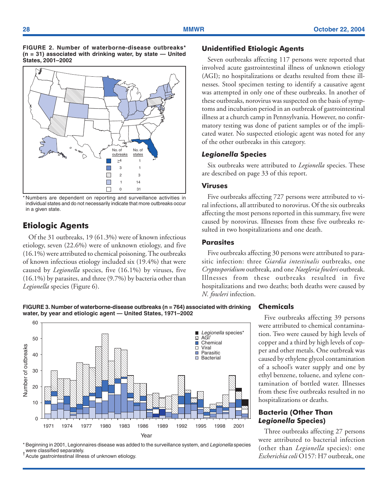

**FIGURE 2. Number of waterborne-disease outbreaks\* (n = 31) associated with drinking water, by state — United**

\* Numbers are dependent on reporting and surveillance activities in individual states and do not necessarily indicate that more outbreaks occur in a given state.

# **Etiologic Agents**

Of the 31 outbreaks, 19 (61.3%) were of known infectious etiology, seven (22.6%) were of unknown etiology, and five (16.1%) were attributed to chemical poisoning. The outbreaks of known infectious etiology included six (19.4%) that were caused by *Legionella* species, five (16.1%) by viruses, five (16.1%) by parasites, and three (9.7%) by bacteria other than *Legionella* species (Figure 6).

### **Unidentified Etiologic Agents**

Seven outbreaks affecting 117 persons were reported that involved acute gastrointestinal illness of unknown etiology (AGI); no hospitalizations or deaths resulted from these illnesses. Stool specimen testing to identify a causative agent was attempted in only one of these outbreaks. In another of these outbreaks, norovirus was suspected on the basis of symptoms and incubation period in an outbreak of gastrointestinal illness at a church camp in Pennsylvania. However, no confirmatory testing was done of patient samples or of the implicated water. No suspected etiologic agent was noted for any of the other outbreaks in this category.

#### *Legionella* **Species**

Six outbreaks were attributed to *Legionella* species. These are described on page 33 of this report.

#### **Viruses**

Five outbreaks affecting 727 persons were attributed to viral infections, all attributed to norovirus. Of the six outbreaks affecting the most persons reported in this summary, five were caused by norovirus. Illnesses from these five outbreaks resulted in two hospitalizations and one death.

#### **Parasites**

Five outbreaks affecting 30 persons were attributed to parasitic infection: three *Giardia intestinalis* outbreaks, one *Cryptosporidium* outbreak, and one *Naegleria fowleri* outbreak. Illnesses from these outbreaks resulted in five hospitalizations and two deaths; both deaths were caused by *N. fowleri* infection.





\* Beginning in 2001, Legionnaires disease was added to the surveillance system, and Legionella species were classified separately.

Acute gastrointestinal illness of unknown etiology.

### **Chemicals**

Five outbreaks affecting 39 persons were attributed to chemical contamination. Two were caused by high levels of copper and a third by high levels of copper and other metals. One outbreak was caused by ethylene glycol contamination of a school's water supply and one by ethyl benzene, toluene, and xylene contamination of bottled water. Illnesses from these five outbreaks resulted in no hospitalizations or deaths.

## **Bacteria (Other Than** *Legionella* **Species)**

Three outbreaks affecting 27 persons were attributed to bacterial infection (other than *Legionella* species): one *Escherichia coli* O157: H7 outbreak, one

**States, 2001–2002**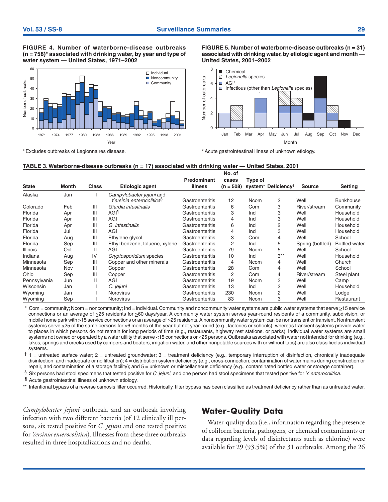#### **FIGURE 4. Number of waterborne-disease outbreaks (n = 758)\* associated with drinking water, by year and type of water system — United States, 1971–2002**



\* Excludes outbreaks of Legionnaires disease.

**FIGURE 5. Number of waterborne-disease outbreaks (n = 31) associated with drinking water, by etiologic agent and month — United States, 2001–2002**



\* Acute gastrointestinal illness of unknown etiology.

#### **TABLE 3. Waterborne-disease outbreaks (n = 17) associated with drinking water — United States, 2001**

|                 |              |                |                                      |                 | No. of      |             |                                 |                  |                      |
|-----------------|--------------|----------------|--------------------------------------|-----------------|-------------|-------------|---------------------------------|------------------|----------------------|
|                 |              |                |                                      | Predominant     | cases       | Type of     |                                 |                  |                      |
| <b>State</b>    | <b>Month</b> | <b>Class</b>   | Etiologic agent                      | illness         | $(n = 508)$ |             | system* Deficiency <sup>t</sup> | <b>Source</b>    | <b>Setting</b>       |
| Alaska          | Jun          |                | Campylobacter jejuni and             |                 |             |             |                                 |                  |                      |
|                 |              |                | Yersinia enterocolitica <sup>§</sup> | Gastroenteritis | 12          | <b>Ncom</b> | 2                               | Well             | <b>Bunkhouse</b>     |
| Colorado        | Feb          | III            | Giardia intestinalis                 | Gastroenteritis | 6           | Com         | 3                               | River/stream     | Community            |
| Florida         | Apr          | Ш              | AGI <sup>1</sup>                     | Gastroenteritis | 3           | Ind         | 3                               | Well             | Household            |
| Florida         | Apr          | Ш              | AGI                                  | Gastroenteritis | 4           | Ind         | 3                               | Well             | Household            |
| Florida         | Apr          | Ш              | G. intestinalis                      | Gastroenteritis | 6           | Ind         | 2                               | Well             | Household            |
| Florida         | Jul          | Ш              | AGI                                  | Gastroenteritis | 4           | Ind         | 3                               | Well             | Household            |
| Florida         | Aug          | Ш              | Ethylene glycol                      | Gastroenteritis | 3           | Com         | 4                               | Well             | School               |
| Florida         | Sep          | $\mathbf{III}$ | Ethyl benzene, toluene, xylene       | Gastroenteritis | 2           | Ind         | 5                               | Spring (bottled) | <b>Bottled</b> water |
| <b>Illinois</b> | Oct          | $\mathsf{II}$  | AGI                                  | Gastroenteritis | 79          | <b>Ncom</b> | 5                               | Well             | School               |
| Indiana         | Aug          | IV             | Cryptosporidium species              | Gastroenteritis | 10          | Ind         | $3***$                          | Well             | Household            |
| Minnesota       | Sep          | Ш              | Copper and other minerals            | Gastroenteritis | 4           | <b>Ncom</b> | 4                               | Well             | Church               |
| Minnesota       | Nov          | Ш              | Copper                               | Gastroenteritis | 28          | Com         | 4                               | Well             | School               |
| Ohio            | Sep          | Ш              | Copper                               | Gastroenteritis | 2           | Com         | 4                               | River/stream     | Steel plant          |
| Pennsylvania    | Jun          | Ш              | AGI                                  | Gastroenteritis | 19          | <b>Ncom</b> | 3                               | Well             | Camp                 |
| Wisconsin       | Jan          |                | C. jejuni                            | Gastroenteritis | 13          | Ind         | 2                               | Well             | Household            |
| Wyoming         | Jan          |                | <b>Norovirus</b>                     | Gastroenteritis | 230         | Ncom        | $\overline{2}$                  | Well             | Lodge                |
| Wyoming         | Sep          |                | <b>Norovirus</b>                     | Gastroenteritis | 83          | Ncom        | 3                               | Well             | Restaurant           |

\* Com = community; Ncom = noncommunity; Ind = individual. Community and noncommunity water systems are public water systems that serve >15 service connections or an average of >25 residents for >60 days/year. A community water system serves year-round residents of a community, subdivision, or mobile home park with >15 service connections or an average of >25 residents. A noncommunity water system can be nontransient or transient. Nontransient systems serve >25 of the same persons for >6 months of the year but not year-round (e.g., factories or schools), whereas transient systems provide water to places in which persons do not remain for long periods of time (e.g., restaurants, highway rest stations, or parks). Individual water systems are small systems not owned or operated by a water utility that serve <15 connections or <25 persons. Outbreaks associated with water not intended for drinking (e.g., lakes, springs and creeks used by campers and boaters, irrigation water, and other nonpotable sources with or without taps) are also classified as individual systems.

 $\dagger$  1 = untreated surface water; 2 = untreated groundwater; 3 = treatment deficiency (e.g., temporary interruption of disinfection, chronically inadequate disinfection, and inadequate or no filtration); 4 = distribution system deficiency (e.g., cross-connection, contamination of water mains during construction or repair, and contamination of a storage facility); and 5 = unknown or miscellaneous deficiency (e.g., contaminated bottled water or storage container).

§ Six persons had stool specimens that tested positive for C. jejuni, and one person had stool specimens that tested positive for Y. enterocolitica.

¶ Acute gastrointestinal illness of unknown etiology.

\*\* Intentional bypass of a reverse osmosis filter occurred. Historically, filter bypass has been classified as treatment deficiency rather than as untreated water.

*Campylobacter jejuni* outbreak, and an outbreak involving infection with two different bacteria (of 12 clinically ill persons, six tested positive for *C. jejuni* and one tested positive for *Yersinia enterocolitica*). Illnesses from these three outbreaks resulted in three hospitalizations and no deaths.

## **Water-Quality Data**

Water-quality data (i.e., information regarding the presence of coliform bacteria, pathogens, or chemical contaminants or data regarding levels of disinfectants such as chlorine) were available for 29 (93.5%) of the 31 outbreaks. Among the 26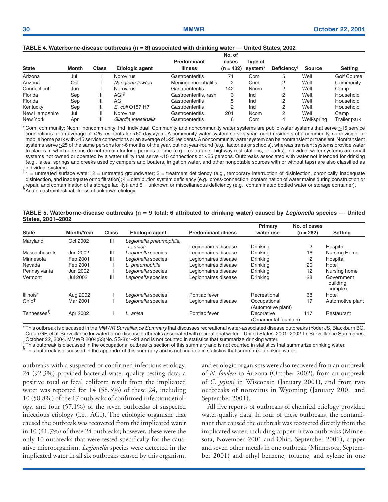|               |       |              |                      |                            | No. of      |                     |                         |               |                |
|---------------|-------|--------------|----------------------|----------------------------|-------------|---------------------|-------------------------|---------------|----------------|
|               |       |              |                      | Predominant                | cases       | Type of             |                         |               |                |
| <b>State</b>  | Month | <b>Class</b> | Etiologic agent      | illness                    | $(n = 432)$ | system <sup>*</sup> | Deficiency <sup>+</sup> | <b>Source</b> | <b>Setting</b> |
| Arizona       | Jul   |              | <b>Norovirus</b>     | Gastroenteritis            | 71          | Com                 | 5                       | Well          | Golf Course    |
| Arizona       | Oct   |              | Naegleria fowleri    | <b>Meningoencephalitis</b> | 2           | Com                 | 2                       | Well          | Community      |
| Connecticut   | Jun   |              | Norovirus            | Gastroenteritis            | 142         | Ncom                | 2                       | Well          | Camp           |
| Florida       | Sep   | III          | AGI <sup>§</sup>     | Gastroenteritis, rash      | 3           | Ind                 | ⌒                       | Well          | Household      |
| Florida       | Sep   | Ш            | AGI                  | Gastroenteritis            | 5           | Ind                 | っ                       | Well          | Household      |
| Kentucky      | Sep   | Ш            | E. coli 0157:H7      | Gastroenteritis            | 2           | Ind                 | ⌒                       | Well          | Household      |
| New Hampshire | Jul   | Ш            | <b>Norovirus</b>     | Gastroenteritis            | 201         | <b>Ncom</b>         | 2                       | Well          | Camp           |
| New York      | Apr   | Ш            | Giardia intestinalis | Gastroenteritis            | 6           | Com                 |                         | Well/spring   | Trailer park   |

#### **TABLE 4. Waterborne-disease outbreaks (n = 8) associated with drinking water — United States, 2002**

\* Com=community; Ncom=noncommunity; Ind=individual. Community and noncommunity water systems are public water systems that serve >15 service connections or an average of >25 residents for >60 days/year. A community water system serves year-round residents of a community, subdivision, or mobile home park with >15 service connections or an average of >25 residents. A noncommunity water system can be nontransient or transient. Nontransient systems serve >25 of the same persons for >6 months of the year, but not year-round (e.g., factories or schools), whereas transient systems provide water to places in which persons do not remain for long periods of time (e.g., restaurants, highway rest stations, or parks). Individual water systems are small systems not owned or operated by a water utility that serve <15 connections or <25 persons. Outbreaks associated with water not intended for drinking (e.g., lakes, springs and creeks used by campers and boaters, irrigation water, and other nonpotable sources with or without taps) are also classified as individual systems. †

1 = untreated surface water; 2 = untreated groundwater; 3 = treatment deficiency (e.g., temporary interruption of disinfection, chronically inadequate disinfection, and inadequate or no filtration); 4 = distribution system deficiency (e.g., cross-connection, contamination of water mains during construction or <sub>§</sub>repair, and contamination of a storage facility); and 5 = unknown or miscellaneous deficiency (e.g., contaminated bottled water or storage container).<br><sup>§</sup> Acute gastrointestinal illness of unknown etiology.

#### **TABLE 5. Waterborne-disease outbreaks (n = 9 total; 6 attributed to drinking water) caused by Legionella species — United States, 2001–2002**

|                        |                   |              |                         |                            | Primary                             | No. of cases |                                   |
|------------------------|-------------------|--------------|-------------------------|----------------------------|-------------------------------------|--------------|-----------------------------------|
| <b>State</b>           | <b>Month/Year</b> | <b>Class</b> | Etiologic agent         | <b>Predominant illness</b> | water use                           | $(n = 282)$  | <b>Setting</b>                    |
| Maryland               | Oct 2002          | Ш            | Legionella pneumophila, |                            |                                     |              |                                   |
|                        |                   |              | L. anisa                | Legionnaires disease       | Drinking                            | 2            | Hospital                          |
| Massachusetts          | Jun 2002          | Ш            | Legionella species      | Legionnaires disease       | <b>Drinking</b>                     | 16           | <b>Nursing Home</b>               |
| Minnesota              | Feb 2001          | Ш            | Legionella species      | Legionnaires disease       | Drinking                            | 2            | Hospital                          |
| Nevada                 | Feb 2001          |              | L. pneumophila          | Legionnaires disease       | Drinking                            | 20           | Hotel                             |
| Pennsylvania           | Jun 2002          |              | Legionella species      | Legionnaires disease       | <b>Drinking</b>                     | 12           | Nursing home                      |
| Vermont                | Jul 2002          | Ш            | Legionella species      | Legionnaires disease       | Drinking                            | 28           | Government<br>building<br>complex |
| Illinois*              | Aug 2002          |              | Legionella species      | Pontiac fever              | Recreational                        | 68           | Hotel                             |
| Ohio <sup>t</sup>      | Mar 2001          |              | Legionella species      | Legionnaires disease       | Occupational<br>(Automotive plant)  | 17           | Automotive plant                  |
| Tennessee <sup>§</sup> | Apr 2002          |              | L. anisa                | Pontiac fever              | Decorative<br>(Ornamental fountain) | 117          | Restaurant                        |

\* This outbreak is discussed in the *MMWR Surveillance Summary* that discusses recreational water-associated disease outbreaks (Yoder JS, Blackburn BG, Craun GF, et al. Surveillance for waterborne-disease outbreaks associated with recreational water—United States, 2001–2002. In: Surveillance Summaries,

October 22, 2004. MMWR 2004;53(No. SS-8):1–21 and is not counted in statistics that summarize drinking water. † This outbreak is discussed in the occupational outbreaks section of this summary and is not counted in statistics that summarize drinking water.

S This outbreak is discussed in the appendix of this summary and is not counted in statistics that summarize drinking water.

outbreaks with a suspected or confirmed infectious etiology, 24 (92.3%) provided bacterial water-quality testing data; a positive total or fecal coliform result from the implicated water was reported for 14 (58.3%) of these 24, including 10 (58.8%) of the 17 outbreaks of confirmed infectious etiology, and four (57.1%) of the seven outbreaks of suspected infectious etiology (i.e., AGI). The etiologic organism that caused the outbreak was recovered from the implicated water in 10 (41.7%) of these 24 outbreaks; however, these were the only 10 outbreaks that were tested specifically for the causative microorganism. *Legionella* species were detected in the implicated water in all six outbreaks caused by this organism, and etiologic organisms were also recovered from an outbreak of *N. fowleri* in Arizona (October 2002), from an outbreak of *C. jejuni* in Wisconsin (January 2001), and from two outbreaks of norovirus in Wyoming (January 2001 and September 2001).

All five reports of outbreaks of chemical etiology provided water-quality data. In four of these outbreaks, the contaminant that caused the outbreak was recovered directly from the implicated water, including copper in two outbreaks (Minnesota, November 2001 and Ohio, September 2001), copper and seven other metals in one outbreak (Minnesota, September 2001) and ethyl benzene, toluene, and xylene in one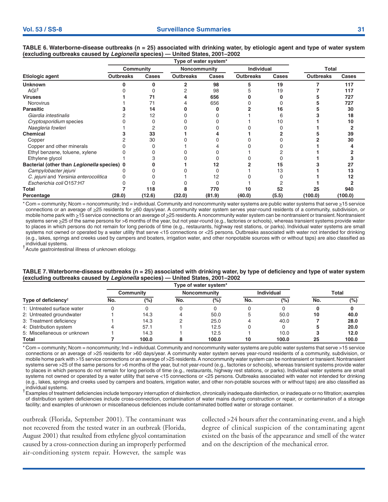| TABLE 6. Waterborne-disease outbreaks (n = 25) associated with drinking water, by etiologic agent and type of water system |  |
|----------------------------------------------------------------------------------------------------------------------------|--|
| (excluding outbreaks caused by <i>Legionella</i> species) — United States, 2001–2002                                       |  |

|                                             |                  |              | Type of water system* |        |                  |              |                  |         |
|---------------------------------------------|------------------|--------------|-----------------------|--------|------------------|--------------|------------------|---------|
|                                             |                  | Community    | Noncommunity          |        | Individual       |              | <b>Total</b>     |         |
| <b>Etiologic agent</b>                      | <b>Outbreaks</b> | <b>Cases</b> | <b>Outbreaks</b>      | Cases  | <b>Outbreaks</b> | <b>Cases</b> | <b>Outbreaks</b> | Cases   |
| <b>Unknown</b>                              |                  |              |                       | 98     |                  | 19           |                  | 117     |
| AGI <sup>†</sup>                            |                  |              |                       | 98     |                  | 19           |                  | 117     |
| <b>Viruses</b>                              |                  | 71           |                       | 656    |                  |              |                  | 727     |
| Norovirus                                   |                  | 71           |                       | 656    |                  |              |                  | 727     |
| <b>Parasitic</b>                            |                  | 14           |                       |        |                  | 16           |                  | 30      |
| Giardia intestinalis                        |                  | 12           |                       |        |                  |              |                  | 18      |
| Cryptosporidium species                     |                  |              |                       |        |                  |              |                  | 10      |
| Naegleria fowleri                           |                  |              |                       |        |                  |              |                  |         |
| <b>Chemical</b>                             |                  | 33           |                       |        |                  |              |                  | 39      |
| Copper                                      |                  | 30           |                       |        |                  |              |                  | 30      |
| Copper and other minerals                   |                  |              |                       |        |                  |              |                  |         |
| Ethyl benzene, toluene, xylene              |                  |              |                       |        |                  |              |                  |         |
| Ethylene glycol                             |                  |              |                       |        |                  |              |                  |         |
| Bacterial (other than Legionella species) 0 |                  |              |                       |        |                  |              |                  |         |
| Campylobacter jejuni                        |                  |              |                       |        |                  |              |                  | I3      |
| C. jejuni and Yersinia enterocolitica       |                  |              |                       | 12     |                  |              |                  | 2       |
| Escherichia coli O157:H7                    |                  |              |                       |        |                  |              |                  |         |
| Total                                       |                  | 118          |                       | 770    |                  | 52           | 25               | 940     |
| Percentage                                  | (28.0)           | (12.6)       | (32.0)                | (81.9) | (40.0)           | (5.5)        | (100.0)          | (100.0) |

\* Com = community; Ncom = noncommunity; Ind = individual. Community and noncommunity water systems are public water systems that serve >15 service connections or an average of >25 residents for >60 days/year. A community water system serves year-round residents of a community, subdivision, or mobile home park with >15 service connections or an average of >25 residents. A noncommunity water system can be nontransient or transient. Nontransient systems serve >25 of the same persons for >6 months of the year, but not year-round (e.g., factories or schools), whereas transient systems provide water to places in which persons do not remain for long periods of time (e.g., restaurants, highway rest stations, or parks). Individual water systems are small systems not owned or operated by a water utility that serve <15 connections or <25 persons. Outbreaks associated with water not intended for drinking (e.g., lakes, springs and creeks used by campers and boaters, irrigation water, and other nonpotable sources with or without taps) are also classified as individual systems.

the measure years of unknown etiology.

#### **TABLE 7. Waterborne-disease outbreaks (n = 25) associated with drinking water, by type of deficiency and type of water system (excluding outbreaks caused by Legionella species) — United States, 2001–2002**

|                                 |     |           |     | Type of water system* |     |            |     |        |
|---------------------------------|-----|-----------|-----|-----------------------|-----|------------|-----|--------|
|                                 |     | Community |     | <b>Noncommunity</b>   |     | Individual |     | Total  |
| Type of deficiency <sup>†</sup> | No. | (%)       | No. | (%)                   | No. | (%)        | No. | $(\%)$ |
| 1: Untreated surface water      |     |           |     |                       |     |            |     |        |
| 2: Untreated groundwater        |     | 14.3      |     | 50.0                  | C   | 50.0       | 10  | 40.0   |
| 3: Treatment deficiency         |     | 14.3      |     | 25.0                  |     | 40.0       |     | 28.0   |
| 4: Distribution system          |     | 57.1      |     | 12.5                  |     |            |     | 20.0   |
| 5: Miscellaneous or unknown     |     | 14.3      |     | 12.5                  |     | 10.0       |     | 12.0   |
| Total                           |     | 100.0     |     | 100.0                 | 10  | 100.0      | 25  | 100.0  |

\* Com = community; Ncom = noncommunity; Ind = individual. Community and noncommunity water systems are public water systems that serve >15 service connections or an average of >25 residents for >60 days/year. A community water system serves year-round residents of a community, subdivision, or mobile home park with >15 service connections or an average of >25 residents. A noncommunity water system can be nontransient or transient. Nontransient systems serve >25 of the same persons for >6 months of the year, but not year-round (e.g., factories or schools), whereas transient systems provide water to places in which persons do not remain for long periods of time (e.g., restaurants, highway rest stations, or parks). Individual water systems are small systems not owned or operated by a water utility that serve <15 connections or <25 persons. Outbreaks associated with water not intended for drinking (e.g., lakes, springs and creeks used by campers and boaters, irrigation water, and other non-potable sources with or without taps) are also classified as individual systems.

 $^\intercal$  Examples of treatment deficiencies include temporary interruption of disinfection, chronically inadequate disinfection, or inadequate or no filtration; examples of distribution system deficiencies include cross-connection, contamination of water mains during construction or repair, or contamination of a storage facility; and examples of unknown or miscellaneous deficiences include contaminated bottled water or storage container.

outbreak (Florida, September 2001). The contaminant was not recovered from the tested water in an outbreak (Florida, August 2001) that resulted from ethylene glycol contamination caused by a cross-connection during an improperly performed air-conditioning system repair. However, the sample was collected >24 hours after the contaminating event, and a high degree of clinical suspicion of the contaminating agent existed on the basis of the appearance and smell of the water and on the description of the mechanical error.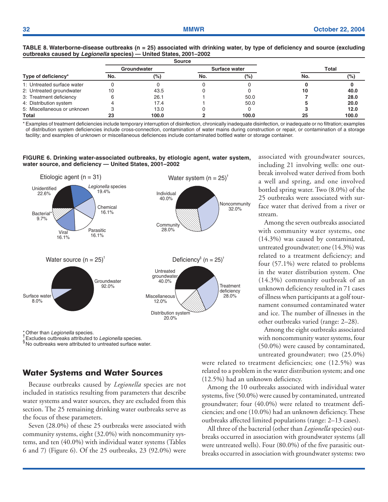|                             |     |             | <b>Source</b> |                      |     |       |
|-----------------------------|-----|-------------|---------------|----------------------|-----|-------|
|                             |     | Groundwater |               | <b>Surface water</b> |     | Total |
| Type of deficiency*         | No. | (%)         | No.           | (%)                  | No. | (%)   |
| 1: Untreated surface water  |     |             |               |                      |     |       |
| 2: Untreated groundwater    | 10  | 43.5        |               |                      | 10  | 40.0  |
| 3: Treatment deficiency     |     | 26.1        |               | 50.0                 |     | 28.0  |
| 4: Distribution system      |     | 17.4        |               | 50.0                 |     | 20.0  |
| 5: Miscellaneous or unknown |     | 13.0        |               |                      |     | 12.0  |
| Total                       | 23  | 100.0       |               | 100.0                | 25  | 100.0 |

**TABLE 8. Waterborne-disease outbreaks (n = 25) associated with drinking water, by type of deficiency and source (excluding outbreaks caused by Legionella species) — United States, 2001–2002**

\* Examples of treatment deficiencies include temporary interruption of disinfection, chronically inadequate disinfection, or inadequate or no filtration; examples of distribution system deficiencies include cross-connection, contamination of water mains during construction or repair, or contamination of a storage facility; and examples of unknown or miscellaneous deficiences include contaminated bottled water or storage container.

#### **FIGURE 6. Drinking water-associated outbreaks, by etiologic agent, water system, water source, and deficiency — United States, 2001–2002**



\* Other than Legionella species.

Excludes outbreaks attributed to Legionella species.

Surface terms in the attributed to untreated surface water.

# **Water Systems and Water Sources**

Because outbreaks caused by *Legionella* species are not included in statistics resulting from parameters that describe water systems and water sources, they are excluded from this section. The 25 remaining drinking water outbreaks serve as the focus of these parameters.

Seven (28.0%) of these 25 outbreaks were associated with community systems, eight (32.0%) with noncommunity systems, and ten (40.0%) with individual water systems (Tables 6 and 7) (Figure 6). Of the 25 outbreaks, 23 (92.0%) were

associated with groundwater sources, including 21 involving wells: one outbreak involved water derived from both a well and spring, and one involved bottled spring water. Two (8.0%) of the 25 outbreaks were associated with surface water that derived from a river or stream.

Among the seven outbreaks associated with community water systems, one (14.3%) was caused by contaminated, untreated groundwater; one (14.3%) was related to a treatment deficiency; and four (57.1%) were related to problems in the water distribution system. One (14.3%) community outbreak of an unknown deficiency resulted in 71 cases of illness when participants at a golf tournament consumed contaminated water and ice. The number of illnesses in the other outbreaks varied (range: 2–28).

Among the eight outbreaks associated with noncommunity water systems, four (50.0%) were caused by contaminated, untreated groundwater; two (25.0%)

were related to treatment deficiencies; one (12.5%) was related to a problem in the water distribution system; and one (12.5%) had an unknown deficiency.

Among the 10 outbreaks associated with individual water systems, five (50.0%) were caused by contaminated, untreated groundwater; four (40.0%) were related to treatment deficiencies; and one (10.0%) had an unknown deficiency. These outbreaks affected limited populations (range: 2–13 cases).

All three of the bacterial (other than *Legionella* species) outbreaks occurred in association with groundwater systems (all were untreated wells). Four (80.0%) of the five parasitic outbreaks occurred in association with groundwater systems: two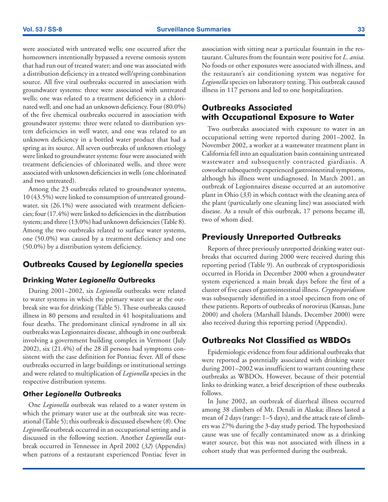were associated with untreated wells; one occurred after the homeowners intentionally bypassed a reverse osmosis system that had run out of treated water; and one was associated with a distribution deficiency in a treated well/spring combination source. All five viral outbreaks occurred in association with groundwater systems: three were associated with untreated wells; one was related to a treatment deficiency in a chlorinated well; and one had an unknown deficiency. Four (80.0%) of the five chemical outbreaks occurred in association with groundwater systems: three were related to distribution system deficiencies in well water, and one was related to an unknown deficiency in a bottled water product that had a spring as its source. All seven outbreaks of unknown etiology were linked to groundwater systems: four were associated with treatment deficiencies of chlorinated wells, and three were associated with unknown deficiencies in wells (one chlorinated and two untreated).

Among the 23 outbreaks related to groundwater systems, 10 (43.5%) were linked to consumption of untreated groundwater, six (26.1%) were associated with treatment deficiencies; four (17.4%) were linked to deficiencies in the distribution system; and three (13.0%) had unknown deficiencies (Table 8). Among the two outbreaks related to surface water systems, one (50.0%) was caused by a treatment deficiency and one (50.0%) by a distribution system deficiency.

# **Outbreaks Caused by** *Legionella* **species**

### **Drinking Water** *Legionella* **Outbreaks**

During 2001–2002, six *Legionella* outbreaks were related to water systems in which the primary water use at the outbreak site was for drinking (Table 5). These outbreaks caused illness in 80 persons and resulted in 41 hospitalizations and four deaths. The predominant clinical syndrome in all six outbreaks was Legionnaires disease, although in one outbreak involving a government building complex in Vermont (July 2002), six (21.4%) of the 28 ill persons had symptoms consistent with the case definition for Pontiac fever. All of these outbreaks occurred in large buildings or institutional settings and were related to multiplication of *Legionella* species in the respective distribution systems.

#### **Other** *Legionella* **Outbreaks**

One *Legionella* outbreak was related to a water system in which the primary water use at the outbreak site was recreational (Table 5); this outbreak is discussed elsewhere (*8*). One *Legionella* outbreak occurred in an occupational setting and is discussed in the following section. Another *Legionella* outbreak occurred in Tennessee in April 2002 (*32*) (Appendix) when patrons of a restaurant experienced Pontiac fever in association with sitting near a particular fountain in the restaurant. Cultures from the fountain were positive for *L. anisa*. No foods or other exposures were associated with illness, and the restaurant's air conditioning system was negative for *Legionella* species on laboratory testing. This outbreak caused illness in 117 persons and led to one hospitalization.

# **Outbreaks Associated with Occupational Exposure to Water**

Two outbreaks associated with exposure to water in an occupational setting were reported during 2001–2002. In November 2002, a worker at a wastewater treatment plant in California fell into an equalization basin containing untreated wastewater and subsequently contracted giardiasis. A coworker subsequently experienced gastrointestinal symptoms, although his illness went undiagnosed. In March 2001, an outbreak of Legionnaires disease occurred at an automotive plant in Ohio (*33*) in which contact with the cleaning area of the plant (particularly one cleaning line) was associated with disease. As a result of this outbreak, 17 persons became ill, two of whom died.

## **Previously Unreported Outbreaks**

Reports of three previously unreported drinking water outbreaks that occurred during 2000 were received during this reporting period (Table 9). An outbreak of cryptosporidiosis occurred in Florida in December 2000 when a groundwater system experienced a main break days before the first of a cluster of five cases of gastrointestinal illness. *Cryptosporidium* was subsequently identified in a stool specimen from one of these patients. Reports of outbreaks of norovirus (Kansas, June 2000) and cholera (Marshall Islands, December 2000) were also received during this reporting period (Appendix).

## **Outbreaks Not Classified as WBDOs**

Epidemiologic evidence from four additional outbreaks that were reported as potentially associated with drinking water during 2001–2002 was insufficient to warrant counting these outbreaks as WBDOs. However, because of their potential links to drinking water, a brief description of these outbreaks follows.

In June 2002, an outbreak of diarrheal illness occurred among 38 climbers of Mt. Denali in Alaska; illness lasted a mean of 2 days (range: 1–5 days), and the attack rate of climbers was 27% during the 3-day study period. The hypothesized cause was use of fecally contaminated snow as a drinking water source, but this was not associated with illness in a cohort study that was performed during the outbreak.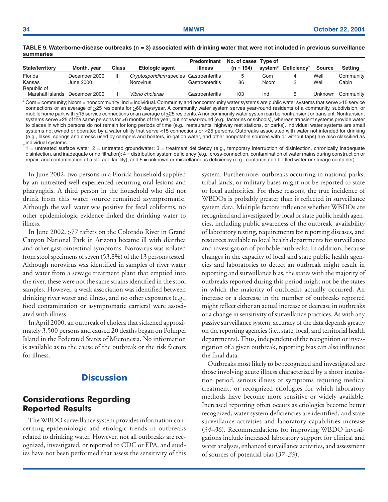|                        |                                |              |                                                                                                                                                    | Predominant     | No. of cases Type of |                     |                         |                |           |
|------------------------|--------------------------------|--------------|----------------------------------------------------------------------------------------------------------------------------------------------------|-----------------|----------------------|---------------------|-------------------------|----------------|-----------|
| <b>State/territory</b> | Month, year                    | <b>Class</b> | <b>Etiologic agent</b>                                                                                                                             | illness         | $(n = 194)$          | system <sup>*</sup> | Deficiency <sup>+</sup> | <b>Source</b>  | Settina   |
| Florida                | December 2000                  | III          | Cryptosporidium species Gastroenteritis                                                                                                            |                 | 5                    | Com                 |                         | Well           | Community |
| Kansas                 | June 2000                      |              | <b>Norovirus</b>                                                                                                                                   | Gastroenteritis | 86                   | Ncom                |                         | Well           | Cabin     |
| Republic of            |                                |              |                                                                                                                                                    |                 |                      |                     |                         |                |           |
|                        | Marshall Islands December 2000 |              | Vibrio cholerae                                                                                                                                    | Gastroenteritis | 103                  | Ind                 |                         | <b>Unknown</b> | Community |
|                        |                                |              | * Com = community; Ncom = noncommunity; Ind = individual. Community and noncommunity water systems are public water systems that serve >15 service |                 |                      |                     |                         |                |           |

<span id="page-35-0"></span>**TABLE 9. Waterborne-disease outbreaks (n = 3) associated with drinking water that were not included in previous surveillance summaries**

 $^{\star}$  Com = community; Ncom = noncommunity; Ind = individual. Community and noncommunity water systems are public water systems that serve  ${\ge}15$  service connections or an average of >25 residents for >60 days/year. A community water system serves year-round residents of a community, subdivision, or mobile home park with >15 service connections or an average of >25 residents. A noncommunity water system can be nontransient or transient. Nontransient systems serve >25 of the same persons for >6 months of the year, but not year-round (e.g., factories or schools), whereas transient systems provide water to places in which persons do not remain for long periods of time (e.g., restaurants, highway rest stations, or parks). Individual water systems are small systems not owned or operated by a water utility that serve <15 connections or <25 persons. Outbreaks associated with water not intended for drinking (e.g., lakes, springs and creeks used by campers and boaters, irrigation water, and other nonpotable sources with or without taps) are also classified as individual systems.

1 = untreated surface water; 2 = untreated groundwater; 3 = treatment deficiency (e.g., temporary interruption of disinfection, chronically inadequate disinfection, and inadequate or no filtration); 4 = distribution system deficiency (e.g., cross-connection, contamination of water mains during construction or repair, and contamination of a storage facility); and 5 = unknown or miscellaneous deficiency (e.g., contaminated bottled water or storage container).

In June 2002, two persons in a Florida household supplied by an untreated well experienced recurring oral lesions and pharyngitis. A third person in the household who did not drink from this water source remained asymptomatic. Although the well water was positive for fecal coliforms, no other epidemiologic evidence linked the drinking water to illness.

In June 2002, >77 rafters on the Colorado River in Grand Canyon National Park in Arizona became ill with diarrhea and other gastrointestinal symptoms. Norovirus was isolated from stool specimens of seven (53.8%) of the 13 persons tested. Although norovirus was identified in samples of river water and water from a sewage treatment plant that emptied into the river, these were not the same strains identified in the stool samples. However, a weak association was identified between drinking river water and illness, and no other exposures (e.g., food contamination or asymptomatic carriers) were associated with illness.

In April 2000, an outbreak of cholera that sickened approximately 3,500 persons and caused 20 deaths began on Pohnpei Island in the Federated States of Micronesia. No information is available as to the cause of the outbreak or the risk factors for illness.

# **Discussion**

# **Considerations Regarding Reported Results**

The WBDO surveillance system provides information concerning epidemiologic and etiologic trends in outbreaks related to drinking water. However, not all outbreaks are recognized, investigated, or reported to CDC or EPA, and studies have not been performed that assess the sensitivity of this system. Furthermore, outbreaks occurring in national parks, tribal lands, or military bases might not be reported to state or local authorities. For these reasons, the true incidence of WBDOs is probably greater than is reflected in surveillance system data. Multiple factors influence whether WBDOs are recognized and investigated by local or state public health agencies, including public awareness of the outbreak, availability of laboratory testing, requirements for reporting diseases, and resources available to local health departments for surveillance and investigation of probable outbreaks. In addition, because changes in the capacity of local and state public health agencies and laboratories to detect an outbreak might result in reporting and surveillance bias, the states with the majority of outbreaks reported during this period might not be the states in which the majority of outbreaks actually occurred. An increase or a decrease in the number of outbreaks reported might reflect either an actual increase or decrease in outbreaks or a change in sensitivity of surveillance practices. As with any passive surveillance system, accuracy of the data depends greatly on the reporting agencies (i.e., state, local, and territorial health departments). Thus, independent of the recognition or investigation of a given outbreak, reporting bias can also influence the final data.

Outbreaks most likely to be recognized and investigated are those involving acute illness characterized by a short incubation period, serious illness or symptoms requiring medical treatment, or recognized etiologies for which laboratory methods have become more sensitive or widely available. Increased reporting often occurs as etiologies become better recognized, water system deficiencies are identified, and state surveillance activities and laboratory capabilities increase (*34–36*). Recommendations for improving WBDO investigations include increased laboratory support for clinical and water analyses, enhanced surveillance activities, and assessment of sources of potential bias (*37–39*).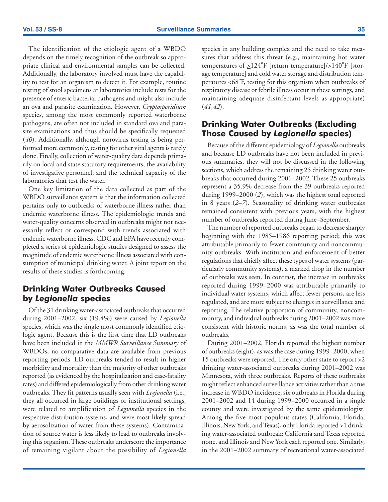The identification of the etiologic agent of a WBDO depends on the timely recognition of the outbreak so appropriate clinical and environmental samples can be collected. Additionally, the laboratory involved must have the capability to test for an organism to detect it. For example, routine testing of stool specimens at laboratories include tests for the presence of enteric bacterial pathogens and might also include an ova and parasite examination. However, *Cryptosporidium* species, among the most commonly reported waterborne pathogens, are often not included in standard ova and parasite examinations and thus should be specifically requested (*40*). Additionally, although norovirus testing is being performed more commonly, testing for other viral agents is rarely done. Finally, collection of water-quality data depends primarily on local and state statutory requirements, the availability of investigative personnel, and the technical capacity of the laboratories that test the water.

One key limitation of the data collected as part of the WBDO surveillance system is that the information collected pertains only to outbreaks of waterborne illness rather than endemic waterborne illness. The epidemiologic trends and water-quality concerns observed in outbreaks might not necessarily reflect or correspond with trends associated with endemic waterborne illness. CDC and EPA have recently completed a series of epidemiologic studies designed to assess the magnitude of endemic waterborne illness associated with consumption of municipal drinking water. A joint report on the results of these studies is forthcoming.

## **Drinking Water Outbreaks Caused by** *Legionella* **species**

Of the 31 drinking water-associated outbreaks that occurred during 2001–2002, six (19.4%) were caused by *Legionella* species, which was the single most commonly identified etiologic agent. Because this is the first time that LD outbreaks have been included in the *MMWR Surveillance Summary* of WBDOs, no comparative data are available from previous reporting periods. LD outbreaks tended to result in higher morbidity and mortality than the majority of other outbreaks reported (as evidenced by the hospitalization and case-fatality rates) and differed epidemiologically from other drinking water outbreaks. They fit patterns usually seen with *Legionella* (i.e., they all occurred in large buildings or institutional settings, were related to amplification of *Legionella* species in the respective distribution systems, and were most likely spread by aerosolization of water from these systems). Contamination of source water is less likely to lead to outbreaks involving this organism. These outbreaks underscore the importance of remaining vigilant about the possibility of *Legionella*

species in any building complex and the need to take measures that address this threat (e.g., maintaining hot water temperatures of  $\geq$ 124°F [return temperature]/>140°F [storage temperature] and cold water storage and distribution temperatures <68<sup>º</sup> F, testing for this organism when outbreaks of respiratory disease or febrile illness occur in these settings, and maintaining adequate disinfectant levels as appropriate) (*41,42*).

## **Drinking Water Outbreaks (Excluding Those Caused by** *Legionella* **species)**

Because of the different epidemiology of *Legionella* outbreaks and because LD outbreaks have not been included in previous summaries, they will not be discussed in the following sections, which address the remaining 25 drinking water outbreaks that occurred during 2001–2002. These 25 outbreaks represent a 35.9% decrease from the 39 outbreaks reported during 1999–2000 (*2*), which was the highest total reported in 8 years (*2–7*). Seasonality of drinking water outbreaks remained consistent with previous years, with the highest number of outbreaks reported during June–September.

The number of reported outbreaks began to decrease sharply beginning with the 1985–1986 reporting period; this was attributable primarily to fewer community and noncommunity outbreaks. With institution and enforcement of better regulations that chiefly affect these types of water systems (particularly community systems), a marked drop in the number of outbreaks was seen. In contrast, the increase in outbreaks reported during 1999–2000 was attributable primarily to individual water systems, which affect fewer persons, are less regulated, and are more subject to changes in surveillance and reporting. The relative proportion of community, noncommunity, and individual outbreaks during 2001–2002 was more consistent with historic norms, as was the total number of outbreaks.

During 2001–2002, Florida reported the highest number of outbreaks (eight), as was the case during 1999–2000, when 15 outbreaks were reported. The only other state to report >2 drinking water-associated outbreaks during 2001–2002 was Minnesota, with three outbreaks. Reports of these outbreaks might reflect enhanced surveillance activities rather than a true increase in WBDO incidence; six outbreaks in Florida during 2001–2002 and 14 during 1999–2000 occurred in a single county and were investigated by the same epidemiologist. Among the five most populous states (California, Florida, Illinois, New York, and Texas), only Florida reported >1 drinking water-associated outbreak; California and Texas reported none, and Illinois and New York each reported one. Similarly, in the 2001–2002 summary of recreational water-associated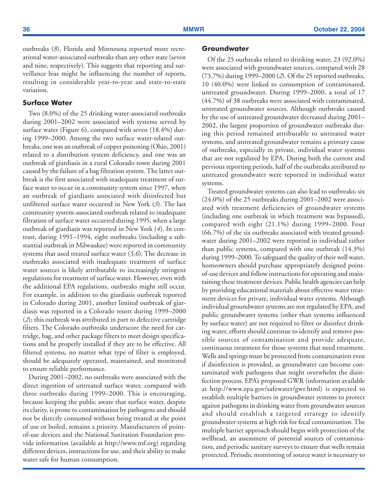outbreaks (*8*), Florida and Minnesota reported more recreational water-associated outbreaks than any other state (seven and nine, respectively). This suggests that reporting and surveillance bias might be influencing the number of reports, resulting in considerable year-to-year and state-to-state variation.

### **Surface Water**

Two (8.0%) of the 25 drinking water-associated outbreaks during 2001–2002 were associated with systems served by surface water (Figure 6), compared with seven (18.4%) during 1999–2000. Among the two surface water-related outbreaks, one was an outbreak of copper poisoning (Ohio, 2001) related to a distribution system deficiency, and one was an outbreak of giardiasis in a rural Colorado town during 2001 caused by the failure of a bag filtration system. The latter outbreak is the first associated with inadequate treatment of surface water to occur in a community system since 1997, when an outbreak of giardiasis associated with disinfected but unfiltered surface water occurred in New York (*3*). The last community system-associated outbreak related to inadequate filtration of surface water occurred during 1995, when a large outbreak of giardiasis was reported in New York (*4*). In contrast, during 1991–1994, eight outbreaks (including a substantial outbreak in Milwaukee) were reported in community systems that used treated surface water (*5,6*). The decrease in outbreaks associated with inadequate treatment of surface water sources is likely attributable to increasingly stringent regulations for treatment of surface water. However, even with the additional EPA regulations, outbreaks might still occur. For example, in addition to the giardiasis outbreak reported in Colorado during 2001, another limited outbreak of giardiasis was reported in a Colorado resort during 1999–2000 (*2*); this outbreak was attributed in part to defective cartridge filters. The Colorado outbreaks underscore the need for cartridge, bag, and other package filters to meet design specifications and be properly installed if they are to be effective. All filtered systems, no matter what type of filter is employed, should be adequately operated, maintained, and monitored to ensure reliable performance.

During 2001–2002, no outbreaks were associated with the direct ingestion of untreated surface water, compared with three outbreaks during 1999–2000. This is encouraging, because keeping the public aware that surface water, despite its clarity, is prone to contamination by pathogens and should not be directly consumed without being treated at the point of use or boiled, remains a priority. Manufacturers of pointof-use devices and the National Sanitation Foundation provide information (available at [http://www.nsf.org\)](http://www.nsf.org) regarding different devices, instructions for use, and their ability to make water safe for human consumption.

#### **Groundwater**

Of the 25 outbreaks related to drinking water, 23 (92.0%) were associated with groundwater sources, compared with 28 (73.7%) during 1999–2000 (*2*). Of the 25 reported outbreaks, 10 (40.0%) were linked to consumption of contaminated, untreated groundwater. During 1999–2000, a total of 17 (44.7%) of 38 outbreaks were associated with contaminated, untreated groundwater sources. Although outbreaks caused by the use of untreated groundwater decreased during 2001– 2002, the largest proportion of groundwater outbreaks during this period remained attributable to untreated water systems, and untreated groundwater remains a primary cause of outbreaks, especially in private, individual water systems that are not regulated by EPA. During both the current and pervious reporting periods, half of the outbreaks attributed to untreated groundwater were reported in individual water systems.

Treated groundwater systems can also lead to outbreaks; six (24.0%) of the 25 outbreaks during 2001–2002 were associated with treatment deficiencies of groundwater systems (including one outbreak in which treatment was bypassed), compared with eight (21.1%) during 1999–2000. Four (66.7%) of the six outbreaks associated with treated groundwater during 2001–2002 were reported in individual rather than public systems, compared with one outbreak (14.3%) during 1999–2000. To safeguard the quality of their well water, homeowners should purchase appropriately designed pointof-use devices and follow instructions for operating and maintaining these treatment devices. Public health agencies can help by providing educational materials about effective water treatment devices for private, individual water systems. Although individual groundwater systems are not regulated by EPA, and public groundwater systems (other than systems influenced by surface water) are not required to filter or disinfect drinking water, efforts should continue to identify and remove possible sources of contamination and provide adequate, continuous treatment for those systems that need treatment. Wells and springs must be protected from contamination even if disinfection is provided, as groundwater can become contaminated with pathogens that might overwhelm the disinfection process. EPA's proposed GWR (information available at [http://www.epa.gov/safewater/gwr.html\)](http://www.epa.gov/safewater/gwr.html) is expected to establish multiple barriers in groundwater systems to protect against pathogens in drinking water from groundwater sources and should establish a targeted strategy to identify groundwater systems at high risk for fecal contamination. The multiple barrier approach should begin with protection of the wellhead, an assessment of potential sources of contamination, and periodic sanitary surveys to ensure that wells remain protected. Periodic monitoring of source water is necessary to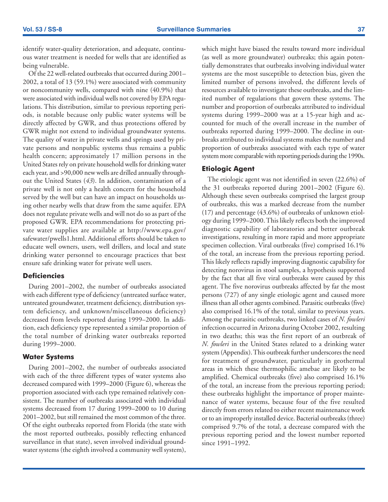identify water-quality deterioration, and adequate, continuous water treatment is needed for wells that are identified as being vulnerable.

Of the 22 well-related outbreaks that occurred during 2001– 2002, a total of 13 (59.1%) were associated with community or noncommunity wells, compared with nine (40.9%) that were associated with individual wells not covered by EPA regulations. This distribution, similar to previous reporting periods, is notable because only public water systems will be directly affected by GWR, and thus protections offered by GWR might not extend to individual groundwater systems. The quality of water in private wells and springs used by private persons and nonpublic systems thus remains a public health concern; approximately 17 million persons in the United States rely on private household wells for drinking water each year, and >90,000 new wells are drilled annually throughout the United States (*43*). In addition, contamination of a private well is not only a health concern for the household served by the well but can have an impact on households using other nearby wells that draw from the same aquifer. EPA does not regulate private wells and will not do so as part of the proposed GWR. EPA recommendations for protecting private water supplies are available at [http://www.epa.gov/](http://www.epa.gov/safewater/pwells1.html) [safewater/pwells1.html.](http://www.epa.gov/safewater/pwells1.html) Additional efforts should be taken to educate well owners, users, well drillers, and local and state drinking water personnel to encourage practices that best ensure safe drinking water for private well users.

### **Deficiencies**

During 2001–2002, the number of outbreaks associated with each different type of deficiency (untreated surface water, untreated groundwater, treatment deficiency, distribution system deficiency, and unknown/miscellaneous deficiency) decreased from levels reported during 1999–2000. In addition, each deficiency type represented a similar proportion of the total number of drinking water outbreaks reported during 1999–2000.

#### **Water Systems**

During 2001–2002, the number of outbreaks associated with each of the three different types of water systems also decreased compared with 1999–2000 (Figure 6), whereas the proportion associated with each type remained relatively consistent. The number of outbreaks associated with individual systems decreased from 17 during 1999–2000 to 10 during 2001–2002, but still remained the most common of the three. Of the eight outbreaks reported from Florida (the state with the most reported outbreaks, possibly reflecting enhanced surveillance in that state), seven involved individual groundwater systems (the eighth involved a community well system), which might have biased the results toward more individual (as well as more groundwater) outbreaks; this again potentially demonstrates that outbreaks involving individual water systems are the most susceptible to detection bias, given the limited number of persons involved, the different levels of resources available to investigate these outbreaks, and the limited number of regulations that govern these systems. The number and proportion of outbreaks attributed to individual systems during 1999–2000 was at a 15-year high and accounted for much of the overall increase in the number of outbreaks reported during 1999–2000. The decline in outbreaks attributed to individual systems makes the number and proportion of outbreaks associated with each type of water system more comparable with reporting periods during the 1990s.

#### **Etiologic Agent**

The etiologic agent was not identified in seven (22.6%) of the 31 outbreaks reported during 2001–2002 (Figure 6). Although these seven outbreaks comprised the largest group of outbreaks, this was a marked decrease from the number (17) and percentage (43.6%) of outbreaks of unknown etiology during 1999–2000. This likely reflects both the improved diagnostic capability of laboratories and better outbreak investigations, resulting in more rapid and more appropriate specimen collection. Viral outbreaks (five) comprised 16.1% of the total, an increase from the previous reporting period. This likely reflects rapidly improving diagnostic capability for detecting norovirus in stool samples, a hypothesis supported by the fact that all five viral outbreaks were caused by this agent. The five norovirus outbreaks affected by far the most persons (727) of any single etiologic agent and caused more illness than all other agents combined. Parasitic outbreaks (five) also comprised 16.1% of the total, similar to previous years. Among the parasitic outbreaks, two linked cases of *N. fowleri* infection occurred in Arizona during October 2002, resulting in two deaths; this was the first report of an outbreak of *N. fowleri* in the United States related to a drinking water system (Appendix). This outbreak further underscores the need for treatment of groundwater, particularly in geothermal areas in which these thermophilic amebae are likely to be amplified. Chemical outbreaks (five) also comprised 16.1% of the total, an increase from the previous reporting period; these outbreaks highlight the importance of proper maintenance of water systems, because four of the five resulted directly from errors related to either recent maintenance work or to an improperly installed device. Bacterial outbreaks (three) comprised 9.7% of the total, a decrease compared with the previous reporting period and the lowest number reported since 1991–1992.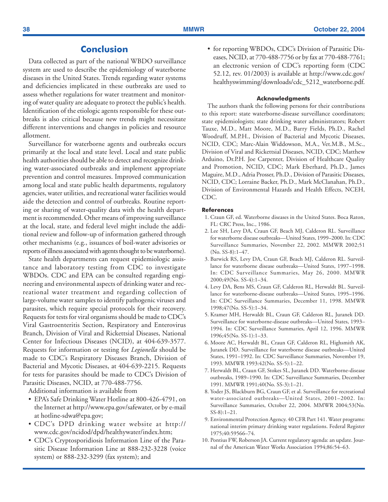# **Conclusion**

<span id="page-39-0"></span>Data collected as part of the national WBDO surveillance system are used to describe the epidemiology of waterborne diseases in the United States. Trends regarding water systems and deficiencies implicated in these outbreaks are used to assess whether regulations for water treatment and monitoring of water quality are adequate to protect the public's health. Identification of the etiologic agents responsible for these outbreaks is also critical because new trends might necessitate different interventions and changes in policies and resource allotment.

Surveillance for waterborne agents and outbreaks occurs primarily at the local and state level. Local and state public health authorities should be able to detect and recognize drinking water-associated outbreaks and implement appropriate prevention and control measures. Improved communication among local and state public health departments, regulatory agencies, water utilities, and recreational water facilities would aide the detection and control of outbreaks. Routine reporting or sharing of water-quality data with the health department is recommended. Other means of improving surveillance at the local, state, and federal level might include the additional review and follow-up of information gathered through other mechanisms (e.g., issuances of boil-water advisories or reports of illness associated with agents thought to be waterborne).

State health departments can request epidemiologic assistance and laboratory testing from CDC to investigate WBDOs. CDC and EPA can be consulted regarding engineering and environmental aspects of drinking water and recreational water treatment and regarding collection of large-volume water samples to identify pathogenic viruses and parasites, which require special protocols for their recovery. Requests for tests for viral organisms should be made to CDC's Viral Gastroenteritis Section, Respiratory and Enterovirus Branch, Division of Viral and Rickettsial Diseases, National Center for Infectious Diseases (NCID), at 404-639-3577. Requests for information or testing for *Legionella* should be made to CDC's Respiratory Diseases Branch, Division of Bacterial and Mycotic Diseases, at 404-639-2215. Requests for tests for parasites should be made to CDC's Division of Parasitic Diseases, NCID, at 770-488-7756.

Additional information is available from

- EPA's Safe Drinking Water Hotline at 800-426-4791, on the Internet at [http://www.epa.gov/safewater, o](http://www.epa.gov/safewater)r by e-mail at hotline-sdwa@epa.gov;
- CDC's DPD drinking water website at [http://](http://www.cdc.gov/ncidod/dpd/healthywater/index.htm) [www.cdc.gov/ncidod/dpd/healthywater/index.htm;](http://www.cdc.gov/ncidod/dpd/healthywater/index.htm)
- CDC's Cryptosporidiosis Information Line of the Parasitic Disease Information Line at 888-232-3228 (voice system) or 888-232-3299 (fax system); and

• for reporting WBDOs, CDC's Division of Parasitic Diseases, NCID, at 770-488-7756 or by fax at 770-488-7761; an electronic version of CDC's reporting form (CDC 52.12, rev. 01/2003) is available at [http://www.cdc.gov/](http://www.cdc.gov/healthyswimming/downloads/cdc_5212_waterborne.pdf) [healthyswimming/downloads/cdc\\_5212\\_waterborne.pdf.](http://www.cdc.gov/healthyswimming/downloads/cdc_5212_waterborne.pdf)

#### **Acknowledgments**

The authors thank the following persons for their contributions to this report: state waterborne-disease surveillance coordinators; state epidemiologists; state drinking water administrators; Robert Tauxe, M.D., Matt Moore, M.D., Barry Fields, Ph.D., Rachel Woodruff, M.P.H., Division of Bacterial and Mycotic Diseases, NCID, CDC; Marc-Alain Widdowson, M.A., Vet.M.B., M.Sc., Division of Viral and Rickettsial Diseases, NCID, CDC; Matthew Arduino, Dr.P.H. Joe Carpenter, Division of Healthcare Quality and Promotion, NCID, CDC; Mark Eberhard, Ph.D., James Maguire, M.D., Adria Prosser, Ph.D., Division of Parasitic Diseases, NCID, CDC; Lorraine Backer, Ph.D., Mark McClanahan, Ph.D., Division of Environmental Hazards and Health Effects, NCEH, CDC.

#### **References**

- 1. Craun GF, ed. Waterborne diseases in the United States. Boca Raton, FL: CRC Press, Inc., 1986.
- 2. Lee SH, Levy DA, Craun GF, Beach MJ, Calderon RL. Surveillance for waterborne disease outbreaks—United States, 1999–2000. In: CDC Surveillance Summaries, November 22, 2002. MMWR 2002;51 (No. SS-8):1–47.
- 3. Barwick RS, Levy DA, Craun GF, Beach MJ, Calderon RL. Surveillance for waterborne disease outbreaks—United States, 1997–1998. In: CDC Surveillance Summaries, May 26, 2000. MMWR 2000;49(No. SS-4):1–34.
- 4. Levy DA, Bens MS, Craun GF, Calderon RL, Herwaldt BL. Surveillance for waterborne-disease outbreaks—United States, 1995–1996. In: CDC Surveillance Summaries, December 11, 1998. MMWR 1998;47(No. SS-5):1–34.
- 5. Kramer MH, Herwaldt BL, Craun GF, Calderon RL, Juranek DD. Surveillance for waterborne-disease outbreaks—United States, 1993– 1994. In: CDC Surveillance Summaries, April 12, 1996. MMWR 1996;45(No. SS-1):1–33.
- 6. Moore AC, Herwaldt BL, Craun GF, Calderon RL, Highsmith AK, Juranek DD. Surveillance for waterborne disease outbreaks—United States, 1991–1992. In: CDC Surveillance Summaries, November 19, 1993. MMWR 1993:42(No. SS-5):1–22.
- 7. Herwaldt BL, Craun GF, Stokes SL, Juranek DD. Waterborne-disease outbreaks, 1989–1990. In: CDC Surveillance Summaries, December 1991. MMWR 1991;40(No. SS-3):1–21.
- 8. Yoder JS, Blackburn BG, Craun GF, et al. Surveillance for recreational water-associated outbreaks—United States, 2001–2002. In: Surveillance Summaries, October 22, 2004. MMWR 2004;53(No. SS-8):1–21.
- 9. Environmental Protection Agency. 40 CFR Part 141. Water programs: national interim primary drinking water regulations. Federal Register 1975;40:59566–74.
- 10. Pontius FW, Roberson JA. Current regulatory agenda: an update. Journal of the American Water Works Association 1994;86:54–63.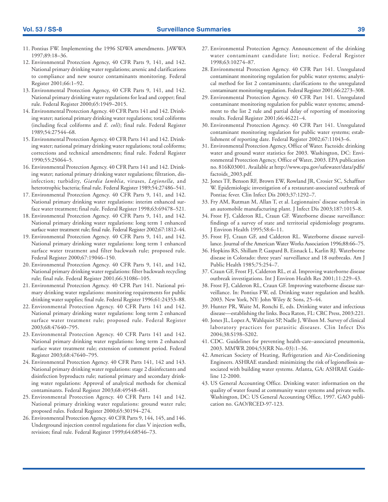- 11. Pontius FW. Implementing the 1996 SDWA amendments. JAWWA 1997;89:18–36.
- 12. Environmental Protection Agency, 40 CFR Parts 9, 141, and 142. National primary drinking water regulations; arsenic and clarifications to compliance and new source contaminants monitoring. Federal Register 2001;66:1–92.
- 13. Environmental Protection Agency, 40 CFR Parts 9, 141, and 142. National primary drinking water regulations for lead and copper; final rule. Federal Register 2000;65:1949–2015.
- 14. Environmental Protection Agency. 40 CFR Parts 141 and 142. Drinking water; national primary drinking water regulations; total coliforms (including fecal coliforms and *E. coli*); final rule. Federal Register 1989;54:27544–68.
- 15. Environmental Protection Agency. 40 CFR Parts 141 and 142. Drinking water; national primary drinking water regulations; total coliforms; corrections and technical amendments; final rule. Federal Register 1990;55:25064–5.
- 16. Environmental Protection Agency. 40 CFR Parts 141 and 142. Drinking water; national primary drinking water regulations; filtration, disinfection; turbidity, *Giardia lamblia*, viruses, *Legionella*, and heterotrophic bacteria; final rule. Federal Register 1989;54:27486–541.
- 17. Environmental Protection Agency. 40 CFR Parts 9, 141, and 142. National primary drinking water regulations: interim enhanced surface water treatment; final rule. Federal Register 1998;63:69478–521.
- 18. Environmental Protection Agency. 40 CFR Parts 9, 141, and 142. National primary drinking water regulations: long term 1 enhanced surface water treatment rule; final rule. Federal Register 2002;67:1812–44.
- 19. Environmental Protection Agency. 40 CFR Parts 9, 141, and 142. National primary drinking water regulations: long term 1 enhanced surface water treatment and filter backwash rule; proposed rule. Federal Register 2000;67:19046–150.
- 20. Environmental Protection Agency. 40 CFR Parts 9, 141, and 142, National primary drinking water regulations: filter backwash recycling rule; final rule. Federal Register 2001;66:31086–105.
- 21. Environmental Protection Agency. 40 CFR Part 141. National primary drinking water regulations: monitoring requirements for public drinking water supplies; final rule. Federal Register 1996;61:24353–88.
- 22. Environmental Protection Agency. 40 CFR Parts 141 and 142. National primary drinking water regulations: long term 2 enhanced surface water treatment rule; proposed rule. Federal Register 2003;68:47640–795.
- 23. Environmental Protection Agency. 40 CFR Parts 141 and 142. National primary drinking water regulations: long term 2 enhanced surface water treatment rule; extension of comment period. Federal Register 2003;68:47640–795.
- 24. Environmental Protection Agency. 40 CFR Parts 141, 142 and 143. National primary drinking water regulations: stage 2 disinfectants and disinfection byproducts rule; national primary and secondary drinking water regulations: Approval of analytical methods for chemical contaminants. Federal Register 2003;68:49548–681.
- 25. Environmental Protection Agency. 40 CFR Parts 141 and 142. National primary drinking water regulations: ground water rule; proposed rules. Federal Register 2000;65:30194–274.
- 26. Environmental Protection Agency. 40 CFR Parts 9, 144, 145, and 146. Underground injection control regulations for class V injection wells, revision; final rule. Federal Register 1999;64:68546–73.
- 27. Environmental Protection Agency. Announcement of the drinking water contaminant candidate list; notice. Federal Register 1998;63:10274–87.
- 28. Environmental Protection Agency. 40 CFR Part 141. Unregulated contaminant monitoring regulation for public water systems; analytical method for list 2 contaminants; clarifications to the unregulated contaminant monitoring regulation. Federal Register 2001;66:2273–308.
- 29. Environmental Protection Agency. 40 CFR Part 141. Unregulated contaminant monitoring regulation for public water systems; amendment to the list 2 rule and partial delay of reporting of monitoring results. Federal Register 2001;66:46221–4.
- 30. Environmental Protection Agency. 40 CFR Part 141. Unregulated contaminant monitoring regulation for public water systems; establishment of reporting date. Federal Register 2002;67:11043–6.
- 31. Environmental Protection Agency, Office of Water. Factoids: drinking water and ground water statistics for 2003. Washington, DC: Environmental Protection Agency, Office of Water, 2003. EPA publication no. 816K03001. Available at [http://www.epa.gov/safewater/data/pdfs/](http://www.epa.gov/safewater/data/pdfs/factoids_2003.pdf) [factoids\\_2003.pdf.](http://www.epa.gov/safewater/data/pdfs/factoids_2003.pdf)
- 32. Jones TF, Benson RF, Brown EW, Rowland JR, Crosier SC, Schaffner W. Epidemiologic investigation of a restaurant-associated outbreak of Pontiac fever. Clin Infect Dis 2003;37:1292–7.
- 33. Fry AM, Rutman M, Allan T, et al. Legionnaires' disease outbreak in an automobile manufacturing plant. J Infect Dis 2003;187:1015–8.
- 34. Frost FJ, Calderon RL, Craun GF. Waterborne disease surveillance: findings of a survey of state and territorial epidemiology programs. J Environ Health 1995;58:6–11.
- 35. Frost FJ, Craun GF, and Calderon RL. Waterborne disease surveillance. Journal of the American Water Works Association 1996;88:66–75.
- 36. Hopkins RS, Shillam P, Gaspard B, Eisnack L, Karlin RJ. Waterborne disease in Colorado: three years' surveillance and 18 outbreaks. Am J Public Health 1985;75:254–7.
- 37. Craun GF, Frost FJ, Calderon RL, et al. Improving waterborne disease outbreak investigations. Int J Environ Health Res 2001;11:229–43.
- 38. Frost FJ, Calderon RL, Craun GF. Improving waterborne disease surveillance. In: Pontius FW, ed. Drinking water regulation and health. 2003. New York, NY: John Wiley & Sons, 25–44.
- 39. Hunter PR, Waite M, Ronchi E, eds. Drinking water and infectious disease—establishing the links. Boca Raton, FL: CRC Press, 2003:221.
- 40. Jones JL, Lopez A, Wahlquist SP, Nadle J, Wilson M. Survey of clinical laboratory practices for parasitic diseases. Clin Infect Dis 2004;38:S198–S202.
- 41. CDC. Guidelines for preventing health-care–associated pneumonia, 2003. MMWR 2004;53(RR No.-03):1–36.
- 42. American Society of Heating, Refrigeration and Air-Conditioning Engineers. ASHRAE standard: minimizing the risk of legionellosis associated with building water systems. Atlanta, GA: ASHRAE Guideline 12-2000.
- 43. US General Accounting Office. Drinking water: information on the quality of water found at community water systems and private wells. Washington, DC: US General Accounting Office, 1997. GAO publication no. GAO/RCED-97-123.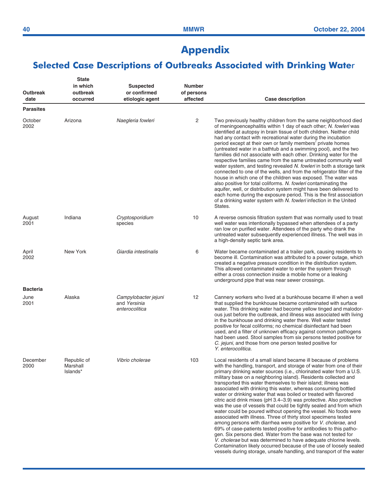# **Appendix**

# <span id="page-41-0"></span>**Selected Case Descriptions of Outbreaks Associated with Drinking Wate**r

|                  | State<br>in which                   | <b>Suspected</b>                                       | <b>Number</b> |                                                                                                                                                                                                                                                                                                                                                                                                                                                                                                                                                                                                                                                                                                                                                                                                                                                                                                                                                                                                                                                                                                                                                                                                          |
|------------------|-------------------------------------|--------------------------------------------------------|---------------|----------------------------------------------------------------------------------------------------------------------------------------------------------------------------------------------------------------------------------------------------------------------------------------------------------------------------------------------------------------------------------------------------------------------------------------------------------------------------------------------------------------------------------------------------------------------------------------------------------------------------------------------------------------------------------------------------------------------------------------------------------------------------------------------------------------------------------------------------------------------------------------------------------------------------------------------------------------------------------------------------------------------------------------------------------------------------------------------------------------------------------------------------------------------------------------------------------|
| <b>Outbreak</b>  | outbreak                            | or confirmed                                           | of persons    |                                                                                                                                                                                                                                                                                                                                                                                                                                                                                                                                                                                                                                                                                                                                                                                                                                                                                                                                                                                                                                                                                                                                                                                                          |
| date             | occurred                            | etiologic agent                                        | affected      | <b>Case description</b>                                                                                                                                                                                                                                                                                                                                                                                                                                                                                                                                                                                                                                                                                                                                                                                                                                                                                                                                                                                                                                                                                                                                                                                  |
| <b>Parasites</b> |                                     |                                                        |               |                                                                                                                                                                                                                                                                                                                                                                                                                                                                                                                                                                                                                                                                                                                                                                                                                                                                                                                                                                                                                                                                                                                                                                                                          |
| October<br>2002  | Arizona                             | Naegleria fowleri                                      | 2             | Two previously healthy children from the same neighborhood died<br>of meningoencephalitis within 1 day of each other; N. fowleri was<br>identified at autopsy in brain tissue of both children. Neither child<br>had any contact with recreational water during the incubation<br>period except at their own or family members' private homes<br>(untreated water in a bathtub and a swimming pool), and the two<br>families did not associate with each other. Drinking water for the<br>respective families came from the same untreated community well<br>water system, and testing revealed N. fowleri in both a storage tank<br>connected to one of the wells, and from the refrigerator filter of the<br>house in which one of the children was exposed. The water was<br>also positive for total coliforms. N. fowleri contaminating the<br>aquifer, well, or distribution system might have been delivered to<br>each home during the exposure period. This is the first association<br>of a drinking water system with N. fowleri infection in the United<br>States.                                                                                                                            |
| August<br>2001   | Indiana                             | Cryptosporidium<br>species                             | 10            | A reverse osmosis filtration system that was normally used to treat<br>well water was intentionally bypassed when attendees of a party<br>ran low on purified water. Attendees of the party who drank the<br>untreated water subsequently experienced illness. The well was in<br>a high-density septic tank area.                                                                                                                                                                                                                                                                                                                                                                                                                                                                                                                                                                                                                                                                                                                                                                                                                                                                                       |
| April<br>2002    | New York                            | Giardia intestinalis                                   | 6             | Water became contaminated at a trailer park, causing residents to<br>become ill. Contamination was attributed to a power outage, which<br>created a negative pressure condition in the distribution system.<br>This allowed contaminated water to enter the system through<br>either a cross connection inside a mobile home or a leaking<br>underground pipe that was near sewer crossings.                                                                                                                                                                                                                                                                                                                                                                                                                                                                                                                                                                                                                                                                                                                                                                                                             |
| <b>Bacteria</b>  |                                     |                                                        |               |                                                                                                                                                                                                                                                                                                                                                                                                                                                                                                                                                                                                                                                                                                                                                                                                                                                                                                                                                                                                                                                                                                                                                                                                          |
| June<br>2001     | Alaska                              | Campylobacter jejuni<br>and Yersinia<br>enterocolitica | 12            | Cannery workers who lived at a bunkhouse became ill when a well<br>that supplied the bunkhouse became contaminated with surface<br>water. This drinking water had become yellow tinged and malodor-<br>ous just before the outbreak, and illness was associated with living<br>in the bunkhouse and drinking water there. Well water tested<br>positive for fecal coliforms; no chemical disinfectant had been<br>used, and a filter of unknown efficacy against common pathogens<br>had been used. Stool samples from six persons tested positive for<br>C. jejuni, and those from one person tested positive for<br>Y. enterocolitica.                                                                                                                                                                                                                                                                                                                                                                                                                                                                                                                                                                 |
| December<br>2000 | Republic of<br>Marshall<br>Islands* | Vibrio cholerae                                        | 103           | Local residents of a small island became ill because of problems<br>with the handling, transport, and storage of water from one of their<br>primary drinking water sources (i.e., chlorinated water from a U.S.<br>military base on a neighboring island). Residents collected and<br>transported this water themselves to their island; illness was<br>associated with drinking this water, whereas consuming bottled<br>water or drinking water that was boiled or treated with flavored<br>citric acid drink mixes (pH 3.4-3.9) was protective. Also protective<br>was the use of vessels that could be tightly sealed and from which<br>water could be poured without opening the vessel. No foods were<br>associated with illness. Three of thirty stool specimens tested<br>among persons with diarrhea were positive for V. cholerae, and<br>69% of case-patients tested positive for antibodies to this patho-<br>gen. Six persons died. Water from the base was not tested for<br>V. cholerae but was determined to have adequate chlorine levels.<br>Contamination likely occurred because of the use of loosely sealed<br>vessels during storage, unsafe handling, and transport of the water |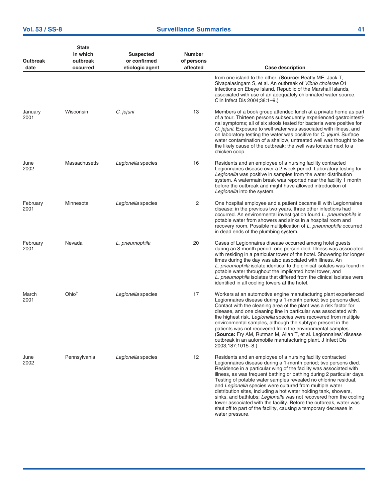| <b>Outbreak</b><br>date | <b>State</b><br>in which<br>outbreak<br>occurred | <b>Suspected</b><br>or confirmed<br>etiologic agent | <b>Number</b><br>of persons<br>affected | <b>Case description</b>                                                                                                                                                                                                                                                                                                                                                                                                                                                                                                                                                                                                                                                                                             |
|-------------------------|--------------------------------------------------|-----------------------------------------------------|-----------------------------------------|---------------------------------------------------------------------------------------------------------------------------------------------------------------------------------------------------------------------------------------------------------------------------------------------------------------------------------------------------------------------------------------------------------------------------------------------------------------------------------------------------------------------------------------------------------------------------------------------------------------------------------------------------------------------------------------------------------------------|
|                         |                                                  |                                                     |                                         | from one island to the other. (Source: Beatty ME, Jack T,<br>Sivapalasingam S, et al. An outbreak of Vibrio cholerae O1<br>infections on Ebeye Island, Republic of the Marshall Islands,<br>associated with use of an adequately chlorinated water source.<br>Clin Infect Dis 2004;38:1-9.)                                                                                                                                                                                                                                                                                                                                                                                                                         |
| January<br>2001         | Wisconsin                                        | C. jejuni                                           | 13                                      | Members of a book group attended lunch at a private home as part<br>of a tour. Thirteen persons subsequently experienced gastrointesti-<br>nal symptoms; all of six stools tested for bacteria were positive for<br>C. jejuni. Exposure to well water was associated with illness, and<br>on laboratory testing the water was positive for C. jejuni. Surface<br>water contamination of a shallow, untreated well was thought to be<br>the likely cause of the outbreak; the well was located next to a<br>chicken coop.                                                                                                                                                                                            |
| June<br>2002            | Massachusetts                                    | Legionella species                                  | 16                                      | Residents and an employee of a nursing facility contracted<br>Legionnaires disease over a 2-week period. Laboratory testing for<br>Legionella was positive in samples from the water distribution<br>system. A watermain break was reported near the facility 1 month<br>before the outbreak and might have allowed introduction of<br>Legionella into the system.                                                                                                                                                                                                                                                                                                                                                  |
| February<br>2001        | Minnesota                                        | Legionella species                                  | 2                                       | One hospital employee and a patient became ill with Legionnaires<br>disease; in the previous two years, three other infections had<br>occurred. An environmental investigation found L. pneumophila in<br>potable water from showers and sinks in a hospital room and<br>recovery room. Possible multiplication of L. pneumophila occurred<br>in dead ends of the plumbing system.                                                                                                                                                                                                                                                                                                                                  |
| February<br>2001        | Nevada                                           | L. pneumophila                                      | 20                                      | Cases of Legionnaires disease occurred among hotel guests<br>during an 8-month period; one person died. Illness was associated<br>with residing in a particular tower of the hotel. Showering for longer<br>times during the day was also associated with illness. An<br>L. pneumophila isolate identical to the clinical isolates was found in<br>potable water throughout the implicated hotel tower, and<br>L. pneumophila isolates that differed from the clinical isolates were<br>identified in all cooling towers at the hotel.                                                                                                                                                                              |
| March<br>2001           | Ohio <sup>t</sup>                                | Legionella species                                  | 17                                      | Workers at an automotive engine manufacturing plant experienced<br>Legionnaires disease during a 1-month period; two persons died.<br>Contact with the cleaning area of the plant was a risk factor for<br>disease, and one cleaning line in particular was associated with<br>the highest risk. Legionella species were recovered from multiple<br>environmental samples, although the subtype present in the<br>patients was not recovered from the environmental samples.<br>(Source: Fry AM, Rutman M, Allan T, et al. Legionnaires' disease<br>outbreak in an automobile manufacturing plant. J Infect Dis<br>2003;187:1015-8.)                                                                                |
| June<br>2002            | Pennsylvania                                     | Legionella species                                  | 12                                      | Residents and an employee of a nursing facility contracted<br>Legionnaires disease during a 1-month period; two persons died.<br>Residence in a particular wing of the facility was associated with<br>illness, as was frequent bathing or bathing during 2 particular days.<br>Testing of potable water samples revealed no chlorine residual,<br>and Legionella species were cultured from multiple water<br>distribution sites, including a hot water holding tank, showers,<br>sinks, and bathtubs; Legionella was not recovered from the cooling<br>tower associated with the facility. Before the outbreak, water was<br>shut off to part of the facility, causing a temporary decrease in<br>water pressure. |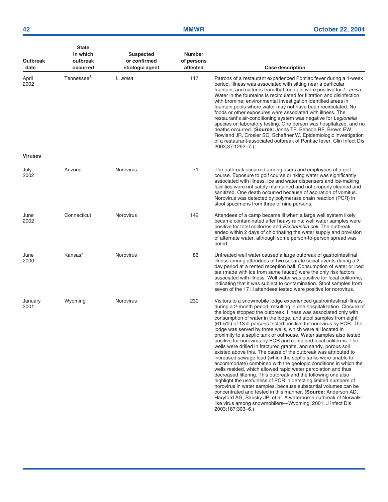| <b>Outbreak</b><br>date | <b>State</b><br>in which<br>outbreak<br>occurred | <b>Suspected</b><br>or confirmed<br>etiologic agent | <b>Number</b><br>of persons<br>affected | <b>Case description</b>                                                                                                                                                                                                                                                                                                                                                                                                                                                                                                                                                                                                                                                                                                                                                                                                                                                                                                                                                                                                                                                                                                                                                                                                                                                                                                                  |
|-------------------------|--------------------------------------------------|-----------------------------------------------------|-----------------------------------------|------------------------------------------------------------------------------------------------------------------------------------------------------------------------------------------------------------------------------------------------------------------------------------------------------------------------------------------------------------------------------------------------------------------------------------------------------------------------------------------------------------------------------------------------------------------------------------------------------------------------------------------------------------------------------------------------------------------------------------------------------------------------------------------------------------------------------------------------------------------------------------------------------------------------------------------------------------------------------------------------------------------------------------------------------------------------------------------------------------------------------------------------------------------------------------------------------------------------------------------------------------------------------------------------------------------------------------------|
| April<br>2002           | Tennessee <sup>§</sup>                           | L. anisa                                            | 117                                     | Patrons of a restaurant experienced Pontiac fever during a 1-week<br>period. Illness was associated with sitting near a particular<br>fountain, and cultures from that fountain were positive for L. anisa.<br>Water in the fountains is recirculated for filtration and disinfection<br>with bromine; environmental investigation identified areas in<br>fountain pools where water may not have been recirculated. No<br>foods or other exposures were associated with illness. The<br>restaurant's air-conditioning system was negative for Legionella<br>species on laboratory testing. One person was hospitalized, and no<br>deaths occurred. (Source: Jones TF, Benson RF, Brown EW,<br>Rowland JR, Crosier SC, Schaffner W. Epidemiologic investigation<br>of a restaurant-associated outbreak of Pontiac fever. Clin Infect Dis<br>2003;37:1292-7.)                                                                                                                                                                                                                                                                                                                                                                                                                                                                             |
| <b>Viruses</b>          |                                                  |                                                     |                                         |                                                                                                                                                                                                                                                                                                                                                                                                                                                                                                                                                                                                                                                                                                                                                                                                                                                                                                                                                                                                                                                                                                                                                                                                                                                                                                                                          |
| July<br>2002            | Arizona                                          | Norovirus                                           | 71                                      | The outbreak occurred among users and employees of a golf<br>course. Exposure to golf course drinking water was significantly<br>associated with illness. Ice and water dispensers and ice-making<br>facilities were not safely maintained and not properly cleaned and<br>sanitized. One death occurred because of aspiration of vomitus.<br>Norovirus was detected by polymerase chain reaction (PCR) in<br>stool specimens from three of nine persons.                                                                                                                                                                                                                                                                                                                                                                                                                                                                                                                                                                                                                                                                                                                                                                                                                                                                                |
| June<br>2002            | Connecticut                                      | Norovirus                                           | 142                                     | Attendees of a camp became ill when a large well system likely<br>became contaminated after heavy rains; well water samples were<br>positive for total coliforms and <i>Escherichia coli</i> . The outbreak<br>ended within 2 days of chlorinating the water supply and provision<br>of alternate water, although some person-to-person spread was<br>noted.                                                                                                                                                                                                                                                                                                                                                                                                                                                                                                                                                                                                                                                                                                                                                                                                                                                                                                                                                                             |
| June<br>2000            | Kansas*                                          | <b>Norovirus</b>                                    | 86                                      | Untreated well water caused a large outbreak of gastrointestinal<br>illness among attendees of two separate social events during a 2-<br>day period at a rented reception hall. Consumption of water or iced<br>tea (made with ice from same faucet) were the only risk factors<br>associated with illness. Well water was positive for fecal coliforms,<br>indicating that it was subject to contamination. Stool samples from<br>seven of the 17 ill attendees tested were positive for norovirus.                                                                                                                                                                                                                                                                                                                                                                                                                                                                                                                                                                                                                                                                                                                                                                                                                                     |
| January<br>2001         | Wyoming                                          | Norovirus                                           | 230                                     | Visitors to a snowmobile lodge experienced gastrointestinal illness<br>during a 2-month period, resulting in one hospitalization. Closure of<br>the lodge stopped the outbreak. Illness was associated only with<br>consumption of water in the lodge, and stool samples from eight<br>(61.5%) of 13 ill persons tested positive for norovirus by PCR. The<br>lodge was served by three wells, which were all located in<br>proximity to a septic tank or outhouse. Water samples also tested<br>positive for norovirus by PCR and contained fecal coliforms. The<br>wells were drilled in fractured granite, and sandy, porous soil<br>existed above this. The cause of the outbreak was attributed to<br>increased sewage load (which the septic tanks were unable to<br>accommodate) combined with the geologic conditions in which the<br>wells resided, which allowed rapid water percolation and thus<br>decreased filtering. This outbreak and the following one also<br>highlight the usefulness of PCR in detecting limited numbers of<br>norovirus in water samples, because substantial volumes can be<br>concentrated and tested in this manner. (Source: Anderson AD,<br>Haryford AG, Sarisky JP, et al. A waterborne outbreak of Norwalk-<br>like virus among snowmobilers—Wyoming, 2001. J Infect Dis<br>2003;187:303-6.) |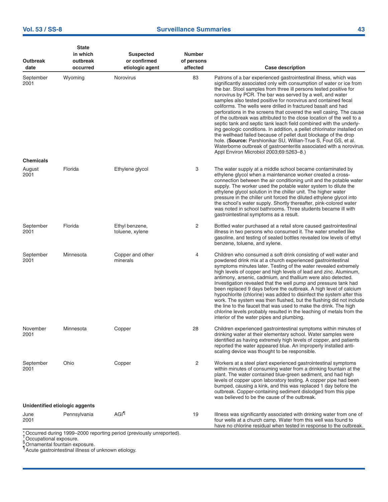| <b>Outbreak</b><br>date | <b>State</b><br>in which<br>outbreak<br>occurred | <b>Suspected</b><br>or confirmed<br>etiologic agent | <b>Number</b><br>of persons<br>affected | <b>Case description</b>                                                                                                                                                                                                                                                                                                                                                                                                                                                                                                                                                                                                                                                                                                                                                                                                                                                                                                                                               |
|-------------------------|--------------------------------------------------|-----------------------------------------------------|-----------------------------------------|-----------------------------------------------------------------------------------------------------------------------------------------------------------------------------------------------------------------------------------------------------------------------------------------------------------------------------------------------------------------------------------------------------------------------------------------------------------------------------------------------------------------------------------------------------------------------------------------------------------------------------------------------------------------------------------------------------------------------------------------------------------------------------------------------------------------------------------------------------------------------------------------------------------------------------------------------------------------------|
| September<br>2001       | Wyoming                                          | Norovirus                                           | 83                                      | Patrons of a bar experienced gastrointestinal illness, which was<br>significantly associated only with consumption of water or ice from<br>the bar. Stool samples from three ill persons tested positive for<br>norovirus by PCR. The bar was served by a well, and water<br>samples also tested positive for norovirus and contained fecal<br>coliforms. The wells were drilled in fractured basalt and had<br>perforations in the screens that covered the well casing. The cause<br>of the outbreak was attributed to the close location of the well to a<br>septic tank and septic tank leach field combined with the underly-<br>ing geologic conditions. In addition, a pellet chlorinator installed on<br>the wellhead failed because of pellet dust blockage of the drop<br>hole. (Source: Parshionikar SU, Willian-True S, Fout GS, et al.<br>Waterborne outbreak of gastroenteritis associated with a norovirus.<br>Appl Environ Microbiol 2003;69:5263-8.) |
| <b>Chemicals</b>        |                                                  |                                                     |                                         |                                                                                                                                                                                                                                                                                                                                                                                                                                                                                                                                                                                                                                                                                                                                                                                                                                                                                                                                                                       |
| August<br>2001          | Florida                                          | Ethylene glycol                                     | 3                                       | The water supply at a middle school became contaminated by<br>ethylene glycol when a maintenance worker created a cross-<br>connection between the air conditioning unit and the potable water<br>supply. The worker used the potable water system to dilute the<br>ethylene glycol solution in the chiller unit. The higher water<br>pressure in the chiller unit forced the diluted ethylene glycol into<br>the school's water supply. Shortly thereafter, pink-colored water<br>was noted in school bathrooms. Three students became ill with<br>gastrointestinal symptoms as a result.                                                                                                                                                                                                                                                                                                                                                                            |
| September<br>2001       | Florida                                          | Ethyl benzene,<br>toluene, xylene                   | 2                                       | Bottled water purchased at a retail store caused gastrointestinal<br>illness in two persons who consumed it. The water smelled like<br>gasoline, and testing of sealed bottles revealed low levels of ethyl<br>benzene, toluene, and xylene.                                                                                                                                                                                                                                                                                                                                                                                                                                                                                                                                                                                                                                                                                                                          |
| September<br>2001       | Minnesota                                        | Copper and other<br>minerals                        | 4                                       | Children who consumed a soft drink consisting of well water and<br>powdered drink mix at a church experienced gastrointestinal<br>symptoms minutes later. Testing of the water revealed extremely<br>high levels of copper and high levels of lead and zinc. Aluminum,<br>antimony, arsenic, cadmium, and thallium were also detected.<br>Investigation revealed that the well pump and pressure tank had<br>been replaced 9 days before the outbreak. A high level of calcium<br>hypochlorite (chlorine) was added to disinfect the system after this<br>work. The system was then flushed, but the flushing did not include<br>the line to the faucet that was used to make the drink. The high<br>chlorine levels probably resulted in the leaching of metals from the<br>interior of the water pipes and plumbing.                                                                                                                                                |
| November<br>2001        | Minnesota                                        | Copper                                              | 28                                      | Children experienced gastrointestinal symptoms within minutes of<br>drinking water at their elementary school. Water samples were<br>identified as having extremely high levels of copper, and patients<br>reported the water appeared blue. An improperly installed anti-<br>scaling device was thought to be responsible.                                                                                                                                                                                                                                                                                                                                                                                                                                                                                                                                                                                                                                           |
| September<br>2001       | Ohio                                             | Copper                                              | 2                                       | Workers at a steel plant experienced gastrointestinal symptoms<br>within minutes of consuming water from a drinking fountain at the<br>plant. The water contained blue-green sediment, and had high<br>levels of copper upon laboratory testing. A copper pipe had been<br>bumped, causing a kink, and this was replaced 1 day before the<br>outbreak. Copper-containing sediment dislodged from this pipe<br>was believed to be the cause of the outbreak.                                                                                                                                                                                                                                                                                                                                                                                                                                                                                                           |
|                         | Unidentified etiologic aggents                   |                                                     |                                         |                                                                                                                                                                                                                                                                                                                                                                                                                                                                                                                                                                                                                                                                                                                                                                                                                                                                                                                                                                       |
| June<br>2001            | Pennsylvania                                     | <b>AGI<sup>1</sup></b>                              | 19                                      | Illness was significantly associated with drinking water from one of<br>four wells at a church camp. Water from this well was found to<br>have no chlorine residual when tested in response to the outbreak.                                                                                                                                                                                                                                                                                                                                                                                                                                                                                                                                                                                                                                                                                                                                                          |

\* Occurred during 1999–2000 reporting period (previously unreported). †

Soccupational exposure.

<sup>y</sup> Ornamental fountain exposure.<br><sup>¶</sup> Acute gastrointestinal illness of unknown etiology.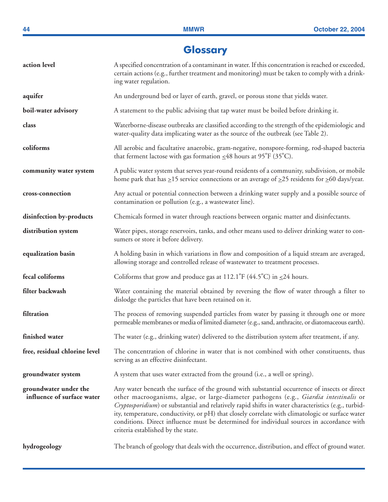# **Glossary**

<span id="page-45-0"></span>

| action level                                        | A specified concentration of a contaminant in water. If this concentration is reached or exceeded,<br>certain actions (e.g., further treatment and monitoring) must be taken to comply with a drink-<br>ing water regulation.                                                                                                                                                                                                                                                                                                        |
|-----------------------------------------------------|--------------------------------------------------------------------------------------------------------------------------------------------------------------------------------------------------------------------------------------------------------------------------------------------------------------------------------------------------------------------------------------------------------------------------------------------------------------------------------------------------------------------------------------|
| aquifer                                             | An underground bed or layer of earth, gravel, or porous stone that yields water.                                                                                                                                                                                                                                                                                                                                                                                                                                                     |
| boil-water advisory                                 | A statement to the public advising that tap water must be boiled before drinking it.                                                                                                                                                                                                                                                                                                                                                                                                                                                 |
| class                                               | Waterborne-disease outbreaks are classified according to the strength of the epidemiologic and<br>water-quality data implicating water as the source of the outbreak (see Table 2).                                                                                                                                                                                                                                                                                                                                                  |
| coliforms                                           | All aerobic and facultative anaerobic, gram-negative, nonspore-forming, rod-shaped bacteria<br>that ferment lactose with gas formation $\leq$ 48 hours at 95°F (35°C).                                                                                                                                                                                                                                                                                                                                                               |
| community water system                              | A public water system that serves year-round residents of a community, subdivision, or mobile<br>home park that has $\geq$ 15 service connections or an average of $\geq$ 25 residents for $\geq$ 60 days/year.                                                                                                                                                                                                                                                                                                                      |
| cross-connection                                    | Any actual or potential connection between a drinking water supply and a possible source of<br>contamination or pollution (e.g., a wastewater line).                                                                                                                                                                                                                                                                                                                                                                                 |
| disinfection by-products                            | Chemicals formed in water through reactions between organic matter and disinfectants.                                                                                                                                                                                                                                                                                                                                                                                                                                                |
| distribution system                                 | Water pipes, storage reservoirs, tanks, and other means used to deliver drinking water to con-<br>sumers or store it before delivery.                                                                                                                                                                                                                                                                                                                                                                                                |
| equalization basin                                  | A holding basin in which variations in flow and composition of a liquid stream are averaged,<br>allowing storage and controlled release of wastewater to treatment processes.                                                                                                                                                                                                                                                                                                                                                        |
| fecal coliforms                                     | Coliforms that grow and produce gas at 112.1°F (44.5°C) in $\leq$ 24 hours.                                                                                                                                                                                                                                                                                                                                                                                                                                                          |
| filter backwash                                     | Water containing the material obtained by reversing the flow of water through a filter to<br>dislodge the particles that have been retained on it.                                                                                                                                                                                                                                                                                                                                                                                   |
| filtration                                          | The process of removing suspended particles from water by passing it through one or more<br>permeable membranes or media of limited diameter (e.g., sand, anthracite, or diatomaceous earth).                                                                                                                                                                                                                                                                                                                                        |
| finished water                                      | The water (e.g., drinking water) delivered to the distribution system after treatment, if any.                                                                                                                                                                                                                                                                                                                                                                                                                                       |
| free, residual chlorine level                       | The concentration of chlorine in water that is not combined with other constituents, thus<br>serving as an effective disinfectant.                                                                                                                                                                                                                                                                                                                                                                                                   |
| groundwater system                                  | A system that uses water extracted from the ground (i.e., a well or spring).                                                                                                                                                                                                                                                                                                                                                                                                                                                         |
| groundwater under the<br>influence of surface water | Any water beneath the surface of the ground with substantial occurrence of insects or direct<br>other macrooganisms, algae, or large-diameter pathogens (e.g., Giardia intestinalis or<br>Cryptosporidium) or substantial and relatively rapid shifts in water characteristics (e.g., turbid-<br>ity, temperature, conductivity, or pH) that closely correlate with climatologic or surface water<br>conditions. Direct influence must be determined for individual sources in accordance with<br>criteria established by the state. |
| hydrogeology                                        | The branch of geology that deals with the occurrence, distribution, and effect of ground water.                                                                                                                                                                                                                                                                                                                                                                                                                                      |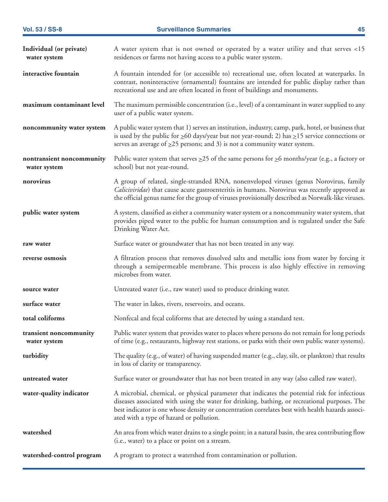| Individual (or private)<br>water system   | A water system that is not owned or operated by a water utility and that serves <15<br>residences or farms not having access to a public water system.                                                                                                                                                                                         |
|-------------------------------------------|------------------------------------------------------------------------------------------------------------------------------------------------------------------------------------------------------------------------------------------------------------------------------------------------------------------------------------------------|
| interactive fountain                      | A fountain intended for (or accessible to) recreational use, often located at waterparks. In<br>contrast, noninteractive (ornamental) fountains are intended for public display rather than<br>recreational use and are often located in front of buildings and monuments.                                                                     |
| maximum contaminant level                 | The maximum permissible concentration (i.e., level) of a contaminant in water supplied to any<br>user of a public water system.                                                                                                                                                                                                                |
| noncommunity water system                 | A public water system that 1) serves an institution, industry, camp, park, hotel, or business that<br>is used by the public for $\geq 60$ days/year but not year-round; 2) has $\geq 15$ service connections or<br>serves an average of $\geq$ 25 persons; and 3) is not a community water system.                                             |
| nontransient noncommunity<br>water system | Public water system that serves $\geq$ 25 of the same persons for $\geq$ 6 months/year (e.g., a factory or<br>school) but not year-round.                                                                                                                                                                                                      |
| norovirus                                 | A group of related, single-stranded RNA, nonenveloped viruses (genus Norovirus, family<br>Caliciviridae) that cause acute gastroenteritis in humans. Norovirus was recently approved as<br>the official genus name for the group of viruses provisionally described as Norwalk-like viruses.                                                   |
| public water system                       | A system, classified as either a community water system or a noncommunity water system, that<br>provides piped water to the public for human consumption and is regulated under the Safe<br>Drinking Water Act.                                                                                                                                |
| raw water                                 | Surface water or groundwater that has not been treated in any way.                                                                                                                                                                                                                                                                             |
| reverse osmosis                           | A filtration process that removes dissolved salts and metallic ions from water by forcing it<br>through a semipermeable membrane. This process is also highly effective in removing<br>microbes from water.                                                                                                                                    |
| source water                              | Untreated water (i.e., raw water) used to produce drinking water.                                                                                                                                                                                                                                                                              |
|                                           |                                                                                                                                                                                                                                                                                                                                                |
| surface water                             | The water in lakes, rivers, reservoirs, and oceans.                                                                                                                                                                                                                                                                                            |
| total coliforms                           | Nonfecal and fecal coliforms that are detected by using a standard test.                                                                                                                                                                                                                                                                       |
| transient noncommunity<br>water system    | Public water system that provides water to places where persons do not remain for long periods<br>of time (e.g., restaurants, highway rest stations, or parks with their own public water systems).                                                                                                                                            |
| turbidity                                 | The quality (e.g., of water) of having suspended matter (e.g., clay, silt, or plankton) that results<br>in loss of clarity or transparency.                                                                                                                                                                                                    |
| untreated water                           | Surface water or groundwater that has not been treated in any way (also called raw water).                                                                                                                                                                                                                                                     |
| water-quality indicator                   | A microbial, chemical, or physical parameter that indicates the potential risk for infectious<br>diseases associated with using the water for drinking, bathing, or recreational purposes. The<br>best indicator is one whose density or concentration correlates best with health hazards associ-<br>ated with a type of hazard or pollution. |
| watershed                                 | An area from which water drains to a single point; in a natural basin, the area contributing flow<br>(i.e., water) to a place or point on a stream.                                                                                                                                                                                            |